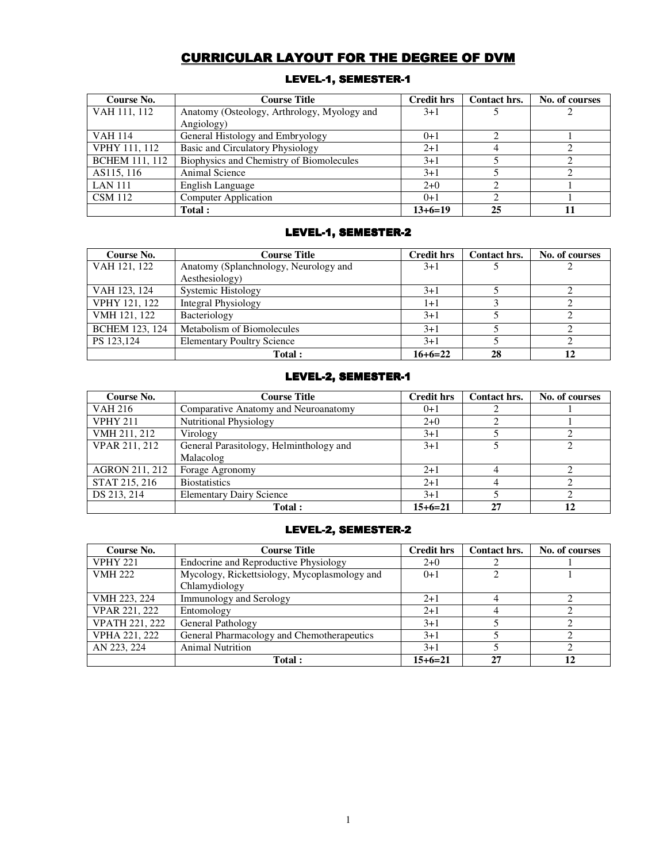# CURRICULAR LAYOUT FOR THE DEGREE OF DVM

| Course No.            | <b>Course Title</b>                         | <b>Credit hrs</b> | Contact hrs. | No. of courses |
|-----------------------|---------------------------------------------|-------------------|--------------|----------------|
| VAH 111, 112          | Anatomy (Osteology, Arthrology, Myology and | $3+1$             |              |                |
|                       | Angiology)                                  |                   |              |                |
| <b>VAH 114</b>        | General Histology and Embryology            | $0+1$             |              |                |
| <b>VPHY 111, 112</b>  | Basic and Circulatory Physiology            | $2+1$             |              |                |
| <b>BCHEM 111, 112</b> | Biophysics and Chemistry of Biomolecules    | $3+1$             |              |                |
| AS115, 116            | Animal Science                              | $3+1$             |              |                |
| <b>LAN 111</b>        | English Language                            | $2+0$             |              |                |
| <b>CSM</b> 112        | <b>Computer Application</b>                 | $()+1$            |              |                |
|                       | Total :                                     | $13+6=19$         | 25           |                |

# LEVEL-1, SEMESTER-1

# LEVEL-1, SEMESTER-2

| Course No.            | <b>Course Title</b>                   | <b>Credit hrs</b> | Contact hrs. | No. of courses |
|-----------------------|---------------------------------------|-------------------|--------------|----------------|
| VAH 121, 122          | Anatomy (Splanchnology, Neurology and | $3+1$             |              |                |
|                       | Aesthesiology)                        |                   |              |                |
| VAH 123, 124          | Systemic Histology                    | $3+1$             |              |                |
| VPHY 121, 122         | Integral Physiology                   | 1+1               |              |                |
| VMH 121, 122          | Bacteriology                          | $3+1$             |              |                |
| <b>BCHEM 123, 124</b> | Metabolism of Biomolecules            | $3+1$             |              |                |
| PS 123,124            | <b>Elementary Poultry Science</b>     | $3+1$             |              |                |
|                       | Total:                                | $16+6=22$         | 28           |                |

# LEVEL-2, SEMESTER-1

| Course No.      | <b>Course Title</b>                     | Credit hrs | Contact hrs. | No. of courses |
|-----------------|-----------------------------------------|------------|--------------|----------------|
| <b>VAH 216</b>  | Comparative Anatomy and Neuroanatomy    | $0+1$      |              |                |
| <b>VPHY 211</b> | <b>Nutritional Physiology</b>           | $2+0$      |              |                |
| VMH 211, 212    | Virology                                | $3+1$      |              |                |
| VPAR 211, 212   | General Parasitology, Helminthology and | $3+1$      |              |                |
|                 | Malacolog                               |            |              |                |
| AGRON 211, 212  | Forage Agronomy                         | $2+1$      |              |                |
| STAT 215, 216   | <b>Biostatistics</b>                    | $2+1$      |              |                |
| DS 213, 214     | <b>Elementary Dairy Science</b>         | $3+1$      |              |                |
|                 | Total:                                  | $15+6=21$  | 27           |                |

# LEVEL-2, SEMESTER-2

| Course No.            | <b>Course Title</b>                          | <b>Credit hrs</b> | Contact hrs.   | No. of courses |
|-----------------------|----------------------------------------------|-------------------|----------------|----------------|
| <b>VPHY 221</b>       | Endocrine and Reproductive Physiology        | $2+0$             |                |                |
| <b>VMH 222</b>        | Mycology, Rickettsiology, Mycoplasmology and | $0+1$             | $\overline{c}$ |                |
|                       | Chlamydiology                                |                   |                |                |
| VMH 223, 224          | <b>Immunology and Serology</b>               | $2+1$             |                |                |
| VPAR 221, 222         | Entomology                                   | $2+1$             | 4              |                |
| <b>VPATH 221, 222</b> | <b>General Pathology</b>                     | $3+1$             |                |                |
| VPHA 221, 222         | General Pharmacology and Chemotherapeutics   | $3+1$             |                |                |
| AN 223, 224           | <b>Animal Nutrition</b>                      | $3+1$             |                |                |
|                       | Total:                                       | 15+6=21           | 27             |                |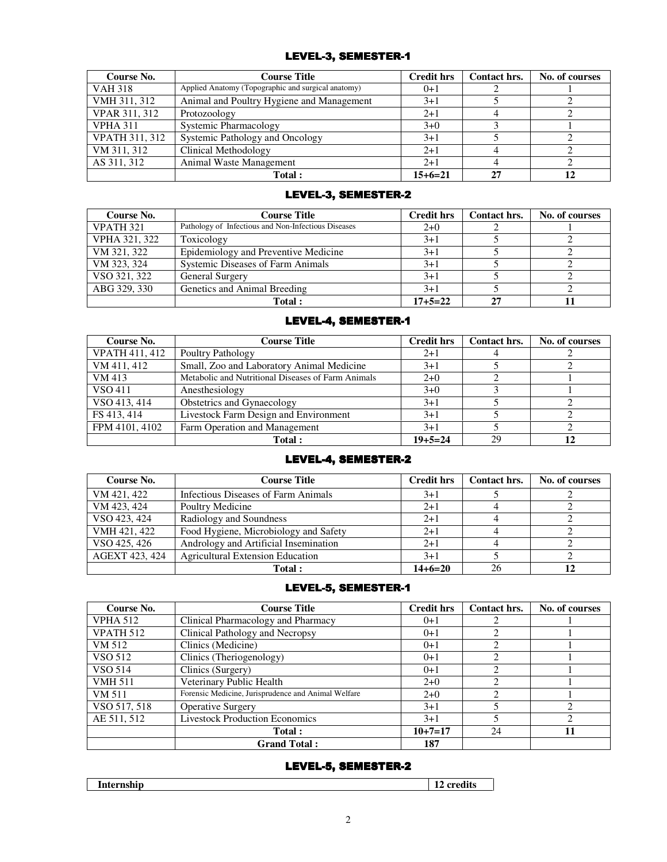# LEVEL-3, SEMESTER-1

| Course No.            | <b>Course Title</b>                                | <b>Credit hrs</b> | Contact hrs. | No. of courses |
|-----------------------|----------------------------------------------------|-------------------|--------------|----------------|
| <b>VAH 318</b>        | Applied Anatomy (Topographic and surgical anatomy) | $0+1$             |              |                |
| VMH 311, 312          | Animal and Poultry Hygiene and Management          | $3+1$             |              |                |
| VPAR 311, 312         | Protozoology                                       | $2+1$             |              |                |
| <b>VPHA 311</b>       | <b>Systemic Pharmacology</b>                       | $3+0$             |              |                |
| <b>VPATH 311, 312</b> | Systemic Pathology and Oncology                    | $3+1$             |              |                |
| VM 311, 312           | Clinical Methodology                               | $2+1$             |              |                |
| AS 311, 312           | Animal Waste Management                            | $2+1$             |              |                |
|                       | Total:                                             | $15+6=21$         | 27           |                |

# LEVEL-3, SEMESTER-2

| Course No.           | Course Title                                        | <b>Credit hrs</b> | Contact hrs. | No. of courses |
|----------------------|-----------------------------------------------------|-------------------|--------------|----------------|
| VPATH <sub>321</sub> | Pathology of Infectious and Non-Infectious Diseases | $2+0$             |              |                |
| VPHA 321, 322        | Toxicology                                          | $3+1$             |              |                |
| VM 321, 322          | Epidemiology and Preventive Medicine                | $3+1$             |              |                |
| VM 323, 324          | Systemic Diseases of Farm Animals                   | $3+1$             |              |                |
| VSO 321, 322         | <b>General Surgery</b>                              | $3+1$             |              |                |
| ABG 329, 330         | Genetics and Animal Breeding                        | $3+1$             |              |                |
|                      | Total:                                              | $17 + 5 = 22$     | 27           |                |

# LEVEL-4, SEMESTER-1

| Course No.            | <b>Course Title</b>                                | <b>Credit hrs</b> | Contact hrs. | No. of courses |
|-----------------------|----------------------------------------------------|-------------------|--------------|----------------|
| <b>VPATH 411, 412</b> | Poultry Pathology                                  | $2+1$             |              |                |
| VM 411, 412           | Small, Zoo and Laboratory Animal Medicine          | $3+1$             |              |                |
| VM 413                | Metabolic and Nutritional Diseases of Farm Animals | $2+0$             |              |                |
| VSO 411               | Anesthesiology                                     | $3+0$             |              |                |
| VSO 413, 414          | Obstetrics and Gynaecology                         | $3+1$             |              |                |
| FS 413, 414           | Livestock Farm Design and Environment              | $3+1$             |              |                |
| FPM 4101, 4102        | Farm Operation and Management                      | $3+1$             |              |                |
|                       | Total:                                             | $19 + 5 = 24$     | 29           |                |

# LEVEL-4, SEMESTER-2

| Course No.     | <b>Course Title</b>                     | <b>Credit hrs</b> | Contact hrs. | No. of courses |
|----------------|-----------------------------------------|-------------------|--------------|----------------|
| VM 421, 422    | Infectious Diseases of Farm Animals     | $3+1$             |              |                |
| VM 423, 424    | Poultry Medicine                        | $2+1$             |              |                |
| VSO 423, 424   | Radiology and Soundness                 | $2+1$             |              |                |
| VMH 421, 422   | Food Hygiene, Microbiology and Safety   | $2+1$             |              |                |
| VSO 425, 426   | Andrology and Artificial Insemination   | $2+1$             |              |                |
| AGEXT 423, 424 | <b>Agricultural Extension Education</b> | $3+1$             |              |                |
|                | Total:                                  | $14+6=20$         | 26           |                |

# LEVEL-5, SEMESTER-1

| Course No.       | <b>Course Title</b>                                 | <b>Credit hrs</b> | Contact hrs.                                                                                                                                                                                                                                                                                                                                                                                           | No. of courses |
|------------------|-----------------------------------------------------|-------------------|--------------------------------------------------------------------------------------------------------------------------------------------------------------------------------------------------------------------------------------------------------------------------------------------------------------------------------------------------------------------------------------------------------|----------------|
| <b>VPHA 512</b>  | Clinical Pharmacology and Pharmacy                  | $0+1$             |                                                                                                                                                                                                                                                                                                                                                                                                        |                |
| <b>VPATH 512</b> | Clinical Pathology and Necropsy                     | $0+1$             |                                                                                                                                                                                                                                                                                                                                                                                                        |                |
| VM 512           | Clinics (Medicine)                                  | $0+1$             | $\mathfrak{D}_{1}^{(1)}=\mathfrak{D}_{2}^{(2)}=\mathfrak{D}_{2}^{(1)}=\mathfrak{D}_{2}^{(1)}=\mathfrak{D}_{2}^{(1)}=\mathfrak{D}_{2}^{(1)}=\mathfrak{D}_{2}^{(1)}=\mathfrak{D}_{2}^{(1)}=\mathfrak{D}_{2}^{(1)}=\mathfrak{D}_{2}^{(1)}=\mathfrak{D}_{2}^{(1)}=\mathfrak{D}_{2}^{(1)}=\mathfrak{D}_{2}^{(1)}=\mathfrak{D}_{2}^{(1)}=\mathfrak{D}_{2}^{(1)}=\mathfrak{D}_{2}^{(1)}=\mathfrak{D}_{2}^{(1$ |                |
| VSO 512          | Clinics (Theriogenology)                            | $0+1$             | $\mathcal{D}_{\mathcal{L}}$                                                                                                                                                                                                                                                                                                                                                                            |                |
| VSO 514          | Clinics (Surgery)                                   | $0+1$             | $\mathcal{D}_{\mathcal{L}}$                                                                                                                                                                                                                                                                                                                                                                            |                |
| <b>VMH 511</b>   | Veterinary Public Health                            | $2+0$             | $\mathfrak{D}_{\mathfrak{p}}$                                                                                                                                                                                                                                                                                                                                                                          |                |
| VM 511           | Forensic Medicine, Jurisprudence and Animal Welfare | $2+0$             | $\mathfrak{D}_{1}^{(1)}=\mathfrak{D}_{2}^{(2)}=\mathfrak{D}_{2}^{(1)}=\mathfrak{D}_{2}^{(1)}=\mathfrak{D}_{2}^{(1)}=\mathfrak{D}_{2}^{(1)}=\mathfrak{D}_{2}^{(1)}=\mathfrak{D}_{2}^{(1)}=\mathfrak{D}_{2}^{(1)}=\mathfrak{D}_{2}^{(1)}=\mathfrak{D}_{2}^{(1)}=\mathfrak{D}_{2}^{(1)}=\mathfrak{D}_{2}^{(1)}=\mathfrak{D}_{2}^{(1)}=\mathfrak{D}_{2}^{(1)}=\mathfrak{D}_{2}^{(1)}=\mathfrak{D}_{2}^{(1$ |                |
| VSO 517, 518     | <b>Operative Surgery</b>                            | $3+1$             | 5                                                                                                                                                                                                                                                                                                                                                                                                      |                |
| AE 511, 512      | <b>Livestock Production Economics</b>               | $3+1$             |                                                                                                                                                                                                                                                                                                                                                                                                        |                |
|                  | Total:                                              | $10+7=17$         | 24                                                                                                                                                                                                                                                                                                                                                                                                     |                |
|                  | <b>Grand Total:</b>                                 | 187               |                                                                                                                                                                                                                                                                                                                                                                                                        |                |

# LEVEL-5, SEMESTER-2

| --<br>$\sim$ |
|--------------|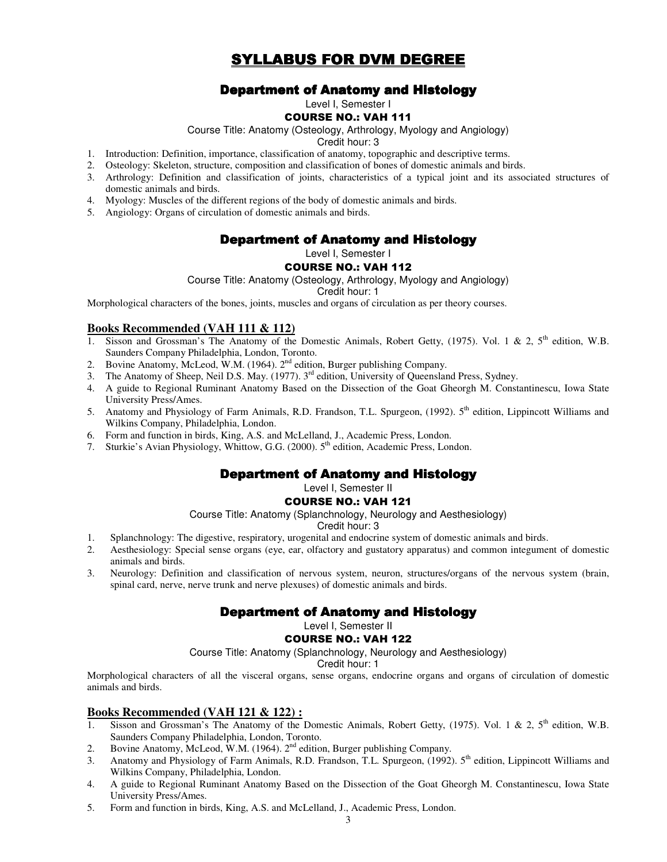# SYLLABUS FOR DVM DEGREE

# **Department of Anatomy and Histology**

Level I, Semester I

### COURSE NO.: VAH 111

Course Title: Anatomy (Osteology, Arthrology, Myology and Angiology)

Credit hour: 3

- 1. Introduction: Definition, importance, classification of anatomy, topographic and descriptive terms.
- 2. Osteology: Skeleton, structure, composition and classification of bones of domestic animals and birds.
- 3. Arthrology: Definition and classification of joints, characteristics of a typical joint and its associated structures of domestic animals and birds.
- 4. Myology: Muscles of the different regions of the body of domestic animals and birds.
- 5. Angiology: Organs of circulation of domestic animals and birds.

# Department of Anatomy and Histology

Level I, Semester I

# COURSE NO.: VAH 112

Course Title: Anatomy (Osteology, Arthrology, Myology and Angiology)

Credit hour: 1

Morphological characters of the bones, joints, muscles and organs of circulation as per theory courses.

#### **Books Recommended (VAH 111 & 112)**

- 1. Sisson and Grossman's The Anatomy of the Domestic Animals, Robert Getty, (1975). Vol. 1 & 2, 5<sup>th</sup> edition, W.B. Saunders Company Philadelphia, London, Toronto.
- 2. Bovine Anatomy, McLeod, W.M. (1964). 2nd edition, Burger publishing Company.
- 3. The Anatomy of Sheep, Neil D.S. May. (1977). 3rd edition, University of Queensland Press, Sydney.
- 4. A guide to Regional Ruminant Anatomy Based on the Dissection of the Goat Gheorgh M. Constantinescu, Iowa State University Press/Ames.
- 5. Anatomy and Physiology of Farm Animals, R.D. Frandson, T.L. Spurgeon, (1992). 5th edition, Lippincott Williams and Wilkins Company, Philadelphia, London.
- 6. Form and function in birds, King, A.S. and McLelland, J., Academic Press, London.
- 7. Sturkie's Avian Physiology, Whittow, G.G. (2000). 5<sup>th</sup> edition, Academic Press, London.

# **Department of Anatomy and Histology**

Level I, Semester II

#### COURSE NO.: VAH 121

Course Title: Anatomy (Splanchnology, Neurology and Aesthesiology)

#### Credit hour: 3

- 1. Splanchnology: The digestive, respiratory, urogenital and endocrine system of domestic animals and birds.
- 2. Aesthesiology: Special sense organs (eye, ear, olfactory and gustatory apparatus) and common integument of domestic animals and birds.
- 3. Neurology: Definition and classification of nervous system, neuron, structures/organs of the nervous system (brain, spinal card, nerve, nerve trunk and nerve plexuses) of domestic animals and birds.

# **Department of Anatomy and Histology**

# Level I, Semester II

#### COURSE NO.: VAH 122

Course Title: Anatomy (Splanchnology, Neurology and Aesthesiology)

#### Credit hour: 1

Morphological characters of all the visceral organs, sense organs, endocrine organs and organs of circulation of domestic animals and birds.

# **Books Recommended (VAH 121 & 122) :**

- Sisson and Grossman's The Anatomy of the Domestic Animals, Robert Getty, (1975). Vol. 1 & 2,  $5<sup>th</sup>$  edition, W.B. Saunders Company Philadelphia, London, Toronto.
- 2. Bovine Anatomy, McLeod, W.M. (1964). 2<sup>nd</sup> edition, Burger publishing Company.
- 3. Anatomy and Physiology of Farm Animals, R.D. Frandson, T.L. Spurgeon, (1992). 5<sup>th</sup> edition, Lippincott Williams and Wilkins Company, Philadelphia, London.
- 4. A guide to Regional Ruminant Anatomy Based on the Dissection of the Goat Gheorgh M. Constantinescu, Iowa State University Press/Ames.
- 5. Form and function in birds, King, A.S. and McLelland, J., Academic Press, London.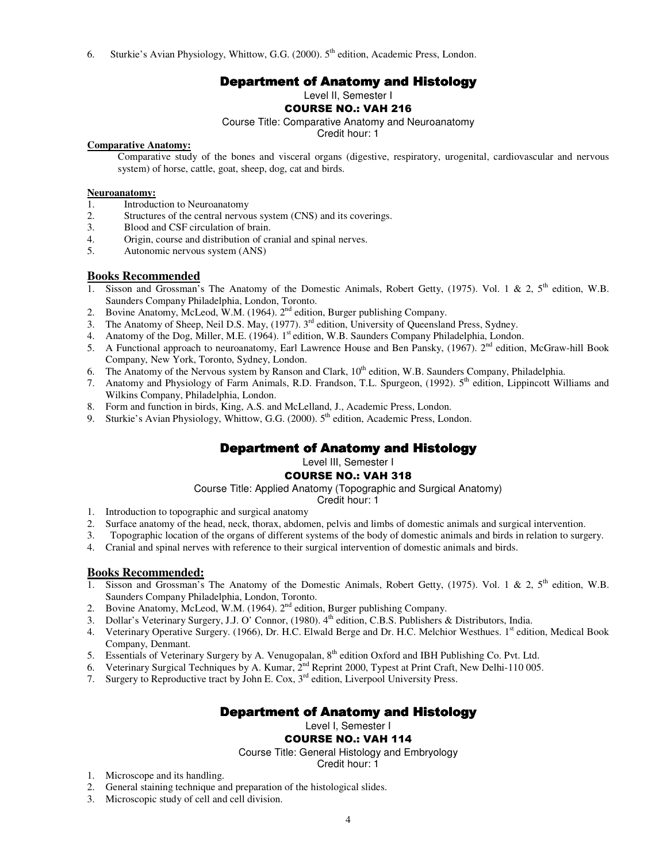6. Sturkie's Avian Physiology, Whittow, G.G. (2000).  $5<sup>th</sup>$  edition, Academic Press, London.

# **Department of Anatomy and Histology**

Level II, Semester I

# COURSE NO.: VAH 216

Course Title: Comparative Anatomy and Neuroanatomy

Credit hour: 1

# **Comparative Anatomy:**

Comparative study of the bones and visceral organs (digestive, respiratory, urogenital, cardiovascular and nervous system) of horse, cattle, goat, sheep, dog, cat and birds.

# **Neuroanatomy:**<br>1. Introduc

- 1. Introduction to Neuroanatomy<br>2. Structures of the central nervou
- 2. Structures of the central nervous system (CNS) and its coverings.<br>3. Blood and CSF circulation of brain.
- Blood and CSF circulation of brain.
- 4. Origin, course and distribution of cranial and spinal nerves.<br>5. Autonomic nervous system (ANS)
- 5. Autonomic nervous system (ANS)

# **Books Recommended**

- 1. Sisson and Grossman's The Anatomy of the Domestic Animals, Robert Getty, (1975). Vol. 1 & 2, 5<sup>th</sup> edition, W.B. Saunders Company Philadelphia, London, Toronto.
- 2. Bovine Anatomy, McLeod, W.M. (1964). 2<sup>nd</sup> edition, Burger publishing Company.
- 3. The Anatomy of Sheep, Neil D.S. May, (1977). 3<sup>rd</sup> edition, University of Queensland Press, Sydney.
- 4. Anatomy of the Dog, Miller, M.E. (1964). 1<sup>st</sup> edition, W.B. Saunders Company Philadelphia, London.
- 5. A Functional approach to neuroanatomy, Earl Lawrence House and Ben Pansky, (1967). 2<sup>nd</sup> edition, McGraw-hill Book Company, New York, Toronto, Sydney, London.
- 6. The Anatomy of the Nervous system by Ranson and Clark, 10<sup>th</sup> edition, W.B. Saunders Company, Philadelphia.
- 7. Anatomy and Physiology of Farm Animals, R.D. Frandson, T.L. Spurgeon, (1992). 5<sup>th</sup> edition, Lippincott Williams and Wilkins Company, Philadelphia, London.
- 8. Form and function in birds, King, A.S. and McLelland, J., Academic Press, London.
- 9. Sturkie's Avian Physiology, Whittow, G.G. (2000).  $5<sup>th</sup>$  edition, Academic Press, London.

# Department of Anatomy and Histology

Level III, Semester I

# COURSE NO.: VAH 318

Course Title: Applied Anatomy (Topographic and Surgical Anatomy)

Credit hour: 1

- 1. Introduction to topographic and surgical anatomy
- 2. Surface anatomy of the head, neck, thorax, abdomen, pelvis and limbs of domestic animals and surgical intervention.
- 3. Topographic location of the organs of different systems of the body of domestic animals and birds in relation to surgery.
- 4. Cranial and spinal nerves with reference to their surgical intervention of domestic animals and birds.

# **Books Recommended:**

- 1. Sisson and Grossman's The Anatomy of the Domestic Animals, Robert Getty, (1975). Vol. 1 & 2, 5<sup>th</sup> edition, W.B. Saunders Company Philadelphia, London, Toronto.
- Bovine Anatomy, McLeod, W.M. (1964). 2<sup>nd</sup> edition, Burger publishing Company.
- Dollar's Veterinary Surgery, J.J. O' Connor, (1980). 4<sup>th</sup> edition, C.B.S. Publishers & Distributors, India.
- 4. Veterinary Operative Surgery. (1966), Dr. H.C. Elwald Berge and Dr. H.C. Melchior Westhues. 1<sup>st</sup> edition, Medical Book Company, Denmant.
- 5. Essentials of Veterinary Surgery by A. Venugopalan, 8<sup>th</sup> edition Oxford and IBH Publishing Co. Pvt. Ltd.
- 6. Veterinary Surgical Techniques by A. Kumar,  $2^{nd}$  Reprint 2000, Typest at Print Craft, New Delhi-110 005.
- 7. Surgery to Reproductive tract by John E. Cox, 3<sup>rd</sup> edition, Liverpool University Press.

# Department of Anatomy and Histology

Level I, Semester I

# COURSE NO.: VAH 114

Course Title: General Histology and Embryology

Credit hour: 1

- 1. Microscope and its handling.
- 2. General staining technique and preparation of the histological slides.
- 3. Microscopic study of cell and cell division.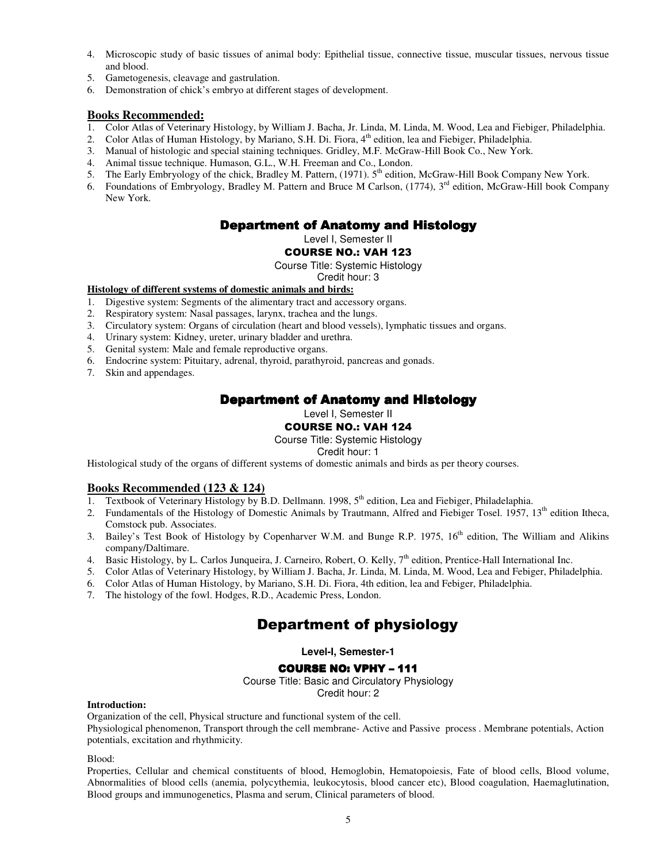- 4. Microscopic study of basic tissues of animal body: Epithelial tissue, connective tissue, muscular tissues, nervous tissue and blood.
- 5. Gametogenesis, cleavage and gastrulation.
- 6. Demonstration of chick's embryo at different stages of development.

# **Books Recommended:**

- 1. Color Atlas of Veterinary Histology, by William J. Bacha, Jr. Linda, M. Linda, M. Wood, Lea and Fiebiger, Philadelphia.
- 2. Color Atlas of Human Histology, by Mariano, S.H. Di. Fiora, 4<sup>th</sup> edition, lea and Fiebiger, Philadelphia.
- 3. Manual of histologic and special staining techniques. Gridley, M.F. McGraw-Hill Book Co., New York.
- 4. Animal tissue technique. Humason, G.L., W.H. Freeman and Co., London.
- 5. The Early Embryology of the chick, Bradley M. Pattern, (1971). 5<sup>th</sup> edition, McGraw-Hill Book Company New York.
- 6. Foundations of Embryology, Bradley M. Pattern and Bruce M Carlson, (1774), 3rd edition, McGraw-Hill book Company New York.

# **Department of Anatomy and Histology**

Level I, Semester II

# COURSE NO.: VAH 123

Course Title: Systemic Histology

#### Credit hour: 3 **Histology of different systems of domestic animals and birds:**

- 1. Digestive system: Segments of the alimentary tract and accessory organs.
- 2. Respiratory system: Nasal passages, larynx, trachea and the lungs.
- 3. Circulatory system: Organs of circulation (heart and blood vessels), lymphatic tissues and organs.
- 4. Urinary system: Kidney, ureter, urinary bladder and urethra.
- 5. Genital system: Male and female reproductive organs.
- 6. Endocrine system: Pituitary, adrenal, thyroid, parathyroid, pancreas and gonads.
- 7. Skin and appendages.

# **Department of Anatomy and Histology**

Level I, Semester II

# COURSE NO.: VAH 124

### Course Title: Systemic Histology

#### Credit hour: 1

Histological study of the organs of different systems of domestic animals and birds as per theory courses.

# **Books Recommended (123 & 124)**

- 1. Textbook of Veterinary Histology by B.D. Dellmann. 1998,  $5<sup>th</sup>$  edition, Lea and Fiebiger, Philadelaphia.
- 2. Fundamentals of the Histology of Domestic Animals by Trautmann, Alfred and Fiebiger Tosel. 1957, 13<sup>th</sup> edition Itheca, Comstock pub. Associates.
- 3. Bailey's Test Book of Histology by Copenharver W.M. and Bunge R.P. 1975,  $16<sup>th</sup>$  edition, The William and Alikins company/Daltimare.
- 4. Basic Histology, by L. Carlos Junqueira, J. Carneiro, Robert, O. Kelly, 7<sup>th</sup> edition, Prentice-Hall International Inc.
- 5. Color Atlas of Veterinary Histology, by William J. Bacha, Jr. Linda, M. Linda, M. Wood, Lea and Febiger, Philadelphia.
- 6. Color Atlas of Human Histology, by Mariano, S.H. Di. Fiora, 4th edition, lea and Febiger, Philadelphia.
- 7. The histology of the fowl. Hodges, R.D., Academic Press, London.

# Department of physiology

# **Level-I, Semester-1**

# COURSE NO: VPHY - 111

Course Title: Basic and Circulatory Physiology Credit hour: 2

#### **Introduction:**

Organization of the cell, Physical structure and functional system of the cell.

Physiological phenomenon, Transport through the cell membrane- Active and Passive process . Membrane potentials, Action potentials, excitation and rhythmicity.

Blood:

Properties, Cellular and chemical constituents of blood, Hemoglobin, Hematopoiesis, Fate of blood cells, Blood volume, Abnormalities of blood cells (anemia, polycythemia, leukocytosis, blood cancer etc), Blood coagulation, Haemaglutination, Blood groups and immunogenetics, Plasma and serum, Clinical parameters of blood.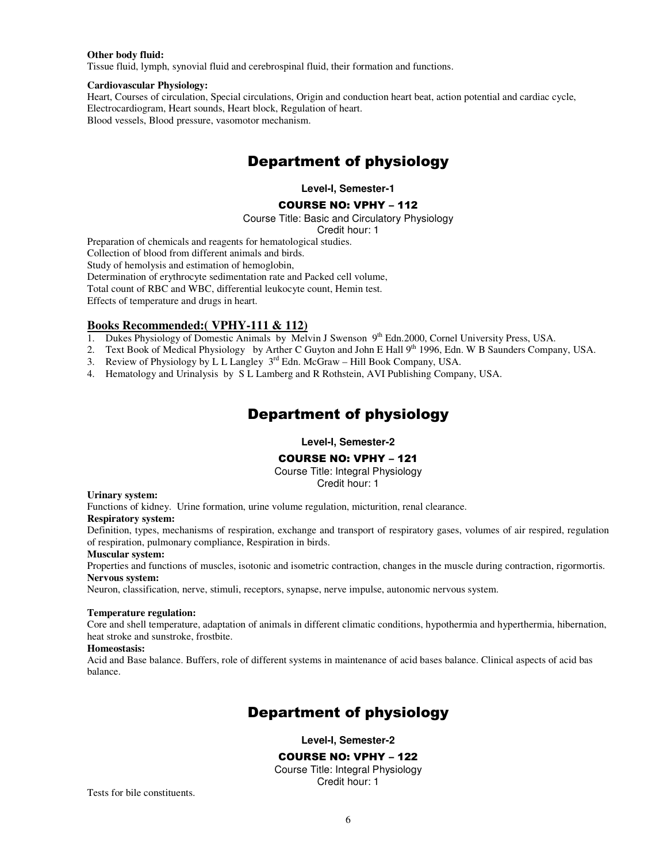#### **Other body fluid:**

Tissue fluid, lymph, synovial fluid and cerebrospinal fluid, their formation and functions.

#### **Cardiovascular Physiology:**

Heart, Courses of circulation, Special circulations, Origin and conduction heart beat, action potential and cardiac cycle, Electrocardiogram, Heart sounds, Heart block, Regulation of heart. Blood vessels, Blood pressure, vasomotor mechanism.

# Department of physiology

**Level-I, Semester-1** 

#### COURSE NO: VPHY – 112

Course Title: Basic and Circulatory Physiology

Credit hour: 1

Preparation of chemicals and reagents for hematological studies.

Collection of blood from different animals and birds.

Study of hemolysis and estimation of hemoglobin,

Determination of erythrocyte sedimentation rate and Packed cell volume,

Total count of RBC and WBC, differential leukocyte count, Hemin test.

Effects of temperature and drugs in heart.

# **Books Recommended:( VPHY-111 & 112)**

- 1. Dukes Physiology of Domestic Animals by Melvin J Swenson 9<sup>th</sup> Edn.2000, Cornel University Press, USA.
- 2. Text Book of Medical Physiology by Arther C Guyton and John E Hall 9<sup>th</sup> 1996, Edn. W B Saunders Company, USA.
- 3. Review of Physiology by L L Langley 3rd Edn. McGraw Hill Book Company, USA.
- 4. Hematology and Urinalysis by S L Lamberg and R Rothstein, AVI Publishing Company, USA.

# Department of physiology

**Level-I, Semester-2** 

#### COURSE NO: VPHY – 121

Course Title: Integral Physiology

Credit hour: 1

#### **Urinary system:**

Functions of kidney. Urine formation, urine volume regulation, micturition, renal clearance.

#### **Respiratory system:**

Definition, types, mechanisms of respiration, exchange and transport of respiratory gases, volumes of air respired, regulation of respiration, pulmonary compliance, Respiration in birds.

#### **Muscular system:**

Properties and functions of muscles, isotonic and isometric contraction, changes in the muscle during contraction, rigormortis. **Nervous system:** 

Neuron, classification, nerve, stimuli, receptors, synapse, nerve impulse, autonomic nervous system.

#### **Temperature regulation:**

Core and shell temperature, adaptation of animals in different climatic conditions, hypothermia and hyperthermia, hibernation, heat stroke and sunstroke, frostbite.

#### **Homeostasis:**

Acid and Base balance. Buffers, role of different systems in maintenance of acid bases balance. Clinical aspects of acid bas balance.

# Department of physiology

**Level-I, Semester-2** 

#### COURSE NO: VPHY – 122

Course Title: Integral Physiology Credit hour: 1

Tests for bile constituents.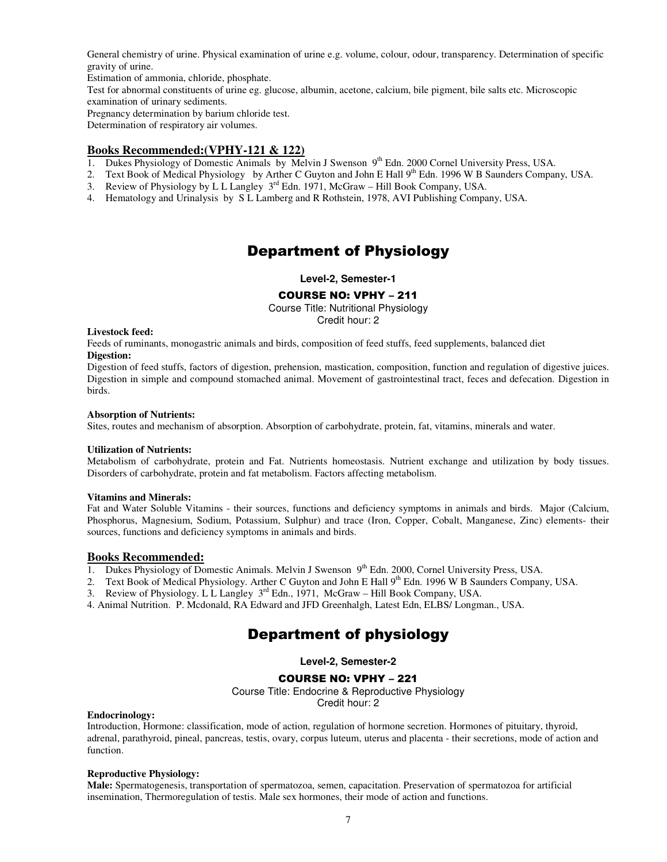General chemistry of urine. Physical examination of urine e.g. volume, colour, odour, transparency. Determination of specific gravity of urine.

Estimation of ammonia, chloride, phosphate.

Test for abnormal constituents of urine eg. glucose, albumin, acetone, calcium, bile pigment, bile salts etc. Microscopic examination of urinary sediments.

Pregnancy determination by barium chloride test.

Determination of respiratory air volumes.

#### **Books Recommended:(VPHY-121 & 122)**

- 1. Dukes Physiology of Domestic Animals by Melvin J Swenson  $9<sup>th</sup>$  Edn. 2000 Cornel University Press, USA.
- 2. Text Book of Medical Physiology by Arther C Guyton and John E Hall 9<sup>th</sup> Edn. 1996 W B Saunders Company, USA.
- 3. Review of Physiology by L L Langley  $3^{rd}$  Edn. 1971, McGraw Hill Book Company, USA.
- 4. Hematology and Urinalysis by S L Lamberg and R Rothstein, 1978, AVI Publishing Company, USA.

# Department of Physiology

**Level-2, Semester-1** 

#### COURSE NO: VPHY – 211

Course Title: Nutritional Physiology Credit hour: 2

#### **Livestock feed:**

Feeds of ruminants, monogastric animals and birds, composition of feed stuffs, feed supplements, balanced diet **Digestion:** 

Digestion of feed stuffs, factors of digestion, prehension, mastication, composition, function and regulation of digestive juices. Digestion in simple and compound stomached animal. Movement of gastrointestinal tract, feces and defecation. Digestion in birds.

#### **Absorption of Nutrients:**

Sites, routes and mechanism of absorption. Absorption of carbohydrate, protein, fat, vitamins, minerals and water.

#### **Utilization of Nutrients:**

Metabolism of carbohydrate, protein and Fat. Nutrients homeostasis. Nutrient exchange and utilization by body tissues. Disorders of carbohydrate, protein and fat metabolism. Factors affecting metabolism.

#### **Vitamins and Minerals:**

Fat and Water Soluble Vitamins - their sources, functions and deficiency symptoms in animals and birds. Major (Calcium, Phosphorus, Magnesium, Sodium, Potassium, Sulphur) and trace (Iron, Copper, Cobalt, Manganese, Zinc) elements- their sources, functions and deficiency symptoms in animals and birds.

#### **Books Recommended:**

- 1. Dukes Physiology of Domestic Animals. Melvin J Swenson 9<sup>th</sup> Edn. 2000, Cornel University Press, USA.
- 2. Text Book of Medical Physiology. Arther C Guyton and John E Hall 9<sup>th</sup> Edn. 1996 W B Saunders Company, USA.

3. Review of Physiology. L.L. Langley  $3^{rd}$  Edn., 1971, McGraw – Hill Book Company, USA.

4. Animal Nutrition. P. Mcdonald, RA Edward and JFD Greenhalgh, Latest Edn, ELBS/ Longman., USA.

# Department of physiology

**Level-2, Semester-2** 

#### COURSE NO: VPHY – 221

Course Title: Endocrine & Reproductive Physiology

Credit hour: 2

#### **Endocrinology:**

Introduction, Hormone: classification, mode of action, regulation of hormone secretion. Hormones of pituitary, thyroid, adrenal, parathyroid, pineal, pancreas, testis, ovary, corpus luteum, uterus and placenta - their secretions, mode of action and function.

#### **Reproductive Physiology:**

**Male:** Spermatogenesis, transportation of spermatozoa, semen, capacitation. Preservation of spermatozoa for artificial insemination, Thermoregulation of testis. Male sex hormones, their mode of action and functions.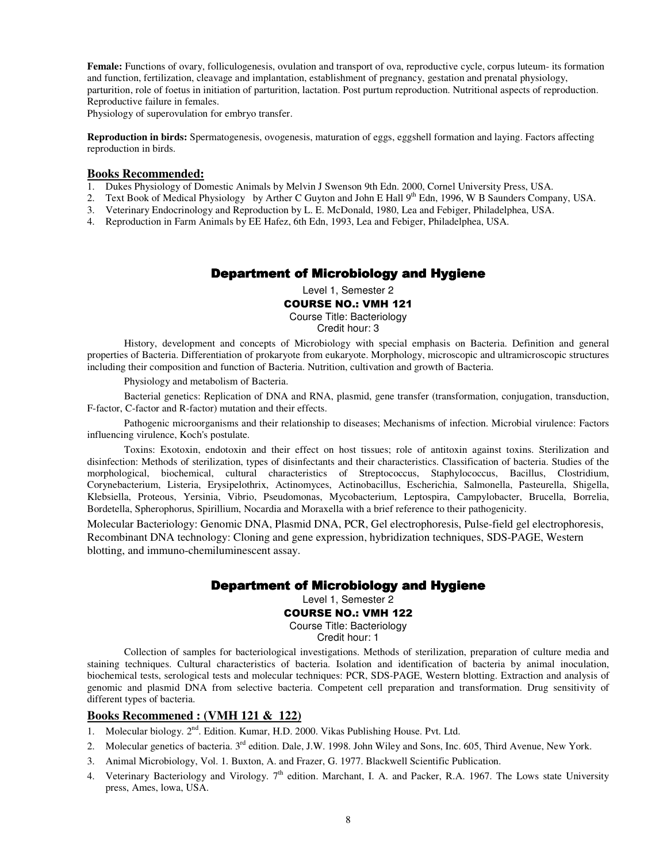**Female:** Functions of ovary, folliculogenesis, ovulation and transport of ova, reproductive cycle, corpus luteum- its formation and function, fertilization, cleavage and implantation, establishment of pregnancy, gestation and prenatal physiology, parturition, role of foetus in initiation of parturition, lactation. Post purtum reproduction. Nutritional aspects of reproduction. Reproductive failure in females.

Physiology of superovulation for embryo transfer.

**Reproduction in birds:** Spermatogenesis, ovogenesis, maturation of eggs, eggshell formation and laying. Factors affecting reproduction in birds.

#### **Books Recommended:**

- 1. Dukes Physiology of Domestic Animals by Melvin J Swenson 9th Edn. 2000, Cornel University Press, USA.
- 2. Text Book of Medical Physiology by Arther C Guyton and John E Hall 9<sup>th</sup> Edn, 1996, W B Saunders Company, USA.
- 3. Veterinary Endocrinology and Reproduction by L. E. McDonald, 1980, Lea and Febiger, Philadelphea, USA.
- 4. Reproduction in Farm Animals by EE Hafez, 6th Edn, 1993, Lea and Febiger, Philadelphea, USA.

#### Department of Microbiology and Hygiene

Level 1, Semester 2

#### COURSE NO.: VMH 121

Course Title: Bacteriology

Credit hour: 3

History, development and concepts of Microbiology with special emphasis on Bacteria. Definition and general properties of Bacteria. Differentiation of prokaryote from eukaryote. Morphology, microscopic and ultramicroscopic structures including their composition and function of Bacteria. Nutrition, cultivation and growth of Bacteria.

Physiology and metabolism of Bacteria.

Bacterial genetics: Replication of DNA and RNA, plasmid, gene transfer (transformation, conjugation, transduction, F-factor, C-factor and R-factor) mutation and their effects.

Pathogenic microorganisms and their relationship to diseases; Mechanisms of infection. Microbial virulence: Factors influencing virulence, Koch's postulate.

Toxins: Exotoxin, endotoxin and their effect on host tissues; role of antitoxin against toxins. Sterilization and disinfection: Methods of sterilization, types of disinfectants and their characteristics. Classification of bacteria. Studies of the morphological, biochemical, cultural characteristics of Streptococcus, Staphylococcus, Bacillus, Clostridium, Corynebacterium, Listeria, Erysipelothrix, Actinomyces, Actinobacillus, Escherichia, Salmonella, Pasteurella, Shigella, Klebsiella, Proteous, Yersinia, Vibrio, Pseudomonas, Mycobacterium, Leptospira, Campylobacter, Brucella, Borrelia, Bordetella, Spherophorus, Spirillium, Nocardia and Moraxella with a brief reference to their pathogenicity.

Molecular Bacteriology: Genomic DNA, Plasmid DNA, PCR, Gel electrophoresis, Pulse-field gel electrophoresis, Recombinant DNA technology: Cloning and gene expression, hybridization techniques, SDS-PAGE, Western blotting, and immuno-chemiluminescent assay.

# Department of Microbiology and Hygiene

Level 1, Semester 2

#### COURSE NO.: VMH 122

Course Title: Bacteriology

Credit hour: 1

Collection of samples for bacteriological investigations. Methods of sterilization, preparation of culture media and staining techniques. Cultural characteristics of bacteria. Isolation and identification of bacteria by animal inoculation, biochemical tests, serological tests and molecular techniques: PCR, SDS-PAGE, Western blotting. Extraction and analysis of genomic and plasmid DNA from selective bacteria. Competent cell preparation and transformation. Drug sensitivity of different types of bacteria.

#### **Books Recommened : (VMH 121 & 122)**

- 1. Molecular biology. 2<sup>nd</sup>. Edition. Kumar, H.D. 2000. Vikas Publishing House. Pvt. Ltd.
- 2. Molecular genetics of bacteria. 3<sup>rd</sup> edition. Dale, J.W. 1998. John Wiley and Sons, Inc. 605, Third Avenue, New York.
- 3. Animal Microbiology, Vol. 1. Buxton, A. and Frazer, G. 1977. Blackwell Scientific Publication.
- 4. Veterinary Bacteriology and Virology.  $7<sup>th</sup>$  edition. Marchant, I. A. and Packer, R.A. 1967. The Lows state University press, Ames, lowa, USA.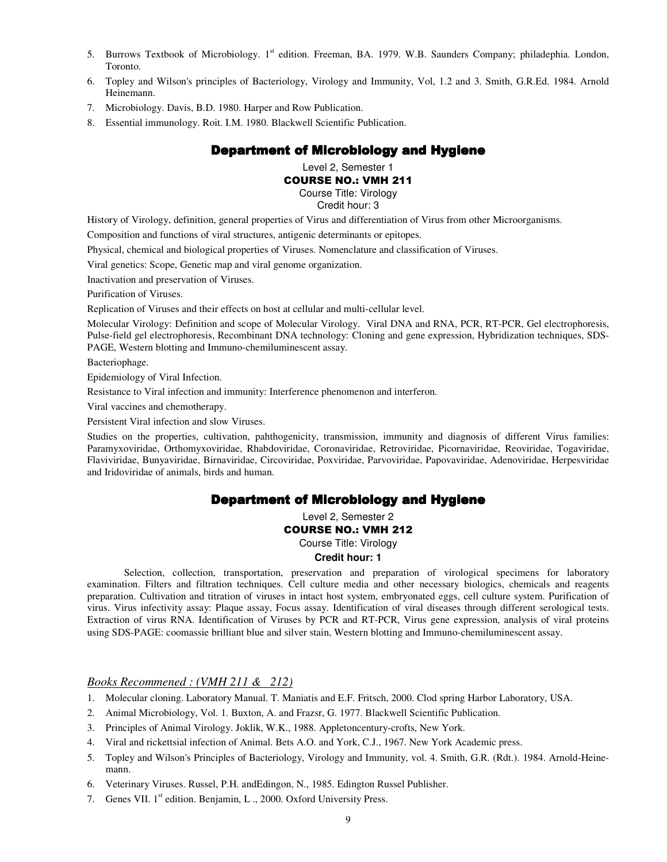- 5. Burrows Textbook of Microbiology. 1<sup>st</sup> edition. Freeman, BA. 1979. W.B. Saunders Company; philadephia. London, Toronto.
- 6. Topley and Wilson's principles of Bacteriology, Virology and Immunity, Vol, 1.2 and 3. Smith, G.R.Ed. 1984. Arnold Heinemann.
- 7. Microbiology. Davis, B.D. 1980. Harper and Row Publication.
- 8. Essential immunology. Roit. I.M. 1980. Blackwell Scientific Publication.

# Department of Microbiology and Hygiene

Level 2, Semester 1

### COURSE NO.: VMH 211

Course Title: Virology

Credit hour: 3

History of Virology, definition, general properties of Virus and differentiation of Virus from other Microorganisms.

Composition and functions of viral structures, antigenic determinants or epitopes.

Physical, chemical and biological properties of Viruses. Nomenclature and classification of Viruses.

Viral genetics: Scope, Genetic map and viral genome organization.

Inactivation and preservation of Viruses.

Purification of Viruses.

Replication of Viruses and their effects on host at cellular and multi-cellular level.

Molecular Virology: Definition and scope of Molecular Virology. Viral DNA and RNA, PCR, RT-PCR, Gel electrophoresis, Pulse-field gel electrophoresis, Recombinant DNA technology: Cloning and gene expression, Hybridization techniques, SDS-PAGE, Western blotting and Immuno-chemiluminescent assay.

Bacteriophage.

Epidemiology of Viral Infection.

Resistance to Viral infection and immunity: Interference phenomenon and interferon.

Viral vaccines and chemotherapy.

Persistent Viral infection and slow Viruses.

Studies on the properties, cultivation, pahthogenicity, transmission, immunity and diagnosis of different Virus families: Paramyxoviridae, Orthomyxoviridae, Rhabdoviridae, Coronaviridae, Retroviridae, Picornaviridae, Reoviridae, Togaviridae, Flaviviridae, Bunyaviridae, Birnaviridae, Circoviridae, Poxviridae, Parvoviridae, Papovaviridae, Adenoviridae, Herpesviridae and Iridoviridae of animals, birds and human.

#### Department of Microbiology and Hygiene

Level 2, Semester 2

#### COURSE NO.: VMH 212

Course Title: Virology

#### **Credit hour: 1**

Selection, collection, transportation, preservation and preparation of virological specimens for laboratory examination. Filters and filtration techniques. Cell culture media and other necessary biologics, chemicals and reagents preparation. Cultivation and titration of viruses in intact host system, embryonated eggs, cell culture system. Purification of virus. Virus infectivity assay: Plaque assay, Focus assay. Identification of viral diseases through different serological tests. Extraction of virus RNA. Identification of Viruses by PCR and RT-PCR, Virus gene expression, analysis of viral proteins using SDS-PAGE: coomassie brilliant blue and silver stain, Western blotting and Immuno-chemiluminescent assay.

# *Books Recommened : (VMH 211 & 212)*

- 1. Molecular cloning. Laboratory Manual. T. Maniatis and E.F. Fritsch, 2000. Clod spring Harbor Laboratory, USA.
- 2. Animal Microbiology, Vol. 1. Buxton, A. and Frazsr, G. 1977. Blackwell Scientific Publication.
- 3. Principles of Animal Virology. Joklik, W.K., 1988. Appletoncentury-crofts, New York.
- 4. Viral and rickettsial infection of Animal. Bets A.O. and York, C.J., 1967. New York Academic press.
- 5. Topley and Wilson's Principles of Bacteriology, Virology and Immunity, vol. 4. Smith, G.R. (Rdt.). 1984. Arnold-Heinemann.
- 6. Veterinary Viruses. Russel, P.H. andEdingon, N., 1985. Edington Russel Publisher.
- 7. Genes VII. 1<sup>st</sup> edition. Benjamin, L., 2000. Oxford University Press.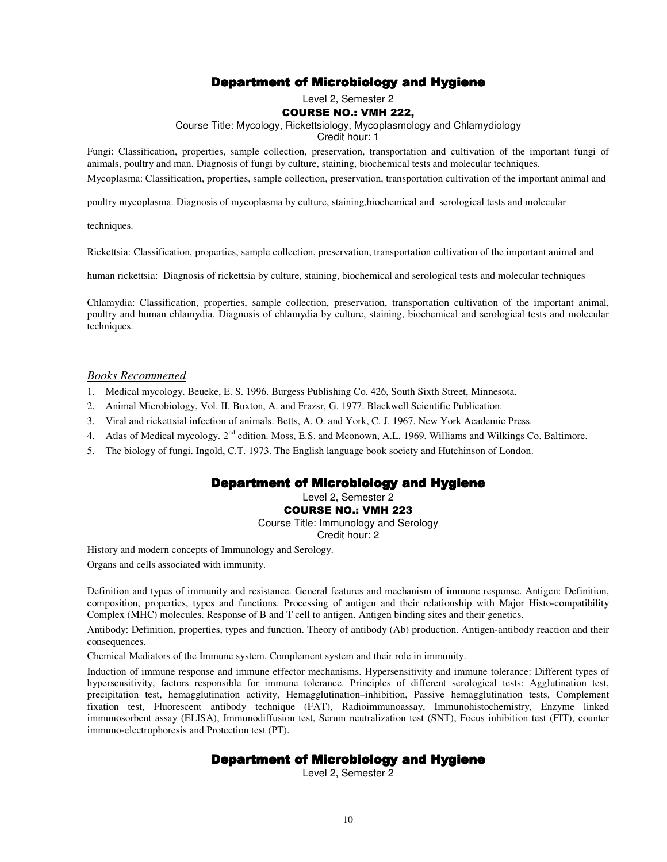# Department of Microbiology and Hygiene

Level 2, Semester 2

#### COURSE NO.: VMH 222,

Course Title: Mycology, Rickettsiology, Mycoplasmology and Chlamydiology

Credit hour: 1

Fungi: Classification, properties, sample collection, preservation, transportation and cultivation of the important fungi of animals, poultry and man. Diagnosis of fungi by culture, staining, biochemical tests and molecular techniques.

Mycoplasma: Classification, properties, sample collection, preservation, transportation cultivation of the important animal and

poultry mycoplasma. Diagnosis of mycoplasma by culture, staining,biochemical and serological tests and molecular

techniques.

Rickettsia: Classification, properties, sample collection, preservation, transportation cultivation of the important animal and

human rickettsia: Diagnosis of rickettsia by culture, staining, biochemical and serological tests and molecular techniques

Chlamydia: Classification, properties, sample collection, preservation, transportation cultivation of the important animal, poultry and human chlamydia. Diagnosis of chlamydia by culture, staining, biochemical and serological tests and molecular techniques.

#### *Books Recommened*

- 1. Medical mycology. Beueke, E. S. 1996. Burgess Publishing Co. 426, South Sixth Street, Minnesota.
- 2. Animal Microbiology, Vol. II. Buxton, A. and Frazsr, G. 1977. Blackwell Scientific Publication.
- 3. Viral and rickettsial infection of animals. Betts, A. O. and York, C. J. 1967. New York Academic Press.
- 4. Atlas of Medical mycology. 2<sup>nd</sup> edition. Moss, E.S. and Mconown, A.L. 1969. Williams and Wilkings Co. Baltimore.
- 5. The biology of fungi. Ingold, C.T. 1973. The English language book society and Hutchinson of London.

# Department of Microbiology and Hygiene

Level 2, Semester 2

COURSE NO.: VMH 223

Course Title: Immunology and Serology

Credit hour: 2

History and modern concepts of Immunology and Serology.

Organs and cells associated with immunity.

Definition and types of immunity and resistance. General features and mechanism of immune response. Antigen: Definition, composition, properties, types and functions. Processing of antigen and their relationship with Major Histo-compatibility Complex (MHC) molecules. Response of B and T cell to antigen. Antigen binding sites and their genetics.

Antibody: Definition, properties, types and function. Theory of antibody (Ab) production. Antigen-antibody reaction and their consequences.

Chemical Mediators of the Immune system. Complement system and their role in immunity.

Induction of immune response and immune effector mechanisms. Hypersensitivity and immune tolerance: Different types of hypersensitivity, factors responsible for immune tolerance. Principles of different serological tests: Agglutination test, precipitation test, hemagglutination activity, Hemagglutination–inhibition, Passive hemagglutination tests, Complement fixation test, Fluorescent antibody technique (FAT), Radioimmunoassay, Immunohistochemistry, Enzyme linked immunosorbent assay (ELISA), Immunodiffusion test, Serum neutralization test (SNT), Focus inhibition test (FIT), counter immuno-electrophoresis and Protection test (PT).

# Department of Microbiology and Hygiene

Level 2, Semester 2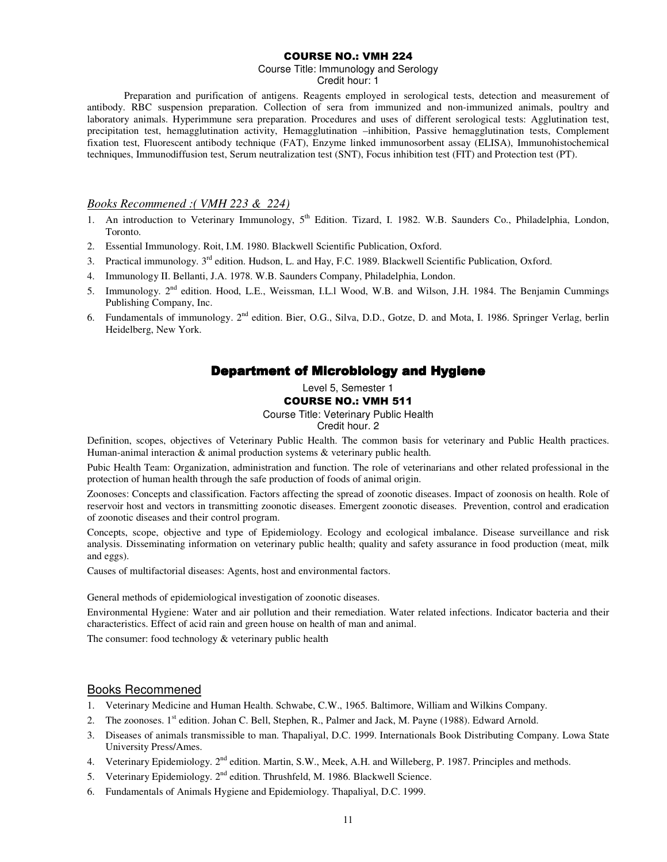#### COURSE NO.: VMH 224

Course Title: Immunology and Serology Credit hour: 1

Preparation and purification of antigens. Reagents employed in serological tests, detection and measurement of antibody. RBC suspension preparation. Collection of sera from immunized and non-immunized animals, poultry and laboratory animals. Hyperimmune sera preparation. Procedures and uses of different serological tests: Agglutination test, precipitation test, hemagglutination activity, Hemagglutination –inhibition, Passive hemagglutination tests, Complement fixation test, Fluorescent antibody technique (FAT), Enzyme linked immunosorbent assay (ELISA), Immunohistochemical techniques, Immunodiffusion test, Serum neutralization test (SNT), Focus inhibition test (FIT) and Protection test (PT).

# *Books Recommened :( VMH 223 & 224)*

- 1. An introduction to Veterinary Immunology, 5<sup>th</sup> Edition. Tizard, I. 1982. W.B. Saunders Co., Philadelphia. London. Toronto.
- 2. Essential Immunology. Roit, I.M. 1980. Blackwell Scientific Publication, Oxford.
- 3. Practical immunology. 3rd edition. Hudson, L. and Hay, F.C. 1989. Blackwell Scientific Publication, Oxford.
- 4. Immunology II. Bellanti, J.A. 1978. W.B. Saunders Company, Philadelphia, London.
- 5. Immunology. 2nd edition. Hood, L.E., Weissman, I.L.l Wood, W.B. and Wilson, J.H. 1984. The Benjamin Cummings Publishing Company, Inc.
- 6. Fundamentals of immunology. 2nd edition. Bier, O.G., Silva, D.D., Gotze, D. and Mota, I. 1986. Springer Verlag, berlin Heidelberg, New York.

# Department of Microbiology and Hygiene

Level 5, Semester 1

### COURSE NO.: VMH 511

Course Title: Veterinary Public Health

Credit hour. 2

Definition, scopes, objectives of Veterinary Public Health. The common basis for veterinary and Public Health practices. Human-animal interaction & animal production systems & veterinary public health.

Pubic Health Team: Organization, administration and function. The role of veterinarians and other related professional in the protection of human health through the safe production of foods of animal origin.

Zoonoses: Concepts and classification. Factors affecting the spread of zoonotic diseases. Impact of zoonosis on health. Role of reservoir host and vectors in transmitting zoonotic diseases. Emergent zoonotic diseases. Prevention, control and eradication of zoonotic diseases and their control program.

Concepts, scope, objective and type of Epidemiology. Ecology and ecological imbalance. Disease surveillance and risk analysis. Disseminating information on veterinary public health; quality and safety assurance in food production (meat, milk and eggs).

Causes of multifactorial diseases: Agents, host and environmental factors.

General methods of epidemiological investigation of zoonotic diseases.

Environmental Hygiene: Water and air pollution and their remediation. Water related infections. Indicator bacteria and their characteristics. Effect of acid rain and green house on health of man and animal.

The consumer: food technology & veterinary public health

#### Books Recommened

- 1. Veterinary Medicine and Human Health. Schwabe, C.W., 1965. Baltimore, William and Wilkins Company.
- 2. The zoonoses. 1<sup>st</sup> edition. Johan C. Bell, Stephen, R., Palmer and Jack, M. Payne (1988). Edward Arnold.
- 3. Diseases of animals transmissible to man. Thapaliyal, D.C. 1999. Internationals Book Distributing Company. Lowa State University Press/Ames.
- 4. Veterinary Epidemiology. 2<sup>nd</sup> edition. Martin, S.W., Meek, A.H. and Willeberg, P. 1987. Principles and methods.
- 5. Veterinary Epidemiology. 2<sup>nd</sup> edition. Thrushfeld, M. 1986. Blackwell Science.
- 6. Fundamentals of Animals Hygiene and Epidemiology. Thapaliyal, D.C. 1999.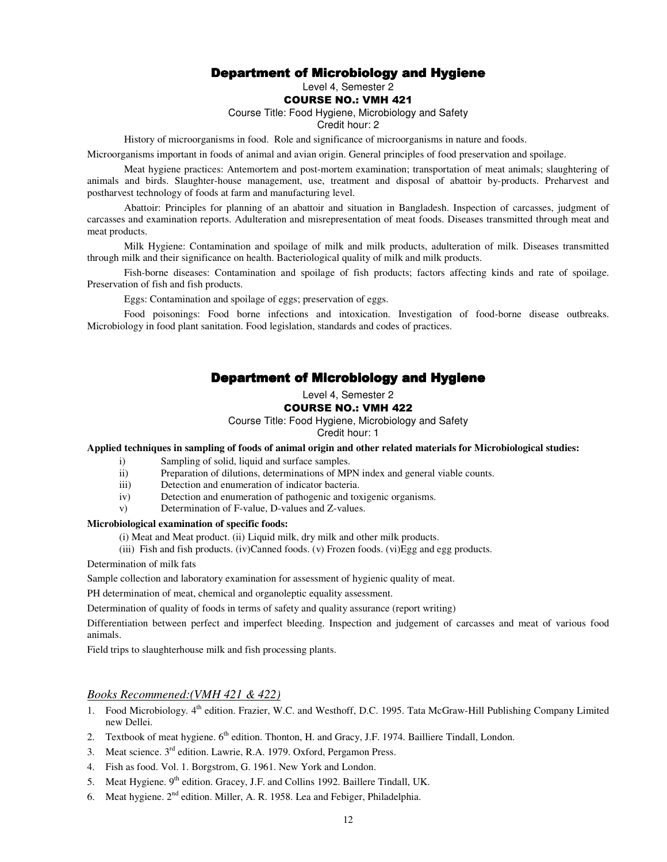# Department of Microbiology and Hygiene

# Level 4, Semester 2

#### COURSE NO.: VMH 421

Course Title: Food Hygiene, Microbiology and Safety

#### Credit hour: 2

History of microorganisms in food. Role and significance of microorganisms in nature and foods.

Microorganisms important in foods of animal and avian origin. General principles of food preservation and spoilage.

Meat hygiene practices: Antemortem and post-mortem examination; transportation of meat animals; slaughtering of animals and birds. Slaughter-house management, use, treatment and disposal of abattoir by-products. Preharvest and postharvest technology of foods at farm and manufacturing level.

Abattoir: Principles for planning of an abattoir and situation in Bangladesh. Inspection of carcasses, judgment of carcasses and examination reports. Adulteration and misrepresentation of meat foods. Diseases transmitted through meat and meat products.

Milk Hygiene: Contamination and spoilage of milk and milk products, adulteration of milk. Diseases transmitted through milk and their significance on health. Bacteriological quality of milk and milk products.

Fish-borne diseases: Contamination and spoilage of fish products; factors affecting kinds and rate of spoilage. Preservation of fish and fish products.

Eggs: Contamination and spoilage of eggs; preservation of eggs.

Food poisonings: Food borne infections and intoxication. Investigation of food-borne disease outbreaks. Microbiology in food plant sanitation. Food legislation, standards and codes of practices.

# Department of Microbiology and Hygiene

Level 4, Semester 2

#### COURSE NO.: VMH 422

Course Title: Food Hygiene, Microbiology and Safety

#### Credit hour: 1

**Applied techniques in sampling of foods of animal origin and other related materials for Microbiological studies:** 

- i) Sampling of solid, liquid and surface samples.
- ii) Preparation of dilutions, determinations of MPN index and general viable counts.
- iii) Detection and enumeration of indicator bacteria.
- iv) Detection and enumeration of pathogenic and toxigenic organisms.
- v) Determination of F-value, D-values and Z-values.

#### **Microbiological examination of specific foods:**

(i) Meat and Meat product. (ii) Liquid milk, dry milk and other milk products.

(iii) Fish and fish products. (iv)Canned foods. (v) Frozen foods. (vi)Egg and egg products.

Determination of milk fats

Sample collection and laboratory examination for assessment of hygienic quality of meat.

PH determination of meat, chemical and organoleptic equality assessment.

Determination of quality of foods in terms of safety and quality assurance (report writing)

Differentiation between perfect and imperfect bleeding. Inspection and judgement of carcasses and meat of various food animals.

Field trips to slaughterhouse milk and fish processing plants.

# *Books Recommened:(VMH 421 & 422)*

- 1. Food Microbiology. 4<sup>th</sup> edition. Frazier, W.C. and Westhoff, D.C. 1995. Tata McGraw-Hill Publishing Company Limited new Dellei.
- 2. Textbook of meat hygiene.  $6<sup>th</sup>$  edition. Thonton, H. and Gracy, J.F. 1974. Bailliere Tindall, London.
- 3. Meat science. 3rd edition. Lawrie, R.A. 1979. Oxford, Pergamon Press.
- 4. Fish as food. Vol. 1. Borgstrom, G. 1961. New York and London.
- 5. Meat Hygiene. 9<sup>th</sup> edition. Gracey, J.F. and Collins 1992. Baillere Tindall, UK.
- 6. Meat hygiene.  $2<sup>nd</sup>$  edition. Miller, A. R. 1958. Lea and Febiger, Philadelphia.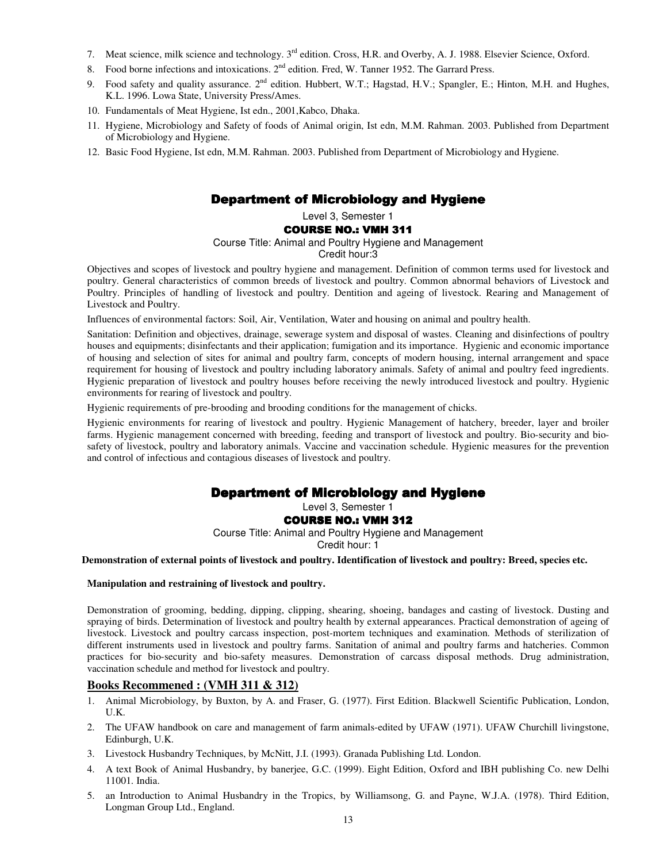- 7. Meat science, milk science and technology. 3<sup>rd</sup> edition. Cross, H.R. and Overby, A. J. 1988. Elsevier Science, Oxford.
- 8. Food borne infections and intoxications. 2<sup>nd</sup> edition. Fred, W. Tanner 1952. The Garrard Press.
- 9. Food safety and quality assurance. 2<sup>nd</sup> edition. Hubbert, W.T.; Hagstad, H.V.; Spangler, E.; Hinton, M.H. and Hughes, K.L. 1996. Lowa State, University Press/Ames.
- 10. Fundamentals of Meat Hygiene, Ist edn., 2001,Kabco, Dhaka.
- 11. Hygiene, Microbiology and Safety of foods of Animal origin, Ist edn, M.M. Rahman. 2003. Published from Department of Microbiology and Hygiene.
- 12. Basic Food Hygiene, Ist edn, M.M. Rahman. 2003. Published from Department of Microbiology and Hygiene.

# Department of Microbiology and Hygiene

# Level 3, Semester 1

#### COURSE NO.: VMH 311

#### Course Title: Animal and Poultry Hygiene and Management

#### Credit hour:3

Objectives and scopes of livestock and poultry hygiene and management. Definition of common terms used for livestock and poultry. General characteristics of common breeds of livestock and poultry. Common abnormal behaviors of Livestock and Poultry. Principles of handling of livestock and poultry. Dentition and ageing of livestock. Rearing and Management of Livestock and Poultry.

Influences of environmental factors: Soil, Air, Ventilation, Water and housing on animal and poultry health.

Sanitation: Definition and objectives, drainage, sewerage system and disposal of wastes. Cleaning and disinfections of poultry houses and equipments; disinfectants and their application; fumigation and its importance. Hygienic and economic importance of housing and selection of sites for animal and poultry farm, concepts of modern housing, internal arrangement and space requirement for housing of livestock and poultry including laboratory animals. Safety of animal and poultry feed ingredients. Hygienic preparation of livestock and poultry houses before receiving the newly introduced livestock and poultry. Hygienic environments for rearing of livestock and poultry.

Hygienic requirements of pre-brooding and brooding conditions for the management of chicks.

Hygienic environments for rearing of livestock and poultry. Hygienic Management of hatchery, breeder, layer and broiler farms. Hygienic management concerned with breeding, feeding and transport of livestock and poultry. Bio-security and biosafety of livestock, poultry and laboratory animals. Vaccine and vaccination schedule. Hygienic measures for the prevention and control of infectious and contagious diseases of livestock and poultry.

# Department of Microbiology and Hygiene

# Level 3, Semester 1

COURSE NO.: VMH 312

Course Title: Animal and Poultry Hygiene and Management

Credit hour: 1

#### **Demonstration of external points of livestock and poultry. Identification of livestock and poultry: Breed, species etc.**

#### **Manipulation and restraining of livestock and poultry.**

Demonstration of grooming, bedding, dipping, clipping, shearing, shoeing, bandages and casting of livestock. Dusting and spraying of birds. Determination of livestock and poultry health by external appearances. Practical demonstration of ageing of livestock. Livestock and poultry carcass inspection, post-mortem techniques and examination. Methods of sterilization of different instruments used in livestock and poultry farms. Sanitation of animal and poultry farms and hatcheries. Common practices for bio-security and bio-safety measures. Demonstration of carcass disposal methods. Drug administration, vaccination schedule and method for livestock and poultry.

# **Books Recommened : (VMH 311 & 312)**

- 1. Animal Microbiology, by Buxton, by A. and Fraser, G. (1977). First Edition. Blackwell Scientific Publication, London, U.K.
- 2. The UFAW handbook on care and management of farm animals-edited by UFAW (1971). UFAW Churchill livingstone, Edinburgh, U.K.
- 3. Livestock Husbandry Techniques, by McNitt, J.I. (1993). Granada Publishing Ltd. London.
- 4. A text Book of Animal Husbandry, by banerjee, G.C. (1999). Eight Edition, Oxford and IBH publishing Co. new Delhi 11001. India.
- 5. an Introduction to Animal Husbandry in the Tropics, by Williamsong, G. and Payne, W.J.A. (1978). Third Edition, Longman Group Ltd., England.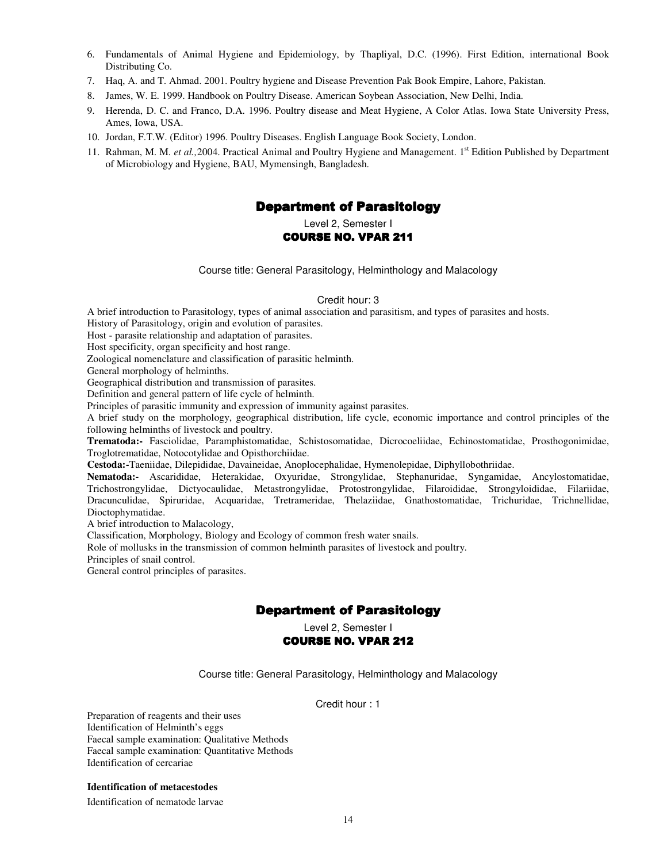- 6. Fundamentals of Animal Hygiene and Epidemiology, by Thapliyal, D.C. (1996). First Edition, international Book Distributing Co.
- 7. Haq, A. and T. Ahmad. 2001. Poultry hygiene and Disease Prevention Pak Book Empire, Lahore, Pakistan.
- 8. James, W. E. 1999. Handbook on Poultry Disease. American Soybean Association, New Delhi, India.
- 9. Herenda, D. C. and Franco, D.A. 1996. Poultry disease and Meat Hygiene, A Color Atlas. Iowa State University Press, Ames, Iowa, USA.
- 10. Jordan, F.T.W. (Editor) 1996. Poultry Diseases. English Language Book Society, London.
- 11. Rahman, M. M. *et al.,*2004. Practical Animal and Poultry Hygiene and Management. 1st Edition Published by Department of Microbiology and Hygiene, BAU, Mymensingh, Bangladesh.

# **Department of Parasitology**

Level 2, Semester I

### COURSE NO. VPAR 211

Course title: General Parasitology, Helminthology and Malacology

#### Credit hour: 3

A brief introduction to Parasitology, types of animal association and parasitism, and types of parasites and hosts.

History of Parasitology, origin and evolution of parasites.

Host - parasite relationship and adaptation of parasites.

Host specificity, organ specificity and host range.

Zoological nomenclature and classification of parasitic helminth.

General morphology of helminths.

Geographical distribution and transmission of parasites.

Definition and general pattern of life cycle of helminth.

Principles of parasitic immunity and expression of immunity against parasites.

A brief study on the morphology, geographical distribution, life cycle, economic importance and control principles of the following helminths of livestock and poultry.

**Trematoda:-** Fasciolidae, Paramphistomatidae, Schistosomatidae, Dicrocoeliidae, Echinostomatidae, Prosthogonimidae, Troglotrematidae, Notocotylidae and Opisthorchiidae.

**Cestoda:-**Taeniidae, Dilepididae, Davaineidae, Anoplocephalidae, Hymenolepidae, Diphyllobothriidae.

**Nematoda:-** Ascarididae, Heterakidae, Oxyuridae, Strongylidae, Stephanuridae, Syngamidae, Ancylostomatidae, Trichostrongylidae, Dictyocaulidae, Metastrongylidae, Protostrongylidae, Filaroididae, Strongyloididae, Filariidae, Dracunculidae, Spiruridae, Acquaridae, Tretrameridae, Thelaziidae, Gnathostomatidae, Trichuridae, Trichnellidae, Dioctophymatidae.

A brief introduction to Malacology,

Classification, Morphology, Biology and Ecology of common fresh water snails.

Role of mollusks in the transmission of common helminth parasites of livestock and poultry.

Principles of snail control.

General control principles of parasites.

# **Department of Parasitology**

Level 2, Semester I

#### **COURSE NO. VPAR 212**

Course title: General Parasitology, Helminthology and Malacology

Credit hour : 1

Preparation of reagents and their uses Identification of Helminth's eggs Faecal sample examination: Qualitative Methods Faecal sample examination: Quantitative Methods Identification of cercariae

**Identification of metacestodes** 

Identification of nematode larvae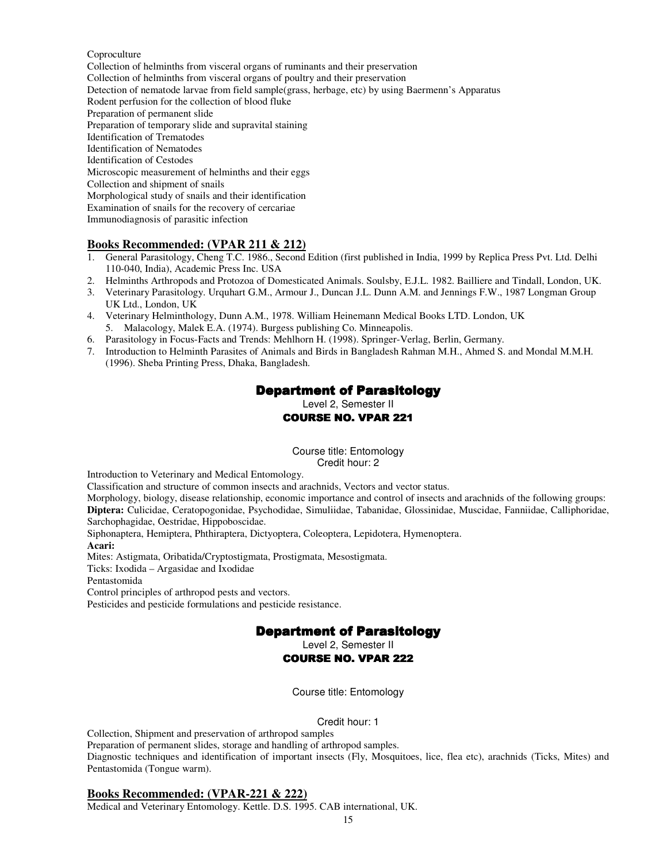#### Coproculture

Collection of helminths from visceral organs of ruminants and their preservation Collection of helminths from visceral organs of poultry and their preservation Detection of nematode larvae from field sample(grass, herbage, etc) by using Baermenn's Apparatus Rodent perfusion for the collection of blood fluke Preparation of permanent slide Preparation of temporary slide and supravital staining Identification of Trematodes Identification of Nematodes Identification of Cestodes Microscopic measurement of helminths and their eggs Collection and shipment of snails Morphological study of snails and their identification Examination of snails for the recovery of cercariae Immunodiagnosis of parasitic infection

#### **Books Recommended: (VPAR 211 & 212)**

- 1. General Parasitology, Cheng T.C. 1986., Second Edition (first published in India, 1999 by Replica Press Pvt. Ltd. Delhi 110-040, India), Academic Press Inc. USA
- 2. Helminths Arthropods and Protozoa of Domesticated Animals. Soulsby, E.J.L. 1982. Bailliere and Tindall, London, UK.
- 3. Veterinary Parasitology. Urquhart G.M., Armour J., Duncan J.L. Dunn A.M. and Jennings F.W., 1987 Longman Group UK Ltd., London, UK
- 4. Veterinary Helminthology, Dunn A.M., 1978. William Heinemann Medical Books LTD. London, UK 5. Malacology, Malek E.A. (1974). Burgess publishing Co. Minneapolis.
- 6. Parasitology in Focus-Facts and Trends: Mehlhorn H. (1998). Springer-Verlag, Berlin, Germany.
- 7. Introduction to Helminth Parasites of Animals and Birds in Bangladesh Rahman M.H., Ahmed S. and Mondal M.M.H. (1996). Sheba Printing Press, Dhaka, Bangladesh.

# **Department of Parasitology**

Level 2, Semester II COURSE NO. VPAR 221

Course title: Entomology Credit hour: 2

Introduction to Veterinary and Medical Entomology.

Classification and structure of common insects and arachnids, Vectors and vector status.

Morphology, biology, disease relationship, economic importance and control of insects and arachnids of the following groups: **Diptera:** Culicidae, Ceratopogonidae, Psychodidae, Simuliidae, Tabanidae, Glossinidae, Muscidae, Fanniidae, Calliphoridae, Sarchophagidae, Oestridae, Hippoboscidae.

Siphonaptera, Hemiptera, Phthiraptera, Dictyoptera, Coleoptera, Lepidotera, Hymenoptera.

**Acari:**

Mites: Astigmata, Oribatida/Cryptostigmata, Prostigmata, Mesostigmata.

Ticks: Ixodida – Argasidae and Ixodidae

Pentastomida

Control principles of arthropod pests and vectors.

Pesticides and pesticide formulations and pesticide resistance.

# **Department of Parasitology**

Level 2, Semester II

#### **COURSE NO. VPAR 222**

Course title: Entomology

Credit hour: 1

Collection, Shipment and preservation of arthropod samples Preparation of permanent slides, storage and handling of arthropod samples. Diagnostic techniques and identification of important insects (Fly, Mosquitoes, lice, flea etc), arachnids (Ticks, Mites) and Pentastomida (Tongue warm).

#### **Books Recommended: (VPAR-221 & 222)**

Medical and Veterinary Entomology. Kettle. D.S. 1995. CAB international, UK.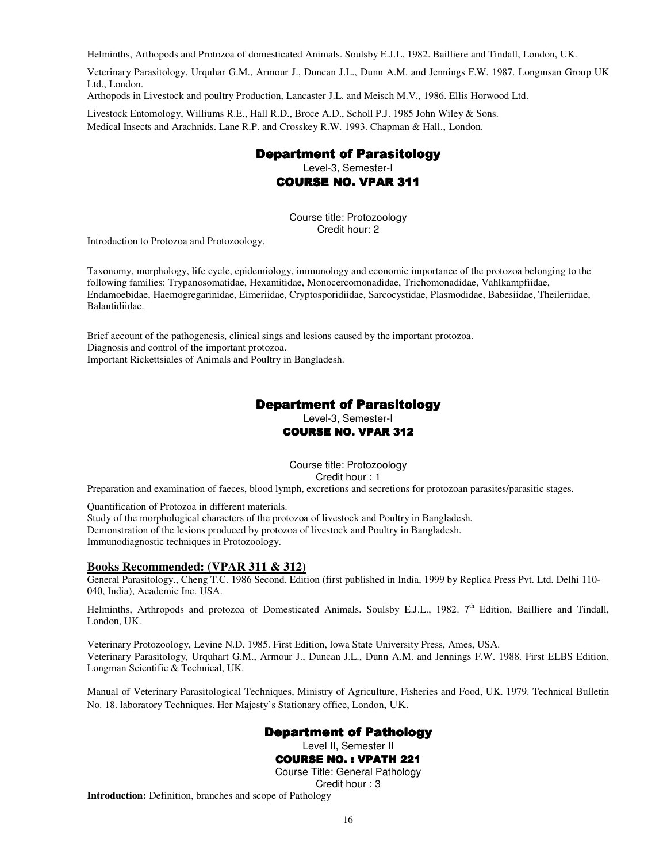Helminths, Arthopods and Protozoa of domesticated Animals. Soulsby E.J.L. 1982. Bailliere and Tindall, London, UK.

Veterinary Parasitology, Urquhar G.M., Armour J., Duncan J.L., Dunn A.M. and Jennings F.W. 1987. Longmsan Group UK Ltd., London.

Arthopods in Livestock and poultry Production, Lancaster J.L. and Meisch M.V., 1986. Ellis Horwood Ltd.

Livestock Entomology, Williums R.E., Hall R.D., Broce A.D., Scholl P.J. 1985 John Wiley & Sons. Medical Insects and Arachnids. Lane R.P. and Crosskey R.W. 1993. Chapman & Hall., London.

# **Department of Parasitology**

Level-3, Semester-I

**COURSE NO. VPAR 311** 

Course title: Protozoology Credit hour: 2

Introduction to Protozoa and Protozoology.

Taxonomy, morphology, life cycle, epidemiology, immunology and economic importance of the protozoa belonging to the following families: Trypanosomatidae, Hexamitidae, Monocercomonadidae, Trichomonadidae, Vahlkampfiidae, Endamoebidae, Haemogregarinidae, Eimeriidae, Cryptosporidiidae, Sarcocystidae, Plasmodidae, Babesiidae, Theileriidae, Balantidiidae.

Brief account of the pathogenesis, clinical sings and lesions caused by the important protozoa. Diagnosis and control of the important protozoa. Important Rickettsiales of Animals and Poultry in Bangladesh.

# **Department of Parasitology**

Level-3, Semester-I

### COURSE NO. VPAR 312

Course title: Protozoology Credit hour : 1

Preparation and examination of faeces, blood lymph, excretions and secretions for protozoan parasites/parasitic stages.

Quantification of Protozoa in different materials.

Study of the morphological characters of the protozoa of livestock and Poultry in Bangladesh. Demonstration of the lesions produced by protozoa of livestock and Poultry in Bangladesh. Immunodiagnostic techniques in Protozoology.

# **Books Recommended: (VPAR 311 & 312)**

General Parasitology., Cheng T.C. 1986 Second. Edition (first published in India, 1999 by Replica Press Pvt. Ltd. Delhi 110- 040, India), Academic Inc. USA.

Helminths, Arthropods and protozoa of Domesticated Animals. Soulsby E.J.L., 1982. 7<sup>th</sup> Edition, Bailliere and Tindall, London, UK.

Veterinary Protozoology, Levine N.D. 1985. First Edition, lowa State University Press, Ames, USA. Veterinary Parasitology, Urquhart G.M., Armour J., Duncan J.L., Dunn A.M. and Jennings F.W. 1988. First ELBS Edition. Longman Scientific & Technical, UK.

Manual of Veterinary Parasitological Techniques, Ministry of Agriculture, Fisheries and Food, UK. 1979. Technical Bulletin No. 18. laboratory Techniques. Her Majesty's Stationary office, London, UK.

# **Department of Pathology**

Level II, Semester II

# **COURSE NO. : VPATH 221**

Course Title: General Pathology Credit hour : 3

**Introduction:** Definition, branches and scope of Pathology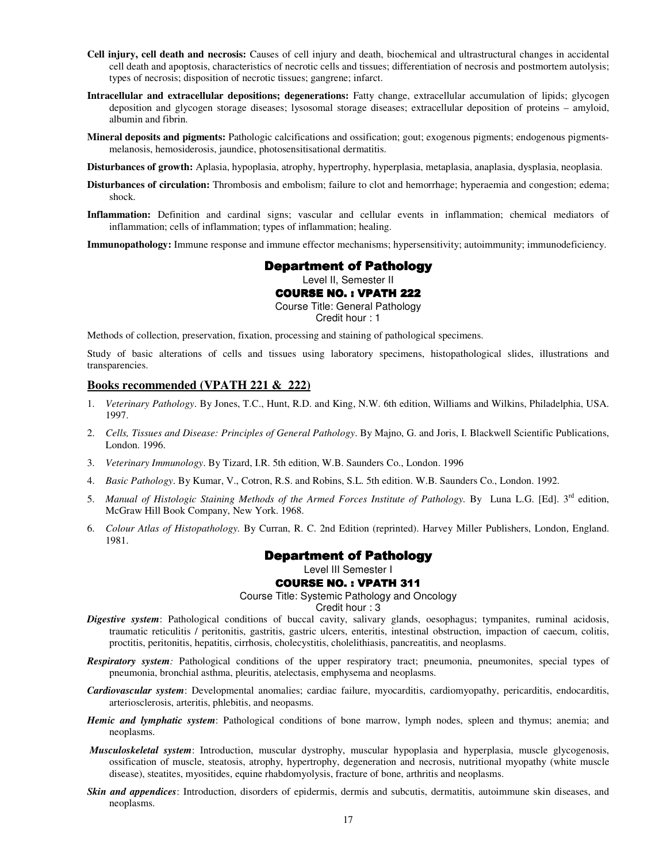- **Cell injury, cell death and necrosis:** Causes of cell injury and death, biochemical and ultrastructural changes in accidental cell death and apoptosis, characteristics of necrotic cells and tissues; differentiation of necrosis and postmortem autolysis; types of necrosis; disposition of necrotic tissues; gangrene; infarct.
- **Intracellular and extracellular depositions; degenerations:** Fatty change, extracellular accumulation of lipids; glycogen deposition and glycogen storage diseases; lysosomal storage diseases; extracellular deposition of proteins – amyloid, albumin and fibrin.
- **Mineral deposits and pigments:** Pathologic calcifications and ossification; gout; exogenous pigments; endogenous pigmentsmelanosis, hemosiderosis, jaundice, photosensitisational dermatitis.

**Disturbances of growth:** Aplasia, hypoplasia, atrophy, hypertrophy, hyperplasia, metaplasia, anaplasia, dysplasia, neoplasia.

- **Disturbances of circulation:** Thrombosis and embolism; failure to clot and hemorrhage; hyperaemia and congestion; edema; shock.
- **Inflammation:** Definition and cardinal signs; vascular and cellular events in inflammation; chemical mediators of inflammation; cells of inflammation; types of inflammation; healing.

**Immunopathology:** Immune response and immune effector mechanisms; hypersensitivity; autoimmunity; immunodeficiency.

#### **Department of Pathology**

Level II, Semester II

#### **COURSE NO. : VPATH 222**

Course Title: General Pathology Credit hour : 1

Methods of collection, preservation, fixation, processing and staining of pathological specimens.

Study of basic alterations of cells and tissues using laboratory specimens, histopathological slides, illustrations and transparencies.

#### **Books recommended (VPATH 221 & 222)**

- 1. *Veterinary Pathology*. By Jones, T.C., Hunt, R.D. and King, N.W. 6th edition, Williams and Wilkins, Philadelphia, USA. 1997.
- 2. *Cells, Tissues and Disease: Principles of General Pathology*. By Majno, G. and Joris, I. Blackwell Scientific Publications, London. 1996.
- 3. *Veterinary Immunology*. By Tizard, I.R. 5th edition, W.B. Saunders Co., London. 1996
- 4. *Basic Pathology*. By Kumar, V., Cotron, R.S. and Robins, S.L. 5th edition. W.B. Saunders Co., London. 1992.
- 5. *Manual of Histologic Staining Methods of the Armed Forces Institute of Pathology.* By Luna L.G. [Ed]. 3<sup>rd</sup> edition, McGraw Hill Book Company, New York. 1968.
- 6. *Colour Atlas of Histopathology.* By Curran, R. C. 2nd Edition (reprinted). Harvey Miller Publishers, London, England. 1981.

# **Department of Pathology**

Level III Semester I

#### **COURSE NO. : VPATH 311**

Course Title: Systemic Pathology and Oncology

Credit hour : 3

- *Digestive system*: Pathological conditions of buccal cavity, salivary glands, oesophagus; tympanites, ruminal acidosis, traumatic reticulitis / peritonitis, gastritis, gastric ulcers, enteritis, intestinal obstruction, impaction of caecum, colitis, proctitis, peritonitis, hepatitis, cirrhosis, cholecystitis, cholelithiasis, pancreatitis, and neoplasms.
- *Respiratory system:* Pathological conditions of the upper respiratory tract; pneumonia, pneumonites, special types of pneumonia, bronchial asthma, pleuritis, atelectasis, emphysema and neoplasms.
- *Cardiovascular system*: Developmental anomalies; cardiac failure, myocarditis, cardiomyopathy, pericarditis, endocarditis, arteriosclerosis, arteritis, phlebitis, and neopasms.
- *Hemic and lymphatic system*: Pathological conditions of bone marrow, lymph nodes, spleen and thymus; anemia; and neoplasms.
- *Musculoskeletal system*: Introduction, muscular dystrophy, muscular hypoplasia and hyperplasia, muscle glycogenosis, ossification of muscle, steatosis, atrophy, hypertrophy, degeneration and necrosis, nutritional myopathy (white muscle disease), steatites, myositides, equine rhabdomyolysis, fracture of bone, arthritis and neoplasms.
- *Skin and appendices*: Introduction, disorders of epidermis, dermis and subcutis, dermatitis, autoimmune skin diseases, and neoplasms.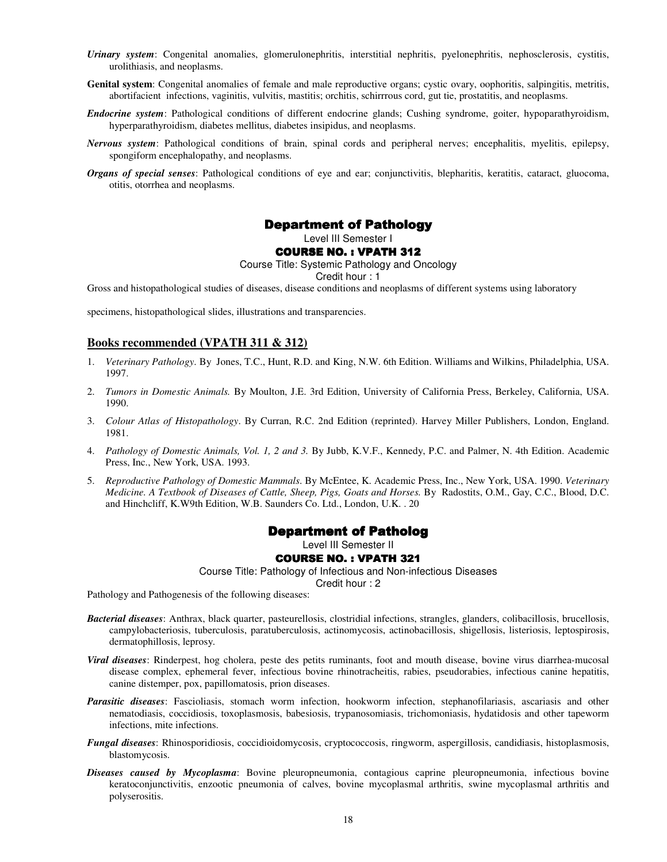- *Urinary system*: Congenital anomalies, glomerulonephritis, interstitial nephritis, pyelonephritis, nephosclerosis, cystitis, urolithiasis, and neoplasms.
- **Genital system**: Congenital anomalies of female and male reproductive organs; cystic ovary, oophoritis, salpingitis, metritis, abortifacient infections, vaginitis, vulvitis, mastitis; orchitis, schirrrous cord, gut tie, prostatitis, and neoplasms.
- *Endocrine system*: Pathological conditions of different endocrine glands; Cushing syndrome, goiter, hypoparathyroidism, hyperparathyroidism, diabetes mellitus, diabetes insipidus, and neoplasms.
- *Nervous system*: Pathological conditions of brain, spinal cords and peripheral nerves; encephalitis, myelitis, epilepsy, spongiform encephalopathy, and neoplasms.
- *Organs of special senses*: Pathological conditions of eye and ear; conjunctivitis, blepharitis, keratitis, cataract, gluocoma, otitis, otorrhea and neoplasms.

# **Department of Pathology**

Level III Semester I

#### **COURSE NO. : VPATH 312**

Course Title: Systemic Pathology and Oncology

Credit hour : 1

Gross and histopathological studies of diseases, disease conditions and neoplasms of different systems using laboratory

specimens, histopathological slides, illustrations and transparencies.

#### **Books recommended (VPATH 311 & 312)**

- 1. *Veterinary Pathology*. By Jones, T.C., Hunt, R.D. and King, N.W. 6th Edition. Williams and Wilkins, Philadelphia, USA. 1997.
- 2. *Tumors in Domestic Animals.* By Moulton, J.E. 3rd Edition, University of California Press, Berkeley, California, USA. 1990.
- 3. *Colour Atlas of Histopathology*. By Curran, R.C. 2nd Edition (reprinted). Harvey Miller Publishers, London, England. 1981.
- 4. *Pathology of Domestic Animals, Vol. 1, 2 and 3.* By Jubb, K.V.F., Kennedy, P.C. and Palmer, N. 4th Edition. Academic Press, Inc., New York, USA. 1993.
- 5. *Reproductive Pathology of Domestic Mammals*. By McEntee, K. Academic Press, Inc., New York, USA. 1990. *Veterinary Medicine. A Textbook of Diseases of Cattle, Sheep, Pigs, Goats and Horses.* By Radostits, O.M., Gay, C.C., Blood, D.C. and Hinchcliff, K.W9th Edition, W.B. Saunders Co. Ltd., London, U.K. . 20

#### Department of Patholog

Level III Semester II

#### **COURSE NO. : VPATH 321**

Course Title: Pathology of Infectious and Non-infectious Diseases

Credit hour : 2

Pathology and Pathogenesis of the following diseases:

- *Bacterial diseases*: Anthrax, black quarter, pasteurellosis, clostridial infections, strangles, glanders, colibacillosis, brucellosis, campylobacteriosis, tuberculosis, paratuberculosis, actinomycosis, actinobacillosis, shigellosis, listeriosis, leptospirosis, dermatophillosis, leprosy.
- *Viral diseases*: Rinderpest, hog cholera, peste des petits ruminants, foot and mouth disease, bovine virus diarrhea-mucosal disease complex, ephemeral fever, infectious bovine rhinotracheitis, rabies, pseudorabies, infectious canine hepatitis, canine distemper, pox, papillomatosis, prion diseases.
- *Parasitic diseases*: Fascioliasis, stomach worm infection, hookworm infection, stephanofilariasis, ascariasis and other nematodiasis, coccidiosis, toxoplasmosis, babesiosis, trypanosomiasis, trichomoniasis, hydatidosis and other tapeworm infections, mite infections.
- *Fungal diseases*: Rhinosporidiosis, coccidioidomycosis, cryptococcosis, ringworm, aspergillosis, candidiasis, histoplasmosis, blastomycosis.
- *Diseases caused by Mycoplasma*: Bovine pleuropneumonia, contagious caprine pleuropneumonia, infectious bovine keratoconjunctivitis, enzootic pneumonia of calves, bovine mycoplasmal arthritis, swine mycoplasmal arthritis and polyserositis.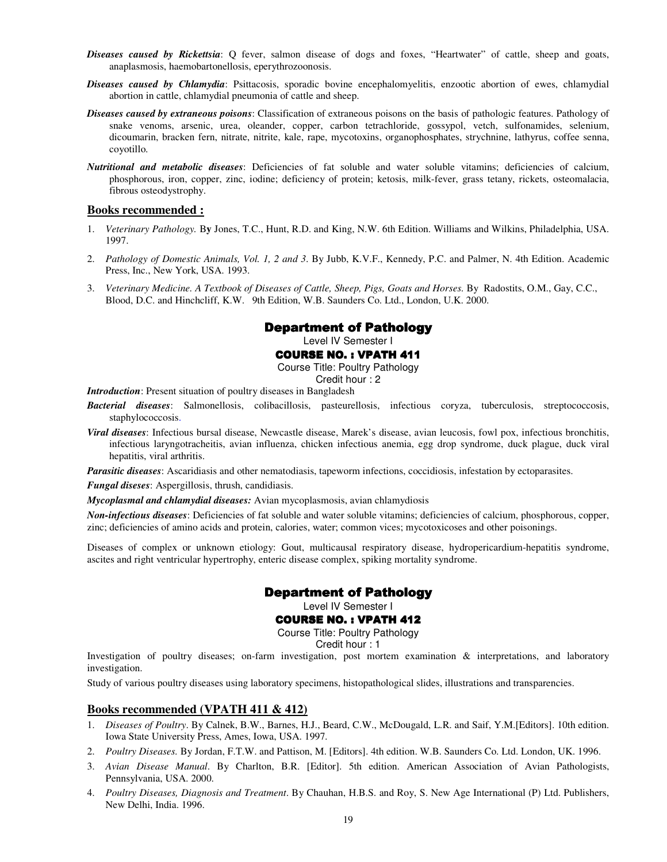- *Diseases caused by Rickettsia*: Q fever, salmon disease of dogs and foxes, "Heartwater" of cattle, sheep and goats, anaplasmosis, haemobartonellosis, eperythrozoonosis.
- *Diseases caused by Chlamydia*: Psittacosis, sporadic bovine encephalomyelitis, enzootic abortion of ewes, chlamydial abortion in cattle, chlamydial pneumonia of cattle and sheep.
- *Diseases caused by extraneous poisons*: Classification of extraneous poisons on the basis of pathologic features. Pathology of snake venoms, arsenic, urea, oleander, copper, carbon tetrachloride, gossypol, vetch, sulfonamides, selenium, dicoumarin, bracken fern, nitrate, nitrite, kale, rape, mycotoxins, organophosphates, strychnine, lathyrus, coffee senna, coyotillo.
- *Nutritional and metabolic diseases*: Deficiencies of fat soluble and water soluble vitamins; deficiencies of calcium, phosphorous, iron, copper, zinc, iodine; deficiency of protein; ketosis, milk-fever, grass tetany, rickets, osteomalacia, fibrous osteodystrophy.

#### **Books recommended :**

- 1. *Veterinary Pathology.* B**y** Jones, T.C., Hunt, R.D. and King, N.W. 6th Edition. Williams and Wilkins, Philadelphia, USA. 1997.
- 2. *Pathology of Domestic Animals, Vol. 1, 2 and 3*. By Jubb, K.V.F., Kennedy, P.C. and Palmer, N. 4th Edition. Academic Press, Inc., New York, USA. 1993.
- 3. *Veterinary Medicine. A Textbook of Diseases of Cattle, Sheep, Pigs, Goats and Horses.* By Radostits, O.M., Gay, C.C., Blood, D.C. and Hinchcliff, K.W. 9th Edition, W.B. Saunders Co. Ltd., London, U.K. 2000.

# **Department of Pathology**

Level IV Semester I

**COURSE NO. : VPATH 411** 

Course Title: Poultry Pathology

Credit hour : 2

*Introduction*: Present situation of poultry diseases in Bangladesh

- *Bacterial diseases*: Salmonellosis, colibacillosis, pasteurellosis, infectious coryza, tuberculosis, streptococcosis, staphylococcosis.
- *Viral diseases*: Infectious bursal disease, Newcastle disease, Marek's disease, avian leucosis, fowl pox, infectious bronchitis, infectious laryngotracheitis, avian influenza, chicken infectious anemia, egg drop syndrome, duck plague, duck viral hepatitis, viral arthritis.

*Parasitic diseases*: Ascaridiasis and other nematodiasis, tapeworm infections, coccidiosis, infestation by ectoparasites.

*Fungal diseses*: Aspergillosis, thrush, candidiasis.

*Mycoplasmal and chlamydial diseases:* Avian mycoplasmosis, avian chlamydiosis

*Non-infectious diseases*: Deficiencies of fat soluble and water soluble vitamins; deficiencies of calcium, phosphorous, copper, zinc; deficiencies of amino acids and protein, calories, water; common vices; mycotoxicoses and other poisonings.

Diseases of complex or unknown etiology: Gout, multicausal respiratory disease, hydropericardium-hepatitis syndrome, ascites and right ventricular hypertrophy, enteric disease complex, spiking mortality syndrome.

**Department of Pathology** 

Level IV Semester I

#### **COURSE NO.: VPATH 412**

Course Title: Poultry Pathology

Credit hour : 1

Investigation of poultry diseases; on-farm investigation, post mortem examination & interpretations, and laboratory investigation.

Study of various poultry diseases using laboratory specimens, histopathological slides, illustrations and transparencies.

# **Books recommended (VPATH 411 & 412)**

- 1. *Diseases of Poultry*. By Calnek, B.W., Barnes, H.J., Beard, C.W., McDougald, L.R. and Saif, Y.M.[Editors]. 10th edition. Iowa State University Press, Ames, Iowa, USA. 1997.
- 2. *Poultry Diseases.* By Jordan, F.T.W. and Pattison, M. [Editors]. 4th edition. W.B. Saunders Co. Ltd. London, UK. 1996.
- 3. *Avian Disease Manual*. By Charlton, B.R. [Editor]. 5th edition. American Association of Avian Pathologists, Pennsylvania, USA. 2000.
- 4. *Poultry Diseases, Diagnosis and Treatment*. By Chauhan, H.B.S. and Roy, S. New Age International (P) Ltd. Publishers, New Delhi, India. 1996.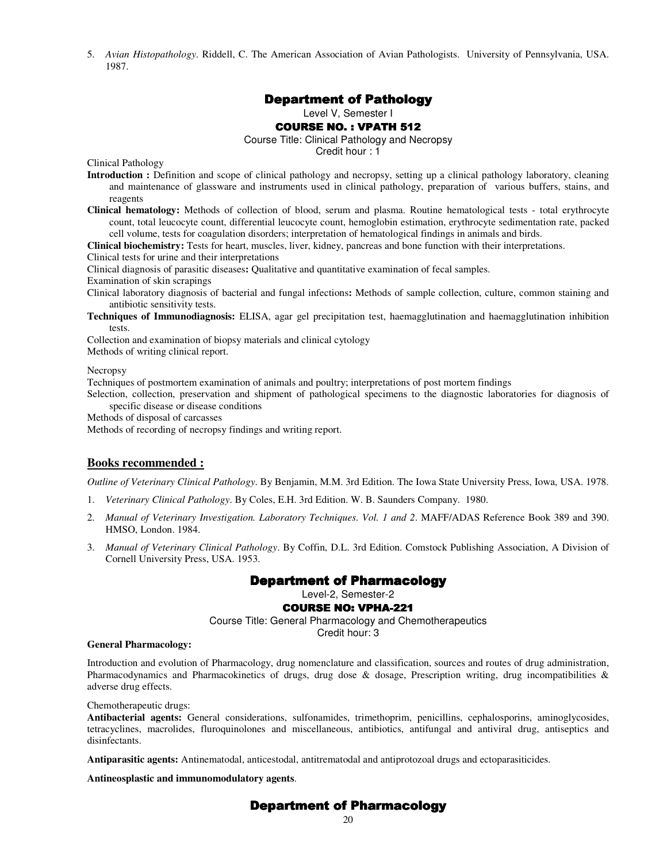5. *Avian Histopathology*. Riddell, C. The American Association of Avian Pathologists. University of Pennsylvania, USA. 1987.

# **Department of Pathology**

Level V, Semester I

#### **COURSE NO. : VPATH 512**

Course Title: Clinical Pathology and Necropsy

Credit hour : 1

Clinical Pathology

- **Introduction :** Definition and scope of clinical pathology and necropsy, setting up a clinical pathology laboratory, cleaning and maintenance of glassware and instruments used in clinical pathology, preparation of various buffers, stains, and reagents
- **Clinical hematology:** Methods of collection of blood, serum and plasma. Routine hematological tests total erythrocyte count, total leucocyte count, differential leucocyte count, hemoglobin estimation, erythrocyte sedimentation rate, packed cell volume, tests for coagulation disorders; interpretation of hematological findings in animals and birds.
- **Clinical biochemistry:** Tests for heart, muscles, liver, kidney, pancreas and bone function with their interpretations.

Clinical tests for urine and their interpretations

Clinical diagnosis of parasitic diseases**:** Qualitative and quantitative examination of fecal samples.

Examination of skin scrapings

- Clinical laboratory diagnosis of bacterial and fungal infections**:** Methods of sample collection, culture, common staining and antibiotic sensitivity tests.
- **Techniques of Immunodiagnosis:** ELISA, agar gel precipitation test, haemagglutination and haemagglutination inhibition tests.

Collection and examination of biopsy materials and clinical cytology Methods of writing clinical report.

**Necropsy** 

Techniques of postmortem examination of animals and poultry; interpretations of post mortem findings

Selection, collection, preservation and shipment of pathological specimens to the diagnostic laboratories for diagnosis of specific disease or disease conditions

Methods of disposal of carcasses

Methods of recording of necropsy findings and writing report.

# **Books recommended :**

*Outline of Veterinary Clinical Pathology*. By Benjamin, M.M. 3rd Edition. The Iowa State University Press, Iowa, USA. 1978.

- 1. *Veterinary Clinical Pathology*. By Coles, E.H. 3rd Edition. W. B. Saunders Company. 1980.
- 2. *Manual of Veterinary Investigation. Laboratory Techniques. Vol. 1 and 2*. MAFF/ADAS Reference Book 389 and 390. HMSO, London. 1984.
- 3. *Manual of Veterinary Clinical Pathology*. By Coffin, D.L. 3rd Edition. Comstock Publishing Association, A Division of Cornell University Press, USA. 1953.

# **Department of Pharmacology**

Level-2, Semester-2

#### **COURSE NO: VPHA-221**

Course Title: General Pharmacology and Chemotherapeutics

Credit hour: 3

#### **General Pharmacology:**

Introduction and evolution of Pharmacology, drug nomenclature and classification, sources and routes of drug administration, Pharmacodynamics and Pharmacokinetics of drugs, drug dose & dosage, Prescription writing, drug incompatibilities & adverse drug effects.

Chemotherapeutic drugs:

**Antibacterial agents:** General considerations, sulfonamides, trimethoprim, penicillins, cephalosporins, aminoglycosides, tetracyclines, macrolides, fluroquinolones and miscellaneous, antibiotics, antifungal and antiviral drug, antiseptics and disinfectants.

**Antiparasitic agents:** Antinematodal, anticestodal, antitrematodal and antiprotozoal drugs and ectoparasiticides.

**Antineosplastic and immunomodulatory agents**.

# **Department of Pharmacology**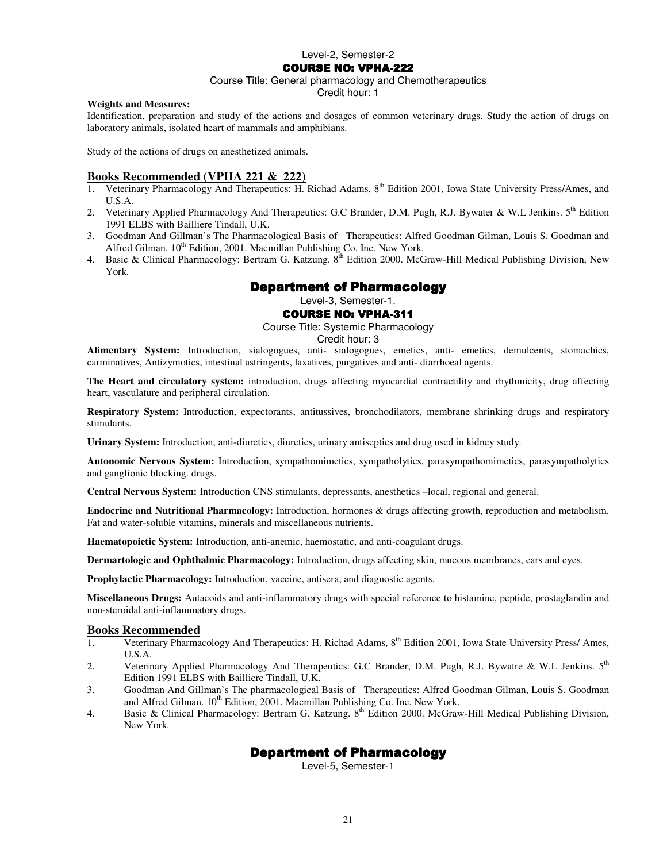#### **COURSE NO: VPHA-222**

#### Course Title: General pharmacology and Chemotherapeutics

Credit hour: 1

#### **Weights and Measures:**

Identification, preparation and study of the actions and dosages of common veterinary drugs. Study the action of drugs on laboratory animals, isolated heart of mammals and amphibians.

Study of the actions of drugs on anesthetized animals.

#### **Books Recommended (VPHA 221 & 222)**

- 1. Veterinary Pharmacology And Therapeutics: H. Richad Adams,  $8<sup>th</sup>$  Edition 2001, Iowa State University Press/Ames, and U.S.A.
- 2. Veterinary Applied Pharmacology And Therapeutics: G.C Brander, D.M. Pugh, R.J. Bywater & W.L Jenkins. 5<sup>th</sup> Edition 1991 ELBS with Bailliere Tindall, U.K.
- 3. Goodman And Gillman's The Pharmacological Basis of Therapeutics: Alfred Goodman Gilman, Louis S. Goodman and Alfred Gilman.  $10^{th}$  Edition, 2001. Macmillan Publishing Co. Inc. New York.
- 4. Basic & Clinical Pharmacology: Bertram G. Katzung. 8<sup>th</sup> Edition 2000. McGraw-Hill Medical Publishing Division, New York.

# **Department of Pharmacology**

# Level-3, Semester-1.

#### **COURSE NO: VPHA-311**

Course Title: Systemic Pharmacology

Credit hour: 3

**Alimentary System:** Introduction, sialogogues, anti- sialogogues, emetics, anti- emetics, demulcents, stomachics, carminatives, Antizymotics, intestinal astringents, laxatives, purgatives and anti- diarrhoeal agents.

**The Heart and circulatory system:** introduction, drugs affecting myocardial contractility and rhythmicity, drug affecting heart, vasculature and peripheral circulation.

**Respiratory System:** Introduction, expectorants, antitussives, bronchodilators, membrane shrinking drugs and respiratory stimulants.

**Urinary System:** Introduction, anti-diuretics, diuretics, urinary antiseptics and drug used in kidney study.

**Autonomic Nervous System:** Introduction, sympathomimetics, sympatholytics, parasympathomimetics, parasympatholytics and ganglionic blocking. drugs.

**Central Nervous System:** Introduction CNS stimulants, depressants, anesthetics –local, regional and general.

**Endocrine and Nutritional Pharmacology:** Introduction, hormones & drugs affecting growth, reproduction and metabolism. Fat and water-soluble vitamins, minerals and miscellaneous nutrients.

**Haematopoietic System:** Introduction, anti-anemic, haemostatic, and anti-coagulant drugs.

**Dermartologic and Ophthalmic Pharmacology:** Introduction, drugs affecting skin, mucous membranes, ears and eyes.

**Prophylactic Pharmacology:** Introduction, vaccine, antisera, and diagnostic agents.

**Miscellaneous Drugs:** Autacoids and anti-inflammatory drugs with special reference to histamine, peptide, prostaglandin and non-steroidal anti-inflammatory drugs.

#### **Books Recommended**

- 1. Veterinary Pharmacology And Therapeutics: H. Richad Adams, 8th Edition 2001, Iowa State University Press/ Ames, U.S.A.
- 2. Veterinary Applied Pharmacology And Therapeutics: G.C Brander, D.M. Pugh, R.J. Bywatre & W.L Jenkins. 5<sup>th</sup> Edition 1991 ELBS with Bailliere Tindall, U.K.
- 3. Goodman And Gillman's The pharmacological Basis of Therapeutics: Alfred Goodman Gilman, Louis S. Goodman and Alfred Gilman. 10<sup>th</sup> Edition, 2001. Macmillan Publishing Co. Inc. New York.
- 4. Basic & Clinical Pharmacology: Bertram G. Katzung. 8<sup>th</sup> Edition 2000. McGraw-Hill Medical Publishing Division, New York.

# **Department of Pharmacology**

Level-5, Semester-1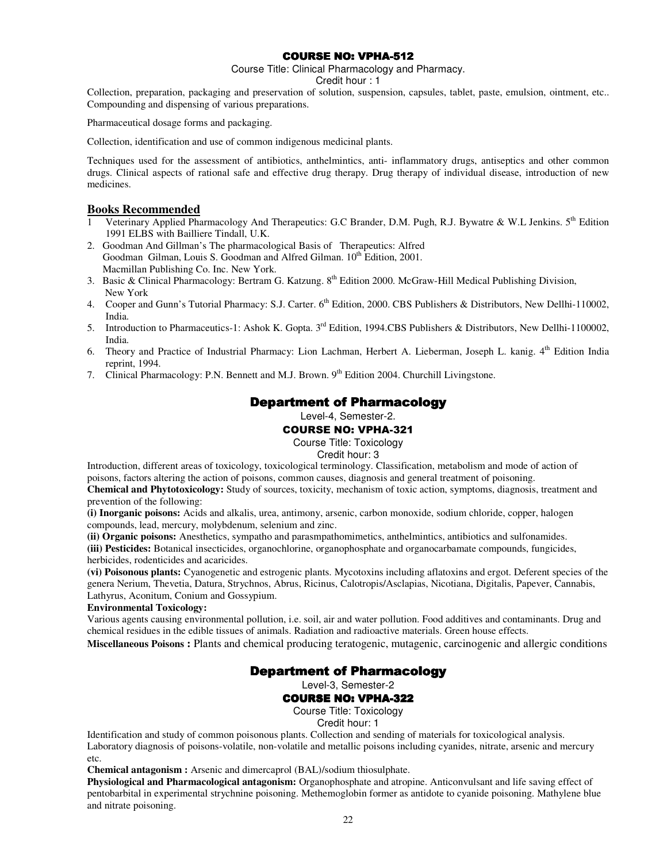# **COURSE NO: VPHA-512**

Course Title: Clinical Pharmacology and Pharmacy.

Credit hour : 1

Collection, preparation, packaging and preservation of solution, suspension, capsules, tablet, paste, emulsion, ointment, etc.. Compounding and dispensing of various preparations.

Pharmaceutical dosage forms and packaging.

Collection, identification and use of common indigenous medicinal plants.

Techniques used for the assessment of antibiotics, anthelmintics, anti- inflammatory drugs, antiseptics and other common drugs. Clinical aspects of rational safe and effective drug therapy. Drug therapy of individual disease, introduction of new medicines.

### **Books Recommended**

- 1 Veterinary Applied Pharmacology And Therapeutics: G.C Brander, D.M. Pugh, R.J. Bywatre & W.L Jenkins. 5<sup>th</sup> Edition 1991 ELBS with Bailliere Tindall, U.K.
- 2. Goodman And Gillman's The pharmacological Basis of Therapeutics: Alfred Goodman Gilman, Louis S. Goodman and Alfred Gilman. 10<sup>th</sup> Edition, 2001. Macmillan Publishing Co. Inc. New York.
- 3. Basic & Clinical Pharmacology: Bertram G. Katzung.  $8<sup>th</sup>$  Edition 2000. McGraw-Hill Medical Publishing Division, New York
- 4. Cooper and Gunn's Tutorial Pharmacy: S.J. Carter. 6<sup>th</sup> Edition, 2000. CBS Publishers & Distributors, New Dellhi-110002, India.
- 5. Introduction to Pharmaceutics-1: Ashok K. Gopta. 3rd Edition, 1994.CBS Publishers & Distributors, New Dellhi-1100002, India.
- 6. Theory and Practice of Industrial Pharmacy: Lion Lachman, Herbert A. Lieberman, Joseph L. kanig. 4<sup>th</sup> Edition India reprint, 1994.
- 7. Clinical Pharmacology: P.N. Bennett and M.J. Brown. 9<sup>th</sup> Edition 2004. Churchill Livingstone.

# Department of Pharmacology

Level-4, Semester-2.

#### COURSE NO: VPHA-321

Course Title: Toxicology

Credit hour: 3

Introduction, different areas of toxicology, toxicological terminology. Classification, metabolism and mode of action of poisons, factors altering the action of poisons, common causes, diagnosis and general treatment of poisoning.

**Chemical and Phytotoxicology:** Study of sources, toxicity, mechanism of toxic action, symptoms, diagnosis, treatment and prevention of the following:

**(i) Inorganic poisons:** Acids and alkalis, urea, antimony, arsenic, carbon monoxide, sodium chloride, copper, halogen compounds, lead, mercury, molybdenum, selenium and zinc.

**(ii) Organic poisons:** Anesthetics, sympatho and parasmpathomimetics, anthelmintics, antibiotics and sulfonamides.

**(iii) Pesticides:** Botanical insecticides, organochlorine, organophosphate and organocarbamate compounds, fungicides, herbicides, rodenticides and acaricides.

**(vi) Poisonous plants:** Cyanogenetic and estrogenic plants. Mycotoxins including aflatoxins and ergot. Deferent species of the genera Nerium, Thevetia, Datura, Strychnos, Abrus, Ricinus, Calotropis/Asclapias, Nicotiana, Digitalis, Papever, Cannabis, Lathyrus, Aconitum, Conium and Gossypium.

#### **Environmental Toxicology:**

Various agents causing environmental pollution, i.e. soil, air and water pollution. Food additives and contaminants. Drug and chemical residues in the edible tissues of animals. Radiation and radioactive materials. Green house effects.

**Miscellaneous Poisons :** Plants and chemical producing teratogenic, mutagenic, carcinogenic and allergic conditions

# **Department of Pharmacology**

Level-3, Semester-2

#### **COURSE NO: VPHA-322**

Course Title: Toxicology

Credit hour: 1

Identification and study of common poisonous plants. Collection and sending of materials for toxicological analysis. Laboratory diagnosis of poisons-volatile, non-volatile and metallic poisons including cyanides, nitrate, arsenic and mercury etc.

**Chemical antagonism :** Arsenic and dimercaprol (BAL)/sodium thiosulphate.

**Physiological and Pharmacological antagonism:** Organophosphate and atropine. Anticonvulsant and life saving effect of pentobarbital in experimental strychnine poisoning. Methemoglobin former as antidote to cyanide poisoning. Mathylene blue and nitrate poisoning.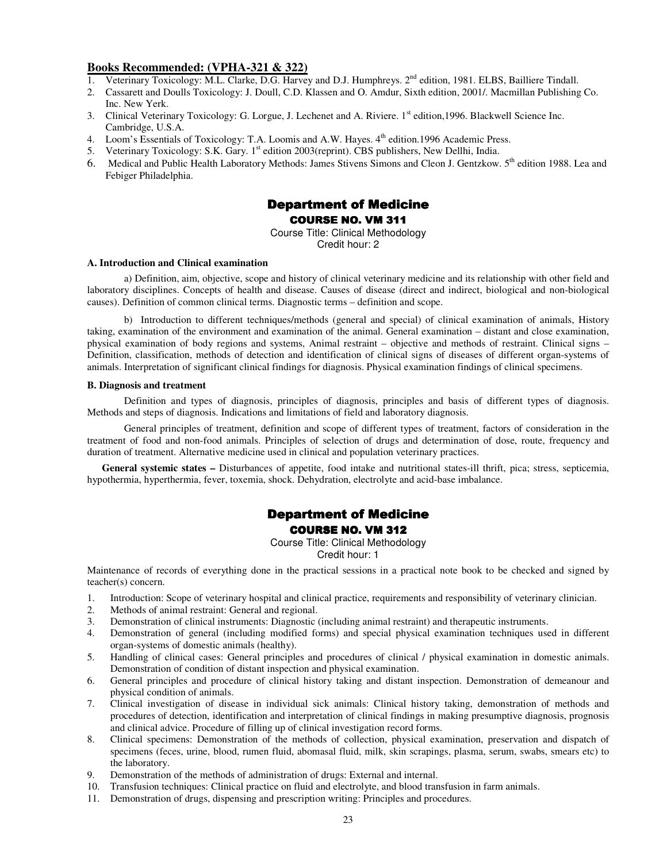#### **Books Recommended: (VPHA-321 & 322)**

- 1. Veterinary Toxicology: M.L. Clarke, D.G. Harvey and D.J. Humphreys. 2<sup>nd</sup> edition, 1981. ELBS, Bailliere Tindall.
- 2. Cassarett and Doulls Toxicology: J. Doull, C.D. Klassen and O. Amdur, Sixth edition, 2001/. Macmillan Publishing Co. Inc. New Yerk.
- 3. Clinical Veterinary Toxicology: G. Lorgue, J. Lechenet and A. Riviere. 1<sup>st</sup> edition,1996. Blackwell Science Inc. Cambridge, U.S.A.
- 4. Loom's Essentials of Toxicology: T.A. Loomis and A.W. Hayes.  $4<sup>th</sup>$  edition.1996 Academic Press.
- 5. Veterinary Toxicology: S.K. Gary. 1<sup>st</sup> edition 2003(reprint). CBS publishers, New Dellhi, India.
- 6. Medical and Public Health Laboratory Methods: James Stivens Simons and Cleon J. Gentzkow. 5<sup>th</sup> edition 1988. Lea and Febiger Philadelphia.

# **Department of Medicine** COURSE NO. VM 311

Course Title: Clinical Methodology Credit hour: 2

#### **A. Introduction and Clinical examination**

a) Definition, aim, objective, scope and history of clinical veterinary medicine and its relationship with other field and laboratory disciplines. Concepts of health and disease. Causes of disease (direct and indirect, biological and non-biological causes). Definition of common clinical terms. Diagnostic terms – definition and scope.

b)Introduction to different techniques/methods (general and special) of clinical examination of animals, History taking, examination of the environment and examination of the animal. General examination – distant and close examination, physical examination of body regions and systems, Animal restraint – objective and methods of restraint. Clinical signs – Definition, classification, methods of detection and identification of clinical signs of diseases of different organ-systems of animals. Interpretation of significant clinical findings for diagnosis. Physical examination findings of clinical specimens.

#### **B. Diagnosis and treatment**

Definition and types of diagnosis, principles of diagnosis, principles and basis of different types of diagnosis. Methods and steps of diagnosis. Indications and limitations of field and laboratory diagnosis.

 General principles of treatment, definition and scope of different types of treatment, factors of consideration in the treatment of food and non-food animals. Principles of selection of drugs and determination of dose, route, frequency and duration of treatment. Alternative medicine used in clinical and population veterinary practices.

General systemic states – Disturbances of appetite, food intake and nutritional states-ill thrift, pica; stress, septicemia, hypothermia, hyperthermia, fever, toxemia, shock. Dehydration, electrolyte and acid-base imbalance.

# Department of Medicine COURSE NO. VM 312

Course Title: Clinical Methodology

Credit hour: 1

Maintenance of records of everything done in the practical sessions in a practical note book to be checked and signed by teacher(s) concern.

- 1. Introduction: Scope of veterinary hospital and clinical practice, requirements and responsibility of veterinary clinician.
- 2. Methods of animal restraint: General and regional.
- 3. Demonstration of clinical instruments: Diagnostic (including animal restraint) and therapeutic instruments.
- 4. Demonstration of general (including modified forms) and special physical examination techniques used in different organ-systems of domestic animals (healthy).
- 5. Handling of clinical cases: General principles and procedures of clinical / physical examination in domestic animals. Demonstration of condition of distant inspection and physical examination.
- 6. General principles and procedure of clinical history taking and distant inspection. Demonstration of demeanour and physical condition of animals.
- 7. Clinical investigation of disease in individual sick animals: Clinical history taking, demonstration of methods and procedures of detection, identification and interpretation of clinical findings in making presumptive diagnosis, prognosis and clinical advice. Procedure of filling up of clinical investigation record forms.
- 8. Clinical specimens: Demonstration of the methods of collection, physical examination, preservation and dispatch of specimens (feces, urine, blood, rumen fluid, abomasal fluid, milk, skin scrapings, plasma, serum, swabs, smears etc) to the laboratory.
- 9. Demonstration of the methods of administration of drugs: External and internal.
- 10. Transfusion techniques: Clinical practice on fluid and electrolyte, and blood transfusion in farm animals.
- 11. Demonstration of drugs, dispensing and prescription writing: Principles and procedures.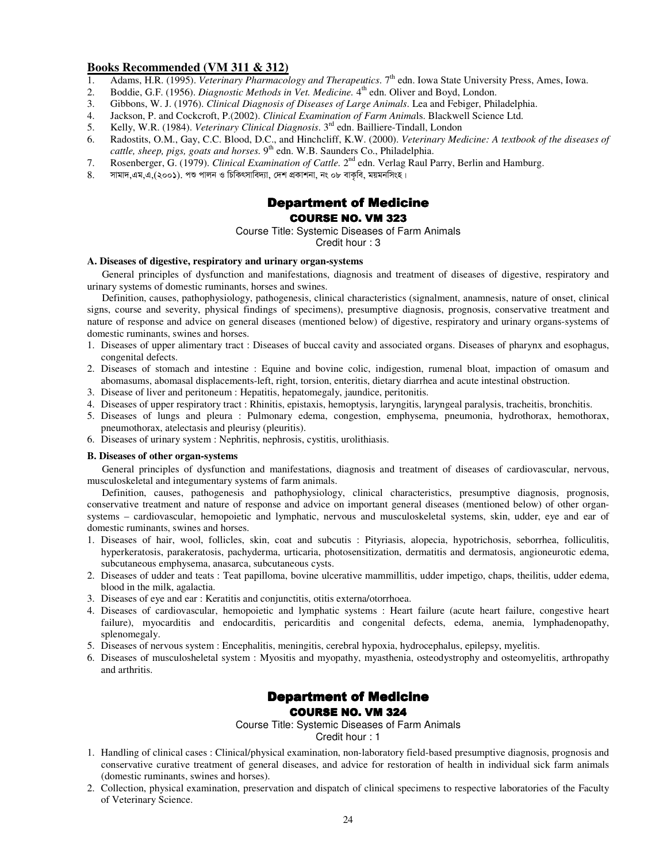# **Books Recommended (VM 311 & 312)**

- 1. Adams, H.R. (1995). *Veterinary Pharmacology and Therapeutics*. 7<sup>th</sup> edn. Iowa State University Press, Ames, Iowa.
- 2. Boddie, G.F. (1956). *Diagnostic Methods in Vet. Medicine*. 4<sup>th</sup> edn. Oliver and Boyd, London.
- 3. Gibbons, W. J. (1976). *Clinical Diagnosis of Diseases of Large Animals*. Lea and Febiger, Philadelphia.
- 4. Jackson, P. and Cockcroft, P.(2002). *Clinical Examination of Farm Anima*ls. Blackwell Science Ltd.
- 5. Kelly, W.R. (1984). *Veterinary Clinical Diagnosis*. 3rd edn. Bailliere-Tindall, London
- 6. Radostits, O.M., Gay, C.C. Blood, D.C., and Hinchcliff, K.W. (2000). *Veterinary Medicine: A textbook of the diseases of cattle, sheep, pigs, goats and horses.* 9<sup>th</sup> edn. W.B. Saunders Co., Philadelphia.
- 7. Rosenberger, G. (1979). *Clinical Examination of Cattle.* 2nd edn. Verlag Raul Parry, Berlin and Hamburg.
- $8. \qquad$  সামাদ,এম,এ,(২০০১). পশু পালন ও চিকিৎসাবিদ্যা, দেশ প্ৰকাশনা, নং ০৮ বাকবি, ময়মনসিংহ।

# Department of Medicine COURSE NO. VM 323

Course Title: Systemic Diseases of Farm Animals

Credit hour : 3

#### **A. Diseases of digestive, respiratory and urinary organ-systems**

General principles of dysfunction and manifestations, diagnosis and treatment of diseases of digestive, respiratory and urinary systems of domestic ruminants, horses and swines.

Definition, causes, pathophysiology, pathogenesis, clinical characteristics (signalment, anamnesis, nature of onset, clinical signs, course and severity, physical findings of specimens), presumptive diagnosis, prognosis, conservative treatment and nature of response and advice on general diseases (mentioned below) of digestive, respiratory and urinary organs-systems of domestic ruminants, swines and horses.

- 1. Diseases of upper alimentary tract : Diseases of buccal cavity and associated organs. Diseases of pharynx and esophagus, congenital defects.
- 2. Diseases of stomach and intestine : Equine and bovine colic, indigestion, rumenal bloat, impaction of omasum and abomasums, abomasal displacements-left, right, torsion, enteritis, dietary diarrhea and acute intestinal obstruction.
- 3. Disease of liver and peritoneum : Hepatitis, hepatomegaly, jaundice, peritonitis.
- 4. Diseases of upper respiratory tract : Rhinitis, epistaxis, hemoptysis, laryngitis, laryngeal paralysis, tracheitis, bronchitis.
- 5. Diseases of lungs and pleura : Pulmonary edema, congestion, emphysema, pneumonia, hydrothorax, hemothorax, pneumothorax, atelectasis and pleurisy (pleuritis).
- 6. Diseases of urinary system : Nephritis, nephrosis, cystitis, urolithiasis.

#### **B. Diseases of other organ-systems**

General principles of dysfunction and manifestations, diagnosis and treatment of diseases of cardiovascular, nervous, musculoskeletal and integumentary systems of farm animals.

Definition, causes, pathogenesis and pathophysiology, clinical characteristics, presumptive diagnosis, prognosis, conservative treatment and nature of response and advice on important general diseases (mentioned below) of other organsystems – cardiovascular, hemopoietic and lymphatic, nervous and musculoskeletal systems, skin, udder, eye and ear of domestic ruminants, swines and horses.

- 1. Diseases of hair, wool, follicles, skin, coat and subcutis : Pityriasis, alopecia, hypotrichosis, seborrhea, folliculitis, hyperkeratosis, parakeratosis, pachyderma, urticaria, photosensitization, dermatitis and dermatosis, angioneurotic edema, subcutaneous emphysema, anasarca, subcutaneous cysts.
- 2. Diseases of udder and teats : Teat papilloma, bovine ulcerative mammillitis, udder impetigo, chaps, theilitis, udder edema, blood in the milk, agalactia.
- 3. Diseases of eye and ear : Keratitis and conjunctitis, otitis externa/otorrhoea.
- 4. Diseases of cardiovascular, hemopoietic and lymphatic systems : Heart failure (acute heart failure, congestive heart failure), myocarditis and endocarditis, pericarditis and congenital defects, edema, anemia, lymphadenopathy, splenomegaly.
- 5. Diseases of nervous system : Encephalitis, meningitis, cerebral hypoxia, hydrocephalus, epilepsy, myelitis.
- 6. Diseases of musculosheletal system : Myositis and myopathy, myasthenia, osteodystrophy and osteomyelitis, arthropathy and arthritis.

# **Department of Medicine COURSE NO. VM 324**

Course Title: Systemic Diseases of Farm Animals Credit hour : 1

- 1. Handling of clinical cases : Clinical/physical examination, non-laboratory field-based presumptive diagnosis, prognosis and conservative curative treatment of general diseases, and advice for restoration of health in individual sick farm animals (domestic ruminants, swines and horses).
- 2. Collection, physical examination, preservation and dispatch of clinical specimens to respective laboratories of the Faculty of Veterinary Science.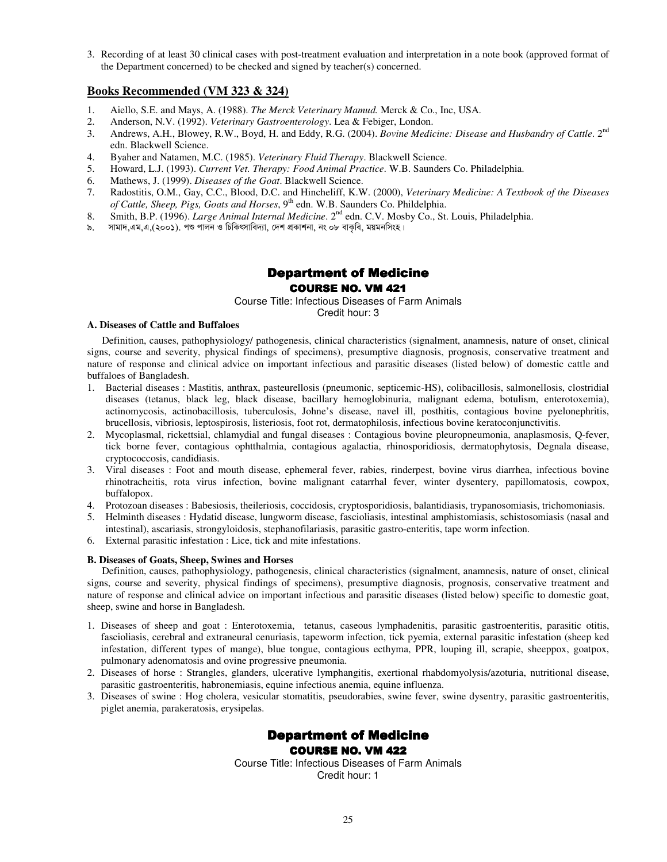3. Recording of at least 30 clinical cases with post-treatment evaluation and interpretation in a note book (approved format of the Department concerned) to be checked and signed by teacher(s) concerned.

# **Books Recommended (VM 323 & 324)**

- 1. Aiello, S.E. and Mays, A. (1988). *The Merck Veterinary Mamud.* Merck & Co., Inc, USA.
- 2. Anderson, N.V. (1992). *Veterinary Gastroenterology*. Lea & Febiger, London.
- 3. Andrews, A.H., Blowey, R.W., Boyd, H. and Eddy, R.G. (2004). *Bovine Medicine: Disease and Husbandry of Cattle*. 2nd edn. Blackwell Science.
- 4. Byaher and Natamen, M.C. (1985). *Veterinary Fluid Therapy*. Blackwell Science.
- 5. Howard, L.J. (1993). *Current Vet. Therapy: Food Animal Practice*. W.B. Saunders Co. Philadelphia.
- 6. Mathews, J. (1999). *Diseases of the Goat*. Blackwell Science.
- 7. Radostitis, O.M., Gay, C.C., Blood, D.C. and Hincheliff, K.W. (2000), *Veterinary Medicine: A Textbook of the Diseases of Cattle, Sheep, Pigs, Goats and Horses,* 9<sup>th</sup> edn. W.B. Saunders Co. Phildelphia.
- 8. Smith, B.P. (1996). *Large Animal Internal Medicine*. 2nd edn. C.V. Mosby Co., St. Louis, Philadelphia.
- ৯. সামাদ,এম,এ,(২০০১). পশু পালন ও চিকিৎসাবিদ্যা, দেশ প্ৰকাশনা, নং ০৮ বাকবি, ময়মনসিংহ।

# Department of Medicine

#### **COURSE NO. VM 421**

Course Title: Infectious Diseases of Farm Animals

#### Credit hour: 3

#### **A. Diseases of Cattle and Buffaloes**

Definition, causes, pathophysiology/ pathogenesis, clinical characteristics (signalment, anamnesis, nature of onset, clinical signs, course and severity, physical findings of specimens), presumptive diagnosis, prognosis, conservative treatment and nature of response and clinical advice on important infectious and parasitic diseases (listed below) of domestic cattle and buffaloes of Bangladesh.

- 1. Bacterial diseases : Mastitis, anthrax, pasteurellosis (pneumonic, septicemic-HS), colibacillosis, salmonellosis, clostridial diseases (tetanus, black leg, black disease, bacillary hemoglobinuria, malignant edema, botulism, enterotoxemia), actinomycosis, actinobacillosis, tuberculosis, Johne's disease, navel ill, posthitis, contagious bovine pyelonephritis, brucellosis, vibriosis, leptospirosis, listeriosis, foot rot, dermatophilosis, infectious bovine keratoconjunctivitis.
- 2. Mycoplasmal, rickettsial, chlamydial and fungal diseases : Contagious bovine pleuropneumonia, anaplasmosis, Q-fever, tick borne fever, contagious ophtthalmia, contagious agalactia, rhinosporidiosis, dermatophytosis, Degnala disease, cryptococcosis, candidiasis.
- 3. Viral diseases : Foot and mouth disease, ephemeral fever, rabies, rinderpest, bovine virus diarrhea, infectious bovine rhinotracheitis, rota virus infection, bovine malignant catarrhal fever, winter dysentery, papillomatosis, cowpox, buffalopox.
- 4. Protozoan diseases : Babesiosis, theileriosis, coccidosis, cryptosporidiosis, balantidiasis, trypanosomiasis, trichomoniasis.
- 5. Helminth diseases : Hydatid disease, lungworm disease, fascioliasis, intestinal amphistomiasis, schistosomiasis (nasal and intestinal), ascariasis, strongyloidosis, stephanofilariasis, parasitic gastro-enteritis, tape worm infection.
- 6. External parasitic infestation : Lice, tick and mite infestations.

#### **B. Diseases of Goats, Sheep, Swines and Horses**

Definition, causes, pathophysiology, pathogenesis, clinical characteristics (signalment, anamnesis, nature of onset, clinical signs, course and severity, physical findings of specimens), presumptive diagnosis, prognosis, conservative treatment and nature of response and clinical advice on important infectious and parasitic diseases (listed below) specific to domestic goat, sheep, swine and horse in Bangladesh.

- 1. Diseases of sheep and goat : Enterotoxemia, tetanus, caseous lymphadenitis, parasitic gastroenteritis, parasitic otitis, fascioliasis, cerebral and extraneural cenuriasis, tapeworm infection, tick pyemia, external parasitic infestation (sheep ked infestation, different types of mange), blue tongue, contagious ecthyma, PPR, louping ill, scrapie, sheeppox, goatpox, pulmonary adenomatosis and ovine progressive pneumonia.
- 2. Diseases of horse : Strangles, glanders, ulcerative lymphangitis, exertional rhabdomyolysis/azoturia, nutritional disease, parasitic gastroenteritis, habronemiasis, equine infectious anemia, equine influenza.
- 3. Diseases of swine : Hog cholera, vesicular stomatitis, pseudorabies, swine fever, swine dysentry, parasitic gastroenteritis, piglet anemia, parakeratosis, erysipelas.

# Department of Medicine **COURSE NO. VM 422**

Course Title: Infectious Diseases of Farm Animals Credit hour: 1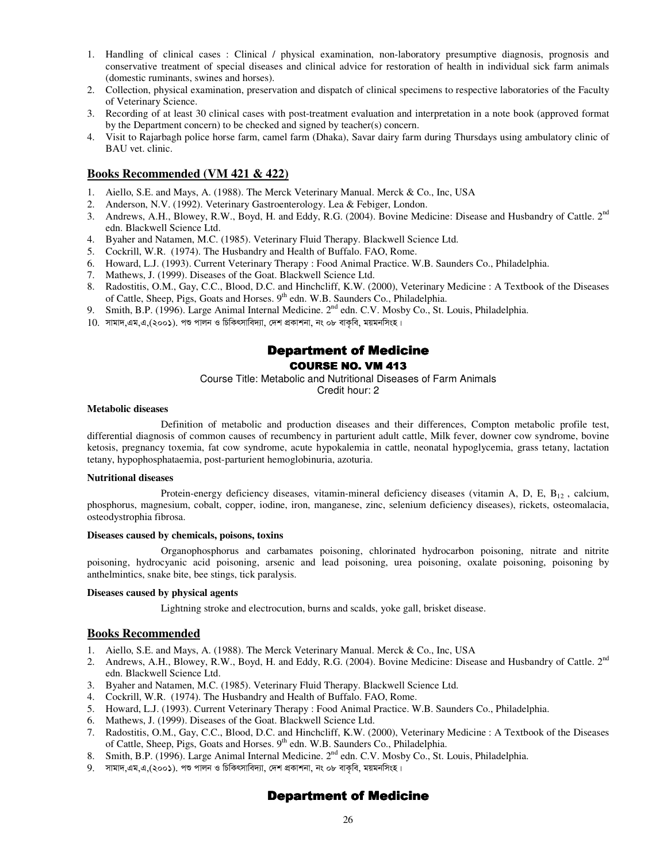- 1. Handling of clinical cases : Clinical / physical examination, non-laboratory presumptive diagnosis, prognosis and conservative treatment of special diseases and clinical advice for restoration of health in individual sick farm animals (domestic ruminants, swines and horses).
- 2. Collection, physical examination, preservation and dispatch of clinical specimens to respective laboratories of the Faculty of Veterinary Science.
- 3. Recording of at least 30 clinical cases with post-treatment evaluation and interpretation in a note book (approved format by the Department concern) to be checked and signed by teacher(s) concern.
- 4. Visit to Rajarbagh police horse farm, camel farm (Dhaka), Savar dairy farm during Thursdays using ambulatory clinic of BAU vet. clinic.

# **Books Recommended (VM 421 & 422)**

- 1. Aiello, S.E. and Mays, A. (1988). The Merck Veterinary Manual. Merck & Co., Inc, USA
- 2. Anderson, N.V. (1992). Veterinary Gastroenterology. Lea & Febiger, London.
- 3. Andrews, A.H., Blowey, R.W., Boyd, H. and Eddy, R.G. (2004). Bovine Medicine: Disease and Husbandry of Cattle. 2<sup>nd</sup> edn. Blackwell Science Ltd.
- 4. Byaher and Natamen, M.C. (1985). Veterinary Fluid Therapy. Blackwell Science Ltd.
- 5. Cockrill, W.R. (1974). The Husbandry and Health of Buffalo. FAO, Rome.
- 6. Howard, L.J. (1993). Current Veterinary Therapy : Food Animal Practice. W.B. Saunders Co., Philadelphia.
- Mathews, J. (1999). Diseases of the Goat. Blackwell Science Ltd.
- 8. Radostitis, O.M., Gay, C.C., Blood, D.C. and Hinchcliff, K.W. (2000), Veterinary Medicine : A Textbook of the Diseases of Cattle, Sheep, Pigs, Goats and Horses. 9<sup>th</sup> edn. W.B. Saunders Co., Philadelphia.
- 9. Smith, B.P. (1996). Large Animal Internal Medicine. 2<sup>nd</sup> edn. C.V. Mosby Co., St. Louis, Philadelphia.
- $10.$  সামাদ,এম,এ,(২০০১). পশু পালন ও চিকিৎসাবিদ্যা, দেশ প্ৰকাশনা, নং ০৮ বাকৃবি, ময়মনসিংহ।

# **Department of Medicine**

# **COURSE NO. VM 413**

Course Title: Metabolic and Nutritional Diseases of Farm Animals

Credit hour: 2

#### **Metabolic diseases**

 Definition of metabolic and production diseases and their differences, Compton metabolic profile test, differential diagnosis of common causes of recumbency in parturient adult cattle, Milk fever, downer cow syndrome, bovine ketosis, pregnancy toxemia, fat cow syndrome, acute hypokalemia in cattle, neonatal hypoglycemia, grass tetany, lactation tetany, hypophosphataemia, post-parturient hemoglobinuria, azoturia.

#### **Nutritional diseases**

Protein-energy deficiency diseases, vitamin-mineral deficiency diseases (vitamin A, D, E,  $B_{12}$ , calcium, phosphorus, magnesium, cobalt, copper, iodine, iron, manganese, zinc, selenium deficiency diseases), rickets, osteomalacia, osteodystrophia fibrosa.

#### **Diseases caused by chemicals, poisons, toxins**

 Organophosphorus and carbamates poisoning, chlorinated hydrocarbon poisoning, nitrate and nitrite poisoning, hydrocyanic acid poisoning, arsenic and lead poisoning, urea poisoning, oxalate poisoning, poisoning by anthelmintics, snake bite, bee stings, tick paralysis.

#### **Diseases caused by physical agents**

Lightning stroke and electrocution, burns and scalds, yoke gall, brisket disease.

#### **Books Recommended**

- 1. Aiello, S.E. and Mays, A. (1988). The Merck Veterinary Manual. Merck & Co., Inc, USA
- 2. Andrews, A.H., Blowey, R.W., Boyd, H. and Eddy, R.G. (2004). Bovine Medicine: Disease and Husbandry of Cattle. 2<sup>nd</sup> edn. Blackwell Science Ltd.
- 3. Byaher and Natamen, M.C. (1985). Veterinary Fluid Therapy. Blackwell Science Ltd.
- 4. Cockrill, W.R. (1974). The Husbandry and Health of Buffalo. FAO, Rome.
- 5. Howard, L.J. (1993). Current Veterinary Therapy : Food Animal Practice. W.B. Saunders Co., Philadelphia.
- 6. Mathews, J. (1999). Diseases of the Goat. Blackwell Science Ltd.
- 7. Radostitis, O.M., Gay, C.C., Blood, D.C. and Hinchcliff, K.W. (2000), Veterinary Medicine : A Textbook of the Diseases of Cattle, Sheep, Pigs, Goats and Horses. 9<sup>th</sup> edn. W.B. Saunders Co., Philadelphia.
- 8. Smith, B.P. (1996). Large Animal Internal Medicine. 2<sup>nd</sup> edn. C.V. Mosby Co., St. Louis, Philadelphia.
- $9.$  সামাদ,এম,এ,(২০০১). পশু পালন ও চিকিৎসাবিদ্যা, দেশ প্ৰকাশনা, নং ০৮ বাকৃবি, ময়মনসিংহ।

# Department of Medicine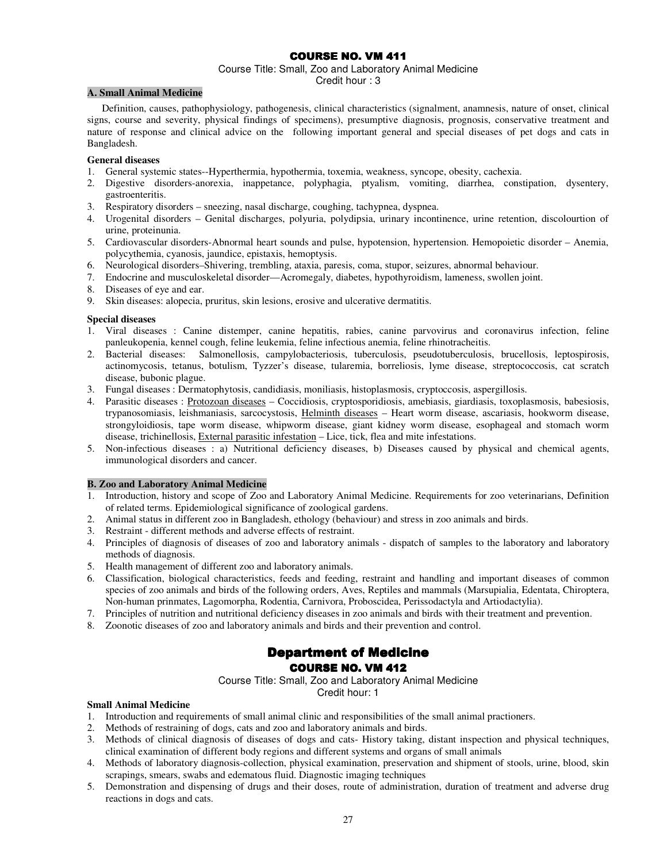# COURSE NO. VM 411

#### Course Title: Small, Zoo and Laboratory Animal Medicine

Credit hour : 3

#### **A. Small Animal Medicine**

Definition, causes, pathophysiology, pathogenesis, clinical characteristics (signalment, anamnesis, nature of onset, clinical signs, course and severity, physical findings of specimens), presumptive diagnosis, prognosis, conservative treatment and nature of response and clinical advice on the following important general and special diseases of pet dogs and cats in Bangladesh.

#### **General diseases**

- 1. General systemic states--Hyperthermia, hypothermia, toxemia, weakness, syncope, obesity, cachexia.<br>2. Digestive disorders-anorexia, inappetance, polyphagia, ptyalism, vomiting, diarrhea, consi
- 2. Digestive disorders-anorexia, inappetance, polyphagia, ptyalism, vomiting, diarrhea, constipation, dysentery, gastroenteritis.
- 3. Respiratory disorders sneezing, nasal discharge, coughing, tachypnea, dyspnea.
- 4. Urogenital disorders Genital discharges, polyuria, polydipsia, urinary incontinence, urine retention, discolourtion of urine, proteinunia.
- 5. Cardiovascular disorders-Abnormal heart sounds and pulse, hypotension, hypertension. Hemopoietic disorder Anemia, polycythemia, cyanosis, jaundice, epistaxis, hemoptysis.
- 6. Neurological disorders–Shivering, trembling, ataxia, paresis, coma, stupor, seizures, abnormal behaviour.
- 7. Endocrine and musculoskeletal disorder—Acromegaly, diabetes, hypothyroidism, lameness, swollen joint.
- 8. Diseases of eye and ear.
- 9. Skin diseases: alopecia, pruritus, skin lesions, erosive and ulcerative dermatitis.

#### **Special diseases**

- 1. Viral diseases : Canine distemper, canine hepatitis, rabies, canine parvovirus and coronavirus infection, feline panleukopenia, kennel cough, feline leukemia, feline infectious anemia, feline rhinotracheitis.
- 2. Bacterial diseases: Salmonellosis, campylobacteriosis, tuberculosis, pseudotuberculosis, brucellosis, leptospirosis, actinomycosis, tetanus, botulism, Tyzzer's disease, tularemia, borreliosis, lyme disease, streptococcosis, cat scratch disease, bubonic plague.
- 3. Fungal diseases : Dermatophytosis, candidiasis, moniliasis, histoplasmosis, cryptoccosis, aspergillosis.
- 4. Parasitic diseases : Protozoan diseases Coccidiosis, cryptosporidiosis, amebiasis, giardiasis, toxoplasmosis, babesiosis, trypanosomiasis, leishmaniasis, sarcocystosis, Helminth diseases – Heart worm disease, ascariasis, hookworm disease, strongyloidiosis, tape worm disease, whipworm disease, giant kidney worm disease, esophageal and stomach worm disease, trichinellosis, External parasitic infestation – Lice, tick, flea and mite infestations.
- 5. Non-infectious diseases : a) Nutritional deficiency diseases, b) Diseases caused by physical and chemical agents, immunological disorders and cancer.

#### **B. Zoo and Laboratory Animal Medicine**

- 1. Introduction, history and scope of Zoo and Laboratory Animal Medicine. Requirements for zoo veterinarians, Definition of related terms. Epidemiological significance of zoological gardens.
- 2. Animal status in different zoo in Bangladesh, ethology (behaviour) and stress in zoo animals and birds.
- 3. Restraint different methods and adverse effects of restraint.
- 4. Principles of diagnosis of diseases of zoo and laboratory animals dispatch of samples to the laboratory and laboratory methods of diagnosis.
- 5. Health management of different zoo and laboratory animals.
- 6. Classification, biological characteristics, feeds and feeding, restraint and handling and important diseases of common species of zoo animals and birds of the following orders, Aves, Reptiles and mammals (Marsupialia, Edentata, Chiroptera, Non-human prinmates, Lagomorpha, Rodentia, Carnivora, Proboscidea, Perissodactyla and Artiodactylia).
- 7. Principles of nutrition and nutritional deficiency diseases in zoo animals and birds with their treatment and prevention.
- 8. Zoonotic diseases of zoo and laboratory animals and birds and their prevention and control.

# Department of Medicine **COURSE NO. VM 412**

Course Title: Small, Zoo and Laboratory Animal Medicine

Credit hour: 1

#### **Small Animal Medicine**

- 1. Introduction and requirements of small animal clinic and responsibilities of the small animal practioners.
- 2. Methods of restraining of dogs, cats and zoo and laboratory animals and birds.
- 3. Methods of clinical diagnosis of diseases of dogs and cats- History taking, distant inspection and physical techniques, clinical examination of different body regions and different systems and organs of small animals
- 4. Methods of laboratory diagnosis-collection, physical examination, preservation and shipment of stools, urine, blood, skin scrapings, smears, swabs and edematous fluid. Diagnostic imaging techniques
- 5. Demonstration and dispensing of drugs and their doses, route of administration, duration of treatment and adverse drug reactions in dogs and cats.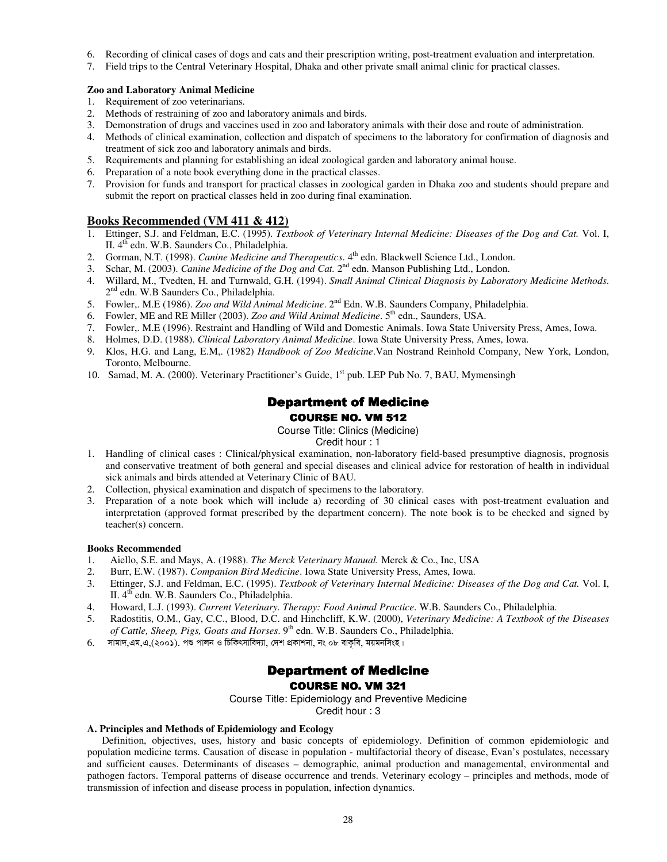- 6. Recording of clinical cases of dogs and cats and their prescription writing, post-treatment evaluation and interpretation.
- 7. Field trips to the Central Veterinary Hospital, Dhaka and other private small animal clinic for practical classes.

#### **Zoo and Laboratory Animal Medicine**

- 1. Requirement of zoo veterinarians.
- 2. Methods of restraining of zoo and laboratory animals and birds.
- 3. Demonstration of drugs and vaccines used in zoo and laboratory animals with their dose and route of administration.
- 4. Methods of clinical examination, collection and dispatch of specimens to the laboratory for confirmation of diagnosis and treatment of sick zoo and laboratory animals and birds.
- 5. Requirements and planning for establishing an ideal zoological garden and laboratory animal house.
- 6. Preparation of a note book everything done in the practical classes.
- 7. Provision for funds and transport for practical classes in zoological garden in Dhaka zoo and students should prepare and submit the report on practical classes held in zoo during final examination.

#### **Books Recommended (VM 411 & 412)**

- 1. Ettinger, S.J. and Feldman, E.C. (1995). *Textbook of Veterinary Internal Medicine: Diseases of the Dog and Cat.* Vol. I, II. 4<sup>th</sup> edn. W.B. Saunders Co., Philadelphia.
- 2. Gorman, N.T. (1998). *Canine Medicine and Therapeutics*. 4<sup>th</sup> edn. Blackwell Science Ltd., London.
- 3. Schar, M. (2003). *Canine Medicine of the Dog and Cat*. 2<sup>nd</sup> edn. Manson Publishing Ltd., London.
- 4. Willard, M., Tvedten, H. and Turnwald, G.H. (1994). *Small Animal Clinical Diagnosis by Laboratory Medicine Methods*. 2<sup>nd</sup> edn. W.B Saunders Co., Philadelphia.
- 5. Fowler,. M.E (1986). *Zoo and Wild Animal Medicine*. 2nd Edn. W.B. Saunders Company, Philadelphia.
- Fowler, ME and RE Miller (2003). *Zoo and Wild Animal Medicine*. 5<sup>th</sup> edn., Saunders, USA.
- 7. Fowler,. M.E (1996). Restraint and Handling of Wild and Domestic Animals. Iowa State University Press, Ames, Iowa.
- 8. Holmes, D.D. (1988). *Clinical Laboratory Animal Medicine*. Iowa State University Press, Ames, Iowa.
- 9. Klos, H.G. and Lang, E.M,. (1982) *Handbook of Zoo Medicine*.Van Nostrand Reinhold Company, New York, London, Toronto, Melbourne.
- 10. Samad, M. A. (2000). Veterinary Practitioner's Guide, 1<sup>st</sup> pub. LEP Pub No. 7, BAU, Mymensingh

# Department of Medicine **COURSE NO. VM 512**

Course Title: Clinics (Medicine) Credit hour : 1

- 1. Handling of clinical cases : Clinical/physical examination, non-laboratory field-based presumptive diagnosis, prognosis and conservative treatment of both general and special diseases and clinical advice for restoration of health in individual sick animals and birds attended at Veterinary Clinic of BAU.
- 2. Collection, physical examination and dispatch of specimens to the laboratory.
- 3. Preparation of a note book which will include a) recording of 30 clinical cases with post-treatment evaluation and interpretation (approved format prescribed by the department concern). The note book is to be checked and signed by teacher(s) concern.

#### **Books Recommended**

- 1. Aiello, S.E. and Mays, A. (1988). *The Merck Veterinary Manual.* Merck & Co., Inc, USA
- 2. Burr, E.W. (1987). *Companion Bird Medicine*. Iowa State University Press, Ames, Iowa.
- 3. Ettinger, S.J. and Feldman, E.C. (1995). *Textbook of Veterinary Internal Medicine: Diseases of the Dog and Cat.* Vol. I, II. 4<sup>th</sup> edn. W.B. Saunders Co., Philadelphia.
- 4. Howard, L.J. (1993). *Current Veterinary. Therapy: Food Animal Practice*. W.B. Saunders Co., Philadelphia.
- 5. Radostitis, O.M., Gay, C.C., Blood, D.C. and Hinchcliff, K.W. (2000), *Veterinary Medicine: A Textbook of the Diseases of Cattle, Sheep, Pigs, Goats and Horses*. 9th edn. W.B. Saunders Co., Philadelphia.
- $6.$  সামাদ,এম,এ,(২০০১). পশু পালন ও চিকিৎসাবিদ্যা, দেশ প্ৰকাশনা, নং ০৮ বাকৃবি, ময়মনসিংহ।

# Department of Medicine **COURSE NO. VM 321**

Course Title: Epidemiology and Preventive Medicine Credit hour : 3

#### **A. Principles and Methods of Epidemiology and Ecology**

Definition, objectives, uses, history and basic concepts of epidemiology. Definition of common epidemiologic and population medicine terms. Causation of disease in population - multifactorial theory of disease, Evan's postulates, necessary and sufficient causes. Determinants of diseases – demographic, animal production and managemental, environmental and pathogen factors. Temporal patterns of disease occurrence and trends. Veterinary ecology – principles and methods, mode of transmission of infection and disease process in population, infection dynamics.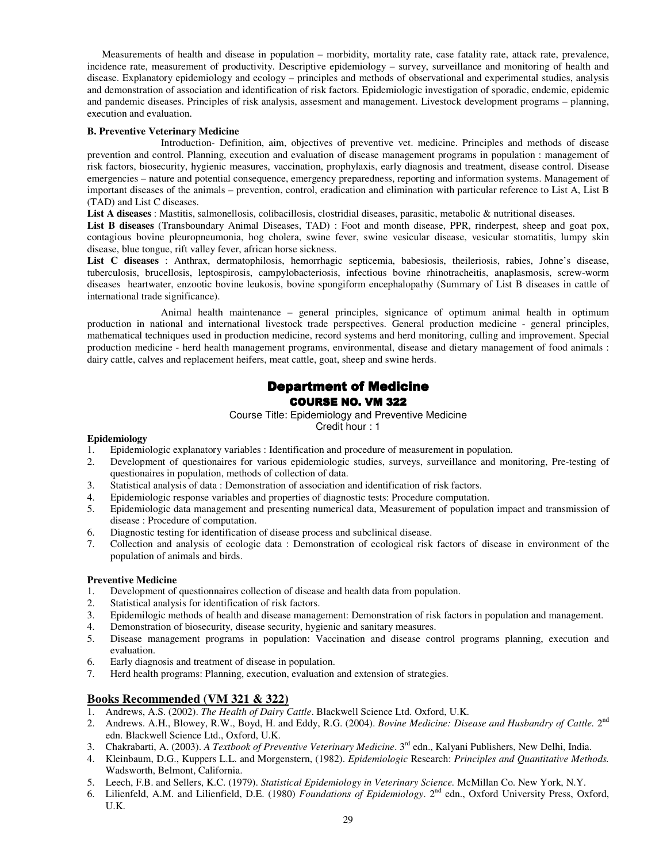Measurements of health and disease in population – morbidity, mortality rate, case fatality rate, attack rate, prevalence, incidence rate, measurement of productivity. Descriptive epidemiology – survey, surveillance and monitoring of health and disease. Explanatory epidemiology and ecology – principles and methods of observational and experimental studies, analysis and demonstration of association and identification of risk factors. Epidemiologic investigation of sporadic, endemic, epidemic and pandemic diseases. Principles of risk analysis, assesment and management. Livestock development programs – planning, execution and evaluation.

#### **B. Preventive Veterinary Medicine**

 Introduction- Definition, aim, objectives of preventive vet. medicine. Principles and methods of disease prevention and control. Planning, execution and evaluation of disease management programs in population : management of risk factors, biosecurity, hygienic measures, vaccination, prophylaxis, early diagnosis and treatment, disease control. Disease emergencies – nature and potential consequence, emergency preparedness, reporting and information systems. Management of important diseases of the animals – prevention, control, eradication and elimination with particular reference to List A, List B (TAD) and List C diseases.

**List A diseases** : Mastitis, salmonellosis, colibacillosis, clostridial diseases, parasitic, metabolic & nutritional diseases.

**List B diseases** (Transboundary Animal Diseases, TAD) : Foot and month disease, PPR, rinderpest, sheep and goat pox, contagious bovine pleuropneumonia, hog cholera, swine fever, swine vesicular disease, vesicular stomatitis, lumpy skin disease, blue tongue, rift valley fever, african horse sickness.

**List C diseases** : Anthrax, dermatophilosis, hemorrhagic septicemia, babesiosis, theileriosis, rabies, Johne's disease, tuberculosis, brucellosis, leptospirosis, campylobacteriosis, infectious bovine rhinotracheitis, anaplasmosis, screw-worm diseases heartwater, enzootic bovine leukosis, bovine spongiform encephalopathy (Summary of List B diseases in cattle of international trade significance).

 Animal health maintenance – general principles, signicance of optimum animal health in optimum production in national and international livestock trade perspectives. General production medicine - general principles, mathematical techniques used in production medicine, record systems and herd monitoring, culling and improvement. Special production medicine - herd health management programs, environmental, disease and dietary management of food animals : dairy cattle, calves and replacement heifers, meat cattle, goat, sheep and swine herds.

# **Department of Medicine COURSE NO. VM 322**

Course Title: Epidemiology and Preventive Medicine Credit hour : 1

# **Epidemiology**

- 1. Epidemiologic explanatory variables : Identification and procedure of measurement in population.
- 2. Development of questionaires for various epidemiologic studies, surveys, surveillance and monitoring, Pre-testing of questionaires in population, methods of collection of data.
- 3. Statistical analysis of data : Demonstration of association and identification of risk factors.
- 4. Epidemiologic response variables and properties of diagnostic tests: Procedure computation.
- 5. Epidemiologic data management and presenting numerical data, Measurement of population impact and transmission of disease : Procedure of computation.
- 6. Diagnostic testing for identification of disease process and subclinical disease.
- 7. Collection and analysis of ecologic data : Demonstration of ecological risk factors of disease in environment of the population of animals and birds.

#### **Preventive Medicine**

- 1. Development of questionnaires collection of disease and health data from population.
- 2. Statistical analysis for identification of risk factors.
- 3. Epidemilogic methods of health and disease management: Demonstration of risk factors in population and management.
- 4. Demonstration of biosecurity, disease security, hygienic and sanitary measures.
- 5. Disease management programs in population: Vaccination and disease control programs planning, execution and evaluation.
- 6. Early diagnosis and treatment of disease in population.
- 7. Herd health programs: Planning, execution, evaluation and extension of strategies.

# **Books Recommended (VM 321 & 322)**

- 1. Andrews, A.S. (2002). *The Health of Dairy Cattle*. Blackwell Science Ltd. Oxford, U.K.
- 2. Andrews. A.H., Blowey, R.W., Boyd, H. and Eddy, R.G. (2004). *Bovine Medicine: Disease and Husbandry of Cattle.* 2<sup>nd</sup> edn. Blackwell Science Ltd., Oxford, U.K.
- 3. Chakrabarti, A. (2003). *A Textbook of Preventive Veterinary Medicine*. 3rd edn., Kalyani Publishers, New Delhi, India.
- 4. Kleinbaum, D.G., Kuppers L.L. and Morgenstern, (1982). *Epidemiologic* Research: *Principles and Quantitative Methods.* Wadsworth, Belmont, California.
- 5. Leech, F.B. and Sellers, K.C. (1979). *Statistical Epidemiology in Veterinary Science.* McMillan Co. New York, N.Y.
- 6. Lilienfeld, A.M. and Lilienfield, D.E. (1980) *Foundations of Epidemiology*. 2nd edn., Oxford University Press, Oxford, U.K.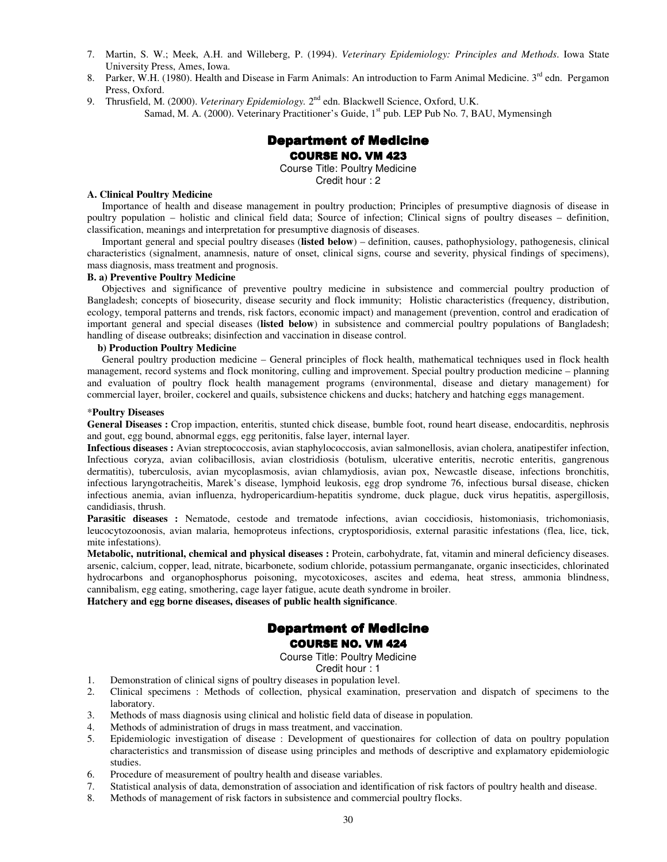- 7. Martin, S. W.; Meek, A.H. and Willeberg, P. (1994). *Veterinary Epidemiology: Principles and Methods*. Iowa State University Press, Ames, Iowa.
- 8. Parker, W.H. (1980). Health and Disease in Farm Animals: An introduction to Farm Animal Medicine. 3<sup>rd</sup> edn. Pergamon Press, Oxford.
- 9. Thrusfield, M. (2000). *Veterinary Epidemiology*. 2<sup>nd</sup> edn. Blackwell Science, Oxford, U.K. Samad, M. A. (2000). Veterinary Practitioner's Guide, 1<sup>st</sup> pub. LEP Pub No. 7, BAU, Mymensingh

# **Department of Medicine** COURSE NO. VM 423

Course Title: Poultry Medicine Credit hour : 2

#### **A. Clinical Poultry Medicine**

Importance of health and disease management in poultry production; Principles of presumptive diagnosis of disease in poultry population – holistic and clinical field data; Source of infection; Clinical signs of poultry diseases – definition, classification, meanings and interpretation for presumptive diagnosis of diseases.

Important general and special poultry diseases (**listed below**) – definition, causes, pathophysiology, pathogenesis, clinical characteristics (signalment, anamnesis, nature of onset, clinical signs, course and severity, physical findings of specimens), mass diagnosis, mass treatment and prognosis.

#### **B. a) Preventive Poultry Medicine**

Objectives and significance of preventive poultry medicine in subsistence and commercial poultry production of Bangladesh; concepts of biosecurity, disease security and flock immunity; Holistic characteristics (frequency, distribution, ecology, temporal patterns and trends, risk factors, economic impact) and management (prevention, control and eradication of important general and special diseases (**listed below**) in subsistence and commercial poultry populations of Bangladesh; handling of disease outbreaks; disinfection and vaccination in disease control.

#### **b) Production Poultry Medicine**

General poultry production medicine – General principles of flock health, mathematical techniques used in flock health management, record systems and flock monitoring, culling and improvement. Special poultry production medicine – planning and evaluation of poultry flock health management programs (environmental, disease and dietary management) for commercial layer, broiler, cockerel and quails, subsistence chickens and ducks; hatchery and hatching eggs management.

#### \***Poultry Diseases**

**General Diseases :** Crop impaction, enteritis, stunted chick disease, bumble foot, round heart disease, endocarditis, nephrosis and gout, egg bound, abnormal eggs, egg peritonitis, false layer, internal layer.

**Infectious diseases :** Avian streptococcosis, avian staphylococcosis, avian salmonellosis, avian cholera, anatipestifer infection, Infectious coryza, avian colibacillosis, avian clostridiosis (botulism, ulcerative enteritis, necrotic enteritis, gangrenous dermatitis), tuberculosis, avian mycoplasmosis, avian chlamydiosis, avian pox, Newcastle disease, infections bronchitis, infectious laryngotracheitis, Marek's disease, lymphoid leukosis, egg drop syndrome 76, infectious bursal disease, chicken infectious anemia, avian influenza, hydropericardium-hepatitis syndrome, duck plague, duck virus hepatitis, aspergillosis, candidiasis, thrush.

Parasitic diseases : Nematode, cestode and trematode infections, avian coccidiosis, histomoniasis, trichomoniasis, leucocytozoonosis, avian malaria, hemoproteus infections, cryptosporidiosis, external parasitic infestations (flea, lice, tick, mite infestations).

**Metabolic, nutritional, chemical and physical diseases :** Protein, carbohydrate, fat, vitamin and mineral deficiency diseases. arsenic, calcium, copper, lead, nitrate, bicarbonete, sodium chloride, potassium permanganate, organic insecticides, chlorinated hydrocarbons and organophosphorus poisoning, mycotoxicoses, ascites and edema, heat stress, ammonia blindness, cannibalism, egg eating, smothering, cage layer fatigue, acute death syndrome in broiler.

**Hatchery and egg borne diseases, diseases of public health significance**.

# Department of Medicine COURSE NO. VM 424

Course Title: Poultry Medicine

#### Credit hour : 1

- 1. Demonstration of clinical signs of poultry diseases in population level.
- 2. Clinical specimens : Methods of collection, physical examination, preservation and dispatch of specimens to the laboratory.
- 3. Methods of mass diagnosis using clinical and holistic field data of disease in population.
- 4. Methods of administration of drugs in mass treatment, and vaccination.
- 5. Epidemiologic investigation of disease : Development of questionaires for collection of data on poultry population characteristics and transmission of disease using principles and methods of descriptive and explamatory epidemiologic studies.
- 6. Procedure of measurement of poultry health and disease variables.
- 7. Statistical analysis of data, demonstration of association and identification of risk factors of poultry health and disease.
- 8. Methods of management of risk factors in subsistence and commercial poultry flocks.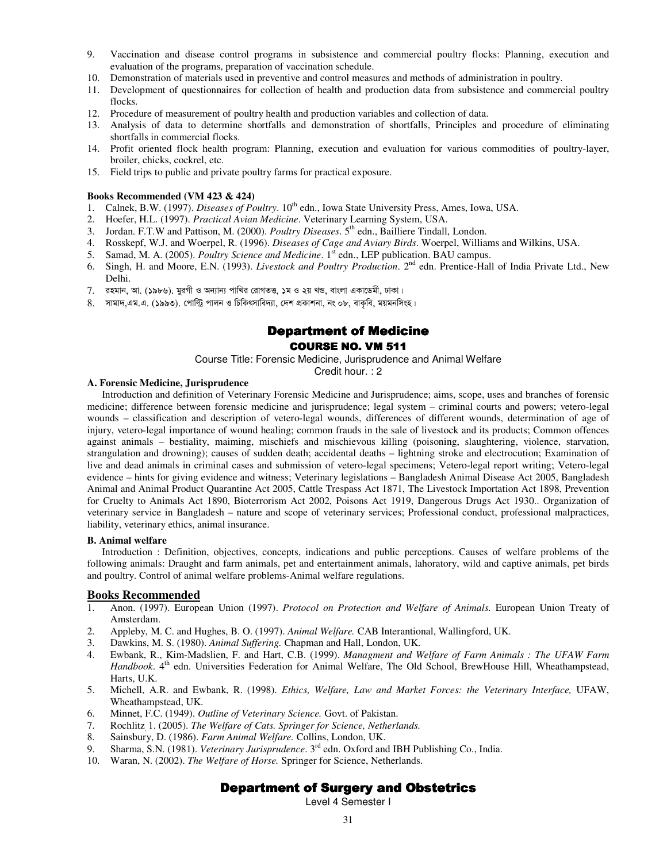- 9. Vaccination and disease control programs in subsistence and commercial poultry flocks: Planning, execution and evaluation of the programs, preparation of vaccination schedule.
- 10. Demonstration of materials used in preventive and control measures and methods of administration in poultry.
- 11. Development of questionnaires for collection of health and production data from subsistence and commercial poultry flocks.
- 12. Procedure of measurement of poultry health and production variables and collection of data.
- 13. Analysis of data to determine shortfalls and demonstration of shortfalls, Principles and procedure of eliminating shortfalls in commercial flocks.
- 14. Profit oriented flock health program: Planning, execution and evaluation for various commodities of poultry-layer, broiler, chicks, cockrel, etc.
- 15. Field trips to public and private poultry farms for practical exposure.

#### **Books Recommended (VM 423 & 424)**

- 1. Calnek, B.W. (1997). *Diseases of Poultry*. 10<sup>th</sup> edn., Iowa State University Press, Ames, Iowa, USA.<br>2. Hoefer. H.L. (1997). *Practical Avian Medicine*. Veterinary Learning System, USA.
- 2. Hoefer, H.L. (1997). *Practical Avian Medicine*. Veterinary Learning System, USA.
- 3. Jordan. F.T.W and Pattison, M. (2000). *Poultry Diseases*. 5th edn., Bailliere Tindall, London.
- 4. Rosskepf, W.J. and Woerpel, R. (1996). *Diseases of Cage and Aviary Birds*. Woerpel, Williams and Wilkins, USA.
- 5. Samad, M. A. (2005). *Poultry Science and Medicine*. 1<sup>st</sup> edn., LEP publication. BAU campus.
- 6. Singh, H. and Moore, E.N. (1993). *Livestock and Poultry Production*. 2nd edn. Prentice-Hall of India Private Ltd., New Delhi.
- $7.$  রহমান, আ. (১৯৮৬). মুরগী ও অন্যান্য পাখির রোগতত্ত, ১ম ও ২য় খন্ড, বাংলা একাডেমী, ঢাকা।
- 8. সামাদ,এম.এ. (১৯৯৩). পোল্ট্রি পালন ও চিকিৎসাবিদ্যা, দেশ প্রকাশনা, নং ০৮, বাকৃবি, ময়মনসিংহ।

# Department of Medicine COURSE NO. VM 511

Course Title: Forensic Medicine, Jurisprudence and Animal Welfare

Credit hour. : 2

#### **A. Forensic Medicine, Jurisprudence**

Introduction and definition of Veterinary Forensic Medicine and Jurisprudence; aims, scope, uses and branches of forensic medicine; difference between forensic medicine and jurisprudence; legal system – criminal courts and powers; vetero-legal wounds – classification and description of vetero-legal wounds, differences of different wounds, determination of age of injury, vetero-legal importance of wound healing; common frauds in the sale of livestock and its products; Common offences against animals – bestiality, maiming, mischiefs and mischievous killing (poisoning, slaughtering, violence, starvation, strangulation and drowning); causes of sudden death; accidental deaths – lightning stroke and electrocution; Examination of live and dead animals in criminal cases and submission of vetero-legal specimens; Vetero-legal report writing; Vetero-legal evidence – hints for giving evidence and witness; Veterinary legislations – Bangladesh Animal Disease Act 2005, Bangladesh Animal and Animal Product Quarantine Act 2005, Cattle Trespass Act 1871, The Livestock Importation Act 1898, Prevention for Cruelty to Animals Act 1890, Bioterrorism Act 2002, Poisons Act 1919, Dangerous Drugs Act 1930.. Organization of veterinary service in Bangladesh – nature and scope of veterinary services; Professional conduct, professional malpractices, liability, veterinary ethics, animal insurance.

#### **B. Animal welfare**

Introduction : Definition, objectives, concepts, indications and public perceptions. Causes of welfare problems of the following animals: Draught and farm animals, pet and entertainment animals, lahoratory, wild and captive animals, pet birds and poultry. Control of animal welfare problems-Animal welfare regulations.

# **Books Recommended**<br>1. Anon. (1997). Europe

- 1. Anon. (1997). European Union (1997). *Protocol on Protection and Welfare of Animals.* European Union Treaty of Amsterdam.
- 2. Appleby, M. C. and Hughes, B. O. (1997). *Animal Welfare.* CAB Interantional, Wallingford, UK.
- 3. Dawkins, M. S. (1980). *Animal Suffering.* Chapman and Hall, London, UK.
- 4. Ewbank, R., Kim-Madslien, F. and Hart, C.B. (1999). *Managment and Welfare of Farm Animals : The UFAW Farm Handbook*. 4<sup>th</sup> edn. Universities Federation for Animal Welfare, The Old School, BrewHouse Hill, Wheathampstead, Harts, U.K.
- 5. Michell, A.R. and Ewbank, R. (1998). *Ethics, Welfare, Law and Market Forces: the Veterinary Interface,* UFAW, Wheathampstead, UK.
- 6. Minnet, F.C. (1949). *Outline of Veterinary Science.* Govt. of Pakistan.
- 7. Rochlitz, 1. (2005). *The Welfare of Cats. Springer for Science, Netherlands.*
- 8. Sainsbury, D. (1986). *Farm Animal Welfare.* Collins, London, UK.
- 9. Sharma, S.N. (1981). *Veterinary Jurisprudence*. 3rd edn. Oxford and IBH Publishing Co., India.
- 10. Waran, N. (2002). *The Welfare of Horse.* Springer for Science, Netherlands.

# Department of Surgery and Obstetrics

Level 4 Semester I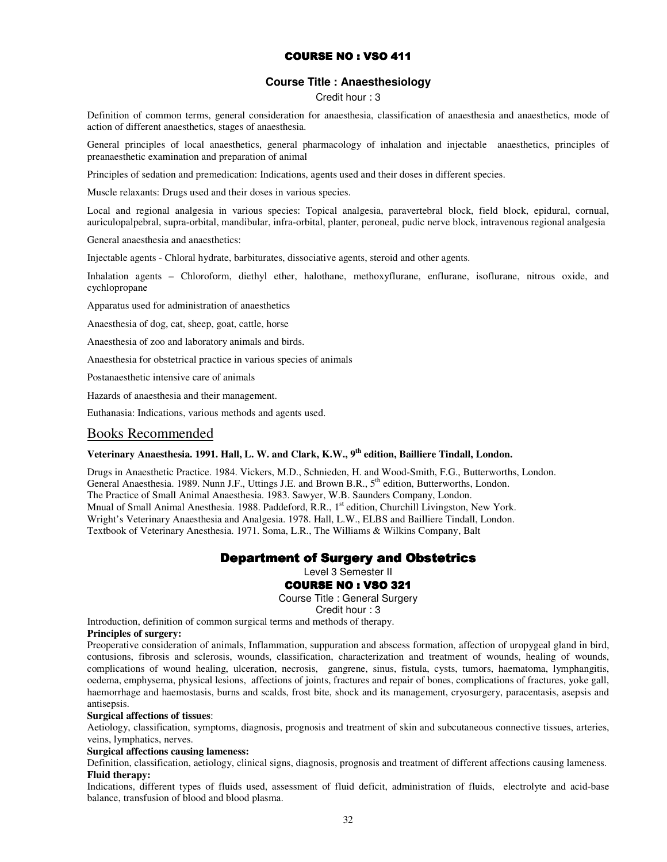# COURSE NO : VSO 411

### **Course Title : Anaesthesiology**

Credit hour : 3

Definition of common terms, general consideration for anaesthesia, classification of anaesthesia and anaesthetics, mode of action of different anaesthetics, stages of anaesthesia.

General principles of local anaesthetics, general pharmacology of inhalation and injectable anaesthetics, principles of preanaesthetic examination and preparation of animal

Principles of sedation and premedication: Indications, agents used and their doses in different species.

Muscle relaxants: Drugs used and their doses in various species.

Local and regional analgesia in various species: Topical analgesia, paravertebral block, field block, epidural, cornual, auriculopalpebral, supra-orbital, mandibular, infra-orbital, planter, peroneal, pudic nerve block, intravenous regional analgesia

General anaesthesia and anaesthetics:

Injectable agents - Chloral hydrate, barbiturates, dissociative agents, steroid and other agents.

Inhalation agents – Chloroform, diethyl ether, halothane, methoxyflurane, enflurane, isoflurane, nitrous oxide, and cychlopropane

Apparatus used for administration of anaesthetics

Anaesthesia of dog, cat, sheep, goat, cattle, horse

Anaesthesia of zoo and laboratory animals and birds.

Anaesthesia for obstetrical practice in various species of animals

Postanaesthetic intensive care of animals

Hazards of anaesthesia and their management.

Euthanasia: Indications, various methods and agents used.

#### Books Recommended

### **Veterinary Anaesthesia. 1991. Hall, L. W. and Clark, K.W., 9th edition, Bailliere Tindall, London.**

Drugs in Anaesthetic Practice. 1984. Vickers, M.D., Schnieden, H. and Wood-Smith, F.G., Butterworths, London. General Anaesthesia. 1989. Nunn J.F., Uttings J.E. and Brown B.R., 5<sup>th</sup> edition, Butterworths, London. The Practice of Small Animal Anaesthesia. 1983. Sawyer, W.B. Saunders Company, London. Mnual of Small Animal Anesthesia. 1988. Paddeford, R.R., 1<sup>st</sup> edition, Churchill Livingston, New York. Wright's Veterinary Anaesthesia and Analgesia. 1978. Hall, L.W., ELBS and Bailliere Tindall, London. Textbook of Veterinary Anesthesia. 1971. Soma, L.R., The Williams & Wilkins Company, Balt

#### Department of Surgery and Obstetrics

Level 3 Semester II

#### **COURSE NO : VSO 321**

Course Title : General Surgery

Credit hour : 3

Introduction, definition of common surgical terms and methods of therapy.

**Principles of surgery:** 

Preoperative consideration of animals, Inflammation, suppuration and abscess formation, affection of uropygeal gland in bird, contusions, fibrosis and sclerosis, wounds, classification, characterization and treatment of wounds, healing of wounds, complications of wound healing, ulceration, necrosis, gangrene, sinus, fistula, cysts, tumors, haematoma, lymphangitis, oedema, emphysema, physical lesions, affections of joints, fractures and repair of bones, complications of fractures, yoke gall, haemorrhage and haemostasis, burns and scalds, frost bite, shock and its management, cryosurgery, paracentasis, asepsis and antisepsis.

#### **Surgical affections of tissues**:

Aetiology, classification, symptoms, diagnosis, prognosis and treatment of skin and subcutaneous connective tissues, arteries, veins, lymphatics, nerves.

#### **Surgical affections causing lameness:**

Definition, classification, aetiology, clinical signs, diagnosis, prognosis and treatment of different affections causing lameness. **Fluid therapy:** 

Indications, different types of fluids used, assessment of fluid deficit, administration of fluids, electrolyte and acid-base balance, transfusion of blood and blood plasma.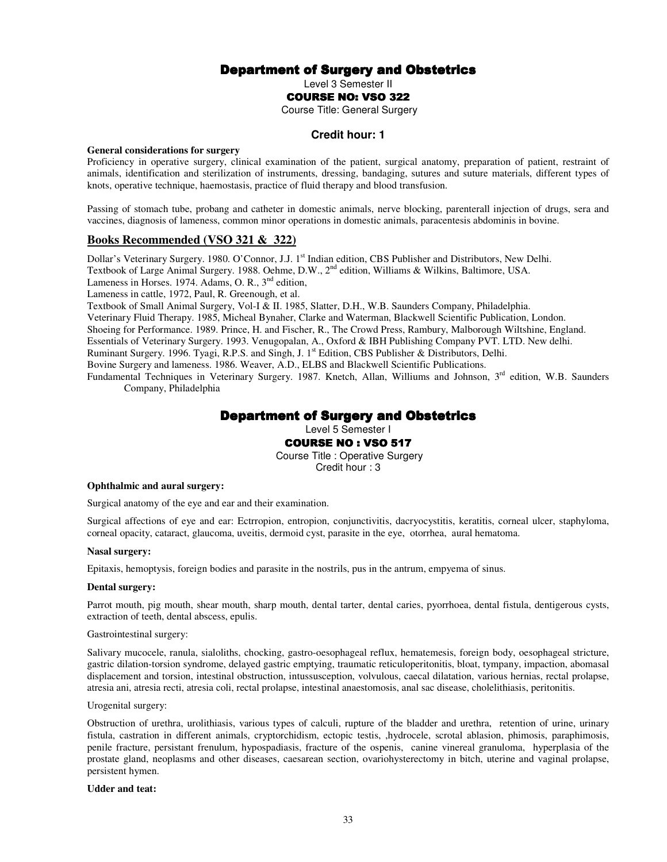# **Department of Surgery and Obstetrics**

Level 3 Semester II

#### **COURSE NO: VSO 322**

Course Title: General Surgery

#### **Credit hour: 1**

#### **General considerations for surgery**

Proficiency in operative surgery, clinical examination of the patient, surgical anatomy, preparation of patient, restraint of animals, identification and sterilization of instruments, dressing, bandaging, sutures and suture materials, different types of knots, operative technique, haemostasis, practice of fluid therapy and blood transfusion.

Passing of stomach tube, probang and catheter in domestic animals, nerve blocking, parenterall injection of drugs, sera and vaccines, diagnosis of lameness, common minor operations in domestic animals, paracentesis abdominis in bovine.

#### **Books Recommended (VSO 321 & 322)**

Dollar's Veterinary Surgery. 1980. O'Connor, J.J. 1<sup>st</sup> Indian edition, CBS Publisher and Distributors, New Delhi.

Textbook of Large Animal Surgery. 1988. Oehme, D.W., 2<sup>nd</sup> edition, Williams & Wilkins, Baltimore, USA.

Lameness in Horses. 1974. Adams, O. R.,  $3<sup>nd</sup>$  edition,

Lameness in cattle, 1972, Paul, R. Greenough, et al.

Textbook of Small Animal Surgery, Vol-I & II. 1985, Slatter, D.H., W.B. Saunders Company, Philadelphia.

Veterinary Fluid Therapy. 1985, Micheal Bynaher, Clarke and Waterman, Blackwell Scientific Publication, London.

Shoeing for Performance. 1989. Prince, H. and Fischer, R., The Crowd Press, Rambury, Malborough Wiltshine, England.

Essentials of Veterinary Surgery. 1993. Venugopalan, A., Oxford & IBH Publishing Company PVT. LTD. New delhi.

Ruminant Surgery. 1996. Tyagi, R.P.S. and Singh, J.  $1^{st}$  Edition, CBS Publisher & Distributors, Delhi.

Bovine Surgery and lameness. 1986. Weaver, A.D., ELBS and Blackwell Scientific Publications.

Fundamental Techniques in Veterinary Surgery. 1987. Knetch, Allan, Williums and Johnson, 3<sup>rd</sup> edition, W.B. Saunders Company, Philadelphia

# Department of Surgery and Obstetrics

Level 5 Semester I

**COURSE NO : VSO 517** 

Course Title : Operative Surgery Credit hour : 3

#### **Ophthalmic and aural surgery:**

Surgical anatomy of the eye and ear and their examination.

Surgical affections of eye and ear: Ectrropion, entropion, conjunctivitis, dacryocystitis, keratitis, corneal ulcer, staphyloma, corneal opacity, cataract, glaucoma, uveitis, dermoid cyst, parasite in the eye, otorrhea, aural hematoma.

#### **Nasal surgery:**

Epitaxis, hemoptysis, foreign bodies and parasite in the nostrils, pus in the antrum, empyema of sinus.

#### **Dental surgery:**

Parrot mouth, pig mouth, shear mouth, sharp mouth, dental tarter, dental caries, pyorrhoea, dental fistula, dentigerous cysts, extraction of teeth, dental abscess, epulis.

#### Gastrointestinal surgery:

Salivary mucocele, ranula, sialoliths, chocking, gastro-oesophageal reflux, hematemesis, foreign body, oesophageal stricture, gastric dilation-torsion syndrome, delayed gastric emptying, traumatic reticuloperitonitis, bloat, tympany, impaction, abomasal displacement and torsion, intestinal obstruction, intussusception, volvulous, caecal dilatation, various hernias, rectal prolapse, atresia ani, atresia recti, atresia coli, rectal prolapse, intestinal anaestomosis, anal sac disease, cholelithiasis, peritonitis.

#### Urogenital surgery:

Obstruction of urethra, urolithiasis, various types of calculi, rupture of the bladder and urethra, retention of urine, urinary fistula, castration in different animals, cryptorchidism, ectopic testis, ,hydrocele, scrotal ablasion, phimosis, paraphimosis, penile fracture, persistant frenulum, hypospadiasis, fracture of the ospenis, canine vinereal granuloma, hyperplasia of the prostate gland, neoplasms and other diseases, caesarean section, ovariohysterectomy in bitch, uterine and vaginal prolapse, persistent hymen.

#### **Udder and teat:**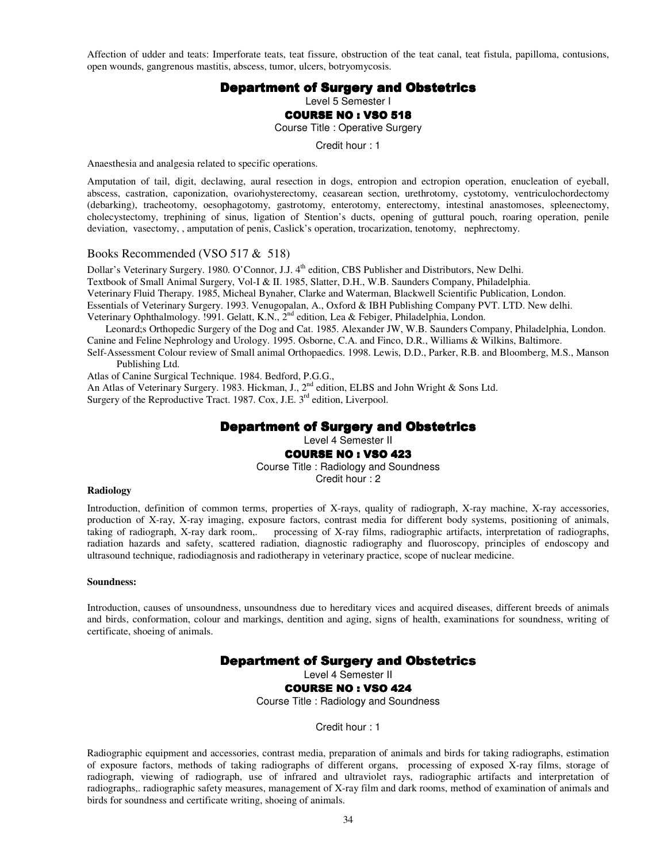Affection of udder and teats: Imperforate teats, teat fissure, obstruction of the teat canal, teat fistula, papilloma, contusions, open wounds, gangrenous mastitis, abscess, tumor, ulcers, botryomycosis.

#### Department of Surgery and Obstetrics

Level 5 Semester I

#### **COURSE NO: VSO 518**

Course Title : Operative Surgery

Credit hour : 1

Anaesthesia and analgesia related to specific operations.

Amputation of tail, digit, declawing, aural resection in dogs, entropion and ectropion operation, enucleation of eyeball, abscess, castration, caponization, ovariohysterectomy, ceasarean section, urethrotomy, cystotomy, ventriculochordectomy (debarking), tracheotomy, oesophagotomy, gastrotomy, enterotomy, enterectomy, intestinal anastomoses, spleenectomy, cholecystectomy, trephining of sinus, ligation of Stention's ducts, opening of guttural pouch, roaring operation, penile deviation, vasectomy, , amputation of penis, Caslick's operation, trocarization, tenotomy, nephrectomy.

#### Books Recommended (VSO 517 & 518)

Dollar's Veterinary Surgery. 1980. O'Connor, J.J. 4<sup>th</sup> edition, CBS Publisher and Distributors, New Delhi. Textbook of Small Animal Surgery, Vol-I & II. 1985, Slatter, D.H., W.B. Saunders Company, Philadelphia. Veterinary Fluid Therapy. 1985, Micheal Bynaher, Clarke and Waterman, Blackwell Scientific Publication, London. Essentials of Veterinary Surgery. 1993. Venugopalan, A., Oxford & IBH Publishing Company PVT. LTD. New delhi. Veterinary Ophthalmology. 1991. Gelatt, K.N., 2<sup>nd</sup> edition, Lea & Febiger, Philadelphia, London.

Leonard;s Orthopedic Surgery of the Dog and Cat. 1985. Alexander JW, W.B. Saunders Company, Philadelphia, London. Canine and Feline Nephrology and Urology. 1995. Osborne, C.A. and Finco, D.R., Williams & Wilkins, Baltimore. Self-Assessment Colour review of Small animal Orthopaedics. 1998. Lewis, D.D., Parker, R.B. and Bloomberg, M.S., Manson Publishing Ltd.

Atlas of Canine Surgical Technique. 1984. Bedford, P.G.G.,

An Atlas of Veterinary Surgery. 1983. Hickman, J., 2<sup>nd</sup> edition, ELBS and John Wright & Sons Ltd. Surgery of the Reproductive Tract. 1987. Cox, J.E. 3<sup>rd</sup> edition, Liverpool.

# Department of Surgery and Obstetrics

Level 4 Semester II

#### **COURSE NO: VSO 423**

Course Title : Radiology and Soundness Credit hour : 2

#### **Radiology**

Introduction, definition of common terms, properties of X-rays, quality of radiograph, X-ray machine, X-ray accessories, production of X-ray, X-ray imaging, exposure factors, contrast media for different body systems, positioning of animals, taking of radiograph, X-ray dark room,. processing of X-ray films, radiographic artifacts, interpretation of radiographs, radiation hazards and safety, scattered radiation, diagnostic radiography and fluoroscopy, principles of endoscopy and ultrasound technique, radiodiagnosis and radiotherapy in veterinary practice, scope of nuclear medicine.

#### **Soundness:**

Introduction, causes of unsoundness, unsoundness due to hereditary vices and acquired diseases, different breeds of animals and birds, conformation, colour and markings, dentition and aging, signs of health, examinations for soundness, writing of certificate, shoeing of animals.

#### **Department of Surgery and Obstetrics**

Level 4 Semester II

**COURSE NO: VSO 424** 

Course Title : Radiology and Soundness

Credit hour : 1

Radiographic equipment and accessories, contrast media, preparation of animals and birds for taking radiographs, estimation of exposure factors, methods of taking radiographs of different organs, processing of exposed X-ray films, storage of radiograph, viewing of radiograph, use of infrared and ultraviolet rays, radiographic artifacts and interpretation of radiographs,. radiographic safety measures, management of X-ray film and dark rooms, method of examination of animals and birds for soundness and certificate writing, shoeing of animals.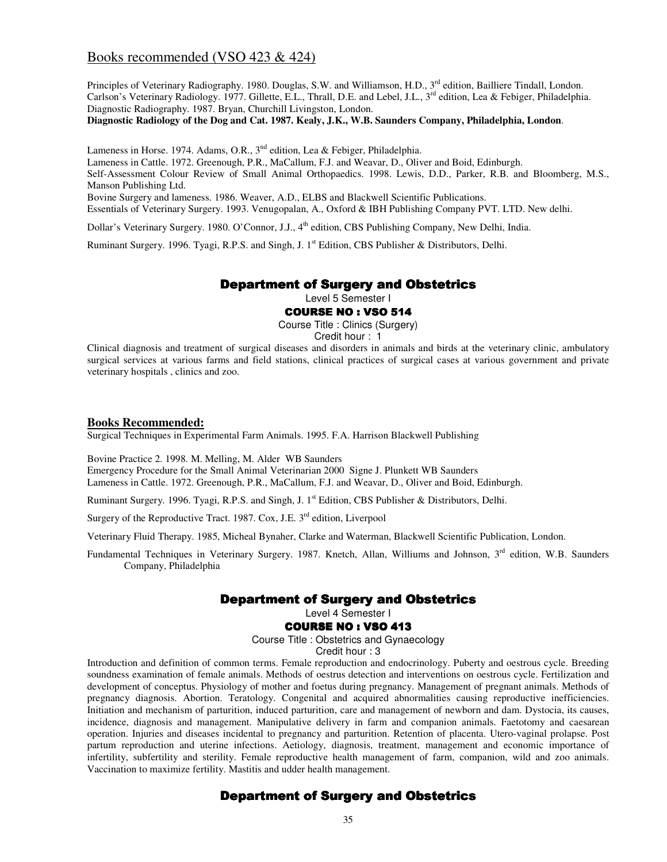# Books recommended (VSO 423 & 424)

Principles of Veterinary Radiography. 1980. Douglas, S.W. and Williamson, H.D., 3<sup>rd</sup> edition, Bailliere Tindall, London. Carlson's Veterinary Radiology. 1977. Gillette, E.L., Thrall, D.E. and Lebel, J.L., 3<sup>rd</sup> edition, Lea & Febiger, Philadelphia. Diagnostic Radiography. 1987. Bryan, Churchill Livingston, London.

**Diagnostic Radiology of the Dog and Cat. 1987. Kealy, J.K., W.B. Saunders Company, Philadelphia, London**.

Lameness in Horse. 1974. Adams, O.R., 3<sup>nd</sup> edition, Lea & Febiger, Philadelphia.

Lameness in Cattle. 1972. Greenough, P.R., MaCallum, F.J. and Weavar, D., Oliver and Boid, Edinburgh.

Self-Assessment Colour Review of Small Animal Orthopaedics. 1998. Lewis, D.D., Parker, R.B. and Bloomberg, M.S., Manson Publishing Ltd.

Bovine Surgery and lameness. 1986. Weaver, A.D., ELBS and Blackwell Scientific Publications.

Essentials of Veterinary Surgery. 1993. Venugopalan, A., Oxford & IBH Publishing Company PVT. LTD. New delhi.

Dollar's Veterinary Surgery. 1980. O'Connor, J.J., 4<sup>th</sup> edition, CBS Publishing Company, New Delhi, India.

Ruminant Surgery. 1996. Tyagi, R.P.S. and Singh, J. 1<sup>st</sup> Edition, CBS Publisher & Distributors, Delhi.

### Department of Surgery and Obstetrics

Level 5 Semester I

#### **COURSE NO : VSO 514**

Course Title : Clinics (Surgery)

Credit hour : 1

Clinical diagnosis and treatment of surgical diseases and disorders in animals and birds at the veterinary clinic, ambulatory surgical services at various farms and field stations, clinical practices of surgical cases at various government and private veterinary hospitals , clinics and zoo.

#### **Books Recommended:**

Surgical Techniques in Experimental Farm Animals. 1995. F.A. Harrison Blackwell Publishing

Bovine Practice 2. 1998. M. Melling, M. Alder WB Saunders

Emergency Procedure for the Small Animal Veterinarian 2000 Signe J. Plunkett WB Saunders Lameness in Cattle. 1972. Greenough, P.R., MaCallum, F.J. and Weavar, D., Oliver and Boid, Edinburgh.

Ruminant Surgery. 1996. Tyagi, R.P.S. and Singh, J. 1<sup>st</sup> Edition, CBS Publisher & Distributors, Delhi.

Surgery of the Reproductive Tract. 1987. Cox, J.E. 3<sup>rd</sup> edition, Liverpool

Veterinary Fluid Therapy. 1985, Micheal Bynaher, Clarke and Waterman, Blackwell Scientific Publication, London.

Fundamental Techniques in Veterinary Surgery. 1987. Knetch, Allan, Williums and Johnson, 3<sup>rd</sup> edition, W.B. Saunders Company, Philadelphia

#### Department of Surgery and Obstetrics

Level 4 Semester I

#### COURSE NO: VSO 413

Course Title : Obstetrics and Gynaecology

Credit hour : 3

Introduction and definition of common terms. Female reproduction and endocrinology. Puberty and oestrous cycle. Breeding soundness examination of female animals. Methods of oestrus detection and interventions on oestrous cycle. Fertilization and development of conceptus. Physiology of mother and foetus during pregnancy. Management of pregnant animals. Methods of pregnancy diagnosis. Abortion. Teratology. Congenital and acquired abnormalities causing reproductive inefficiencies. Initiation and mechanism of parturition, induced parturition, care and management of newborn and dam. Dystocia, its causes, incidence, diagnosis and management. Manipulative delivery in farm and companion animals. Faetotomy and caesarean operation. Injuries and diseases incidental to pregnancy and parturition. Retention of placenta. Utero-vaginal prolapse. Post partum reproduction and uterine infections. Aetiology, diagnosis, treatment, management and economic importance of infertility, subfertility and sterility. Female reproductive health management of farm, companion, wild and zoo animals. Vaccination to maximize fertility. Mastitis and udder health management.

# Department of Surgery and Obstetrics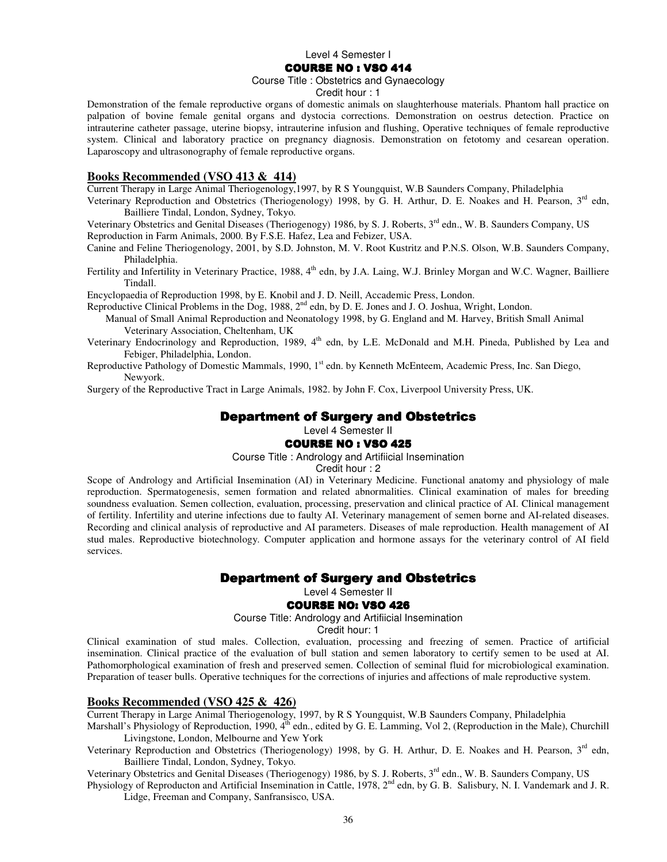#### Level 4 Semester I

#### **COURSE NO: VSO 414**

#### Course Title : Obstetrics and Gynaecology

#### Credit hour : 1

Demonstration of the female reproductive organs of domestic animals on slaughterhouse materials. Phantom hall practice on palpation of bovine female genital organs and dystocia corrections. Demonstration on oestrus detection. Practice on intrauterine catheter passage, uterine biopsy, intrauterine infusion and flushing, Operative techniques of female reproductive system. Clinical and laboratory practice on pregnancy diagnosis. Demonstration on fetotomy and cesarean operation. Laparoscopy and ultrasonography of female reproductive organs.

#### **Books Recommended (VSO 413 & 414)**

Current Therapy in Large Animal Theriogenology,1997, by R S Youngquist, W.B Saunders Company, Philadelphia

Veterinary Reproduction and Obstetrics (Theriogenology) 1998, by G. H. Arthur, D. E. Noakes and H. Pearson, 3rd edn, Bailliere Tindal, London, Sydney, Tokyo.

Veterinary Obstetrics and Genital Diseases (Theriogenogy) 1986, by S. J. Roberts, 3<sup>rd</sup> edn., W. B. Saunders Company, US Reproduction in Farm Animals, 2000. By F.S.E. Hafez, Lea and Febizer, USA.

- Canine and Feline Theriogenology, 2001, by S.D. Johnston, M. V. Root Kustritz and P.N.S. Olson, W.B. Saunders Company, Philadelphia.
- Fertility and Infertility in Veterinary Practice, 1988, 4<sup>th</sup> edn, by J.A. Laing, W.J. Brinley Morgan and W.C. Wagner, Bailliere Tindall.

Encyclopaedia of Reproduction 1998, by E. Knobil and J. D. Neill, Accademic Press, London.

Reproductive Clinical Problems in the Dog, 1988, 2<sup>nd</sup> edn, by D. E. Jones and J. O. Joshua, Wright, London.

Manual of Small Animal Reproduction and Neonatology 1998, by G. England and M. Harvey, British Small Animal Veterinary Association, Cheltenham, UK

- Veterinary Endocrinology and Reproduction, 1989, 4<sup>th</sup> edn, by L.E. McDonald and M.H. Pineda, Published by Lea and Febiger, Philadelphia, London.
- Reproductive Pathology of Domestic Mammals, 1990, 1<sup>st</sup> edn. by Kenneth McEnteem, Academic Press, Inc. San Diego, Newyork.

Surgery of the Reproductive Tract in Large Animals, 1982. by John F. Cox, Liverpool University Press, UK.

# **Department of Surgery and Obstetrics**

Level 4 Semester II

#### **COURSE NO : VSO 425**

#### Course Title : Andrology and Artifiicial Insemination

Credit hour : 2

Scope of Andrology and Artificial Insemination (AI) in Veterinary Medicine. Functional anatomy and physiology of male reproduction. Spermatogenesis, semen formation and related abnormalities. Clinical examination of males for breeding soundness evaluation. Semen collection, evaluation, processing, preservation and clinical practice of AI. Clinical management of fertility. Infertility and uterine infections due to faulty AI. Veterinary management of semen borne and AI-related diseases. Recording and clinical analysis of reproductive and AI parameters. Diseases of male reproduction. Health management of AI stud males. Reproductive biotechnology. Computer application and hormone assays for the veterinary control of AI field services.

### Department of Surgery and Obstetrics

Level 4 Semester II

#### **COURSE NO: VSO 426**

Course Title: Andrology and Artifiicial Insemination

Credit hour: 1

Clinical examination of stud males. Collection, evaluation, processing and freezing of semen. Practice of artificial insemination. Clinical practice of the evaluation of bull station and semen laboratory to certify semen to be used at AI. Pathomorphological examination of fresh and preserved semen. Collection of seminal fluid for microbiological examination. Preparation of teaser bulls. Operative techniques for the corrections of injuries and affections of male reproductive system.

#### **Books Recommended (VSO 425 & 426)**

Current Therapy in Large Animal Theriogenology, 1997, by R S Youngquist, W.B Saunders Company, Philadelphia

Marshall's Physiology of Reproduction, 1990,  $4<sup>th</sup>$  edn., edited by G. E. Lamming, Vol 2, (Reproduction in the Male), Churchill Livingstone, London, Melbourne and Yew York

Veterinary Reproduction and Obstetrics (Theriogenology) 1998, by G. H. Arthur, D. E. Noakes and H. Pearson, 3<sup>rd</sup> edn, Bailliere Tindal, London, Sydney, Tokyo.

Veterinary Obstetrics and Genital Diseases (Theriogenogy) 1986, by S. J. Roberts, 3<sup>rd</sup> edn., W. B. Saunders Company, US

Physiology of Reproducton and Artificial Insemination in Cattle, 1978, 2<sup>nd</sup> edn, by G. B. Salisbury, N. I. Vandemark and J. R. Lidge, Freeman and Company, Sanfransisco, USA.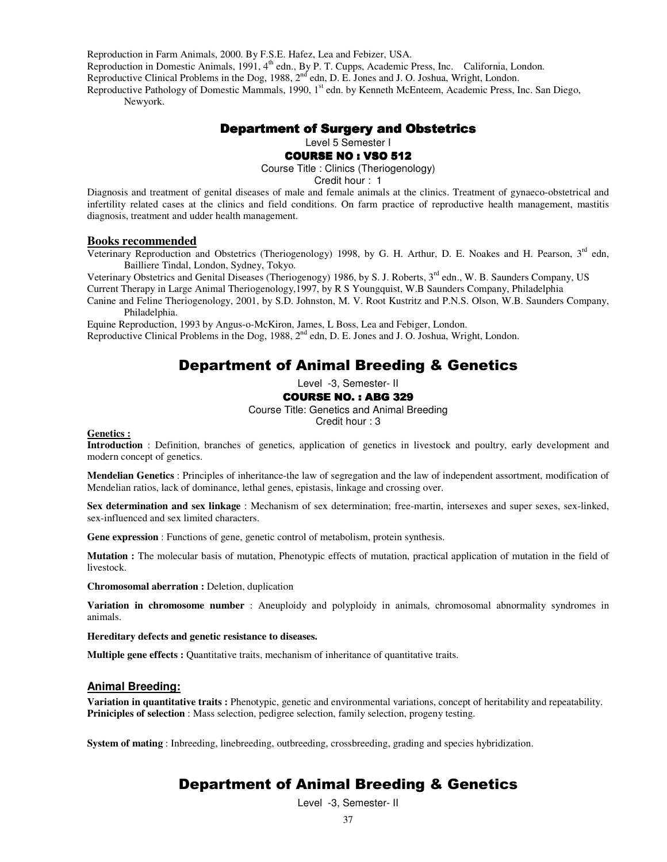Reproduction in Farm Animals, 2000. By F.S.E. Hafez, Lea and Febizer, USA.

Reproduction in Domestic Animals, 1991, 4<sup>th</sup> edn., By P. T. Cupps, Academic Press, Inc. California, London.

Reproductive Clinical Problems in the Dog, 1988, 2<sup>nd</sup> edn, D. E. Jones and J. O. Joshua, Wright, London.

Reproductive Pathology of Domestic Mammals, 1990, 1<sup>st</sup> edn. by Kenneth McEnteem, Academic Press, Inc. San Diego, Newyork.

# Department of Surgery and Obstetrics

Level 5 Semester I

**COURSE NO : VSO 512** 

Course Title : Clinics (Theriogenology)

Credit hour : 1

Diagnosis and treatment of genital diseases of male and female animals at the clinics. Treatment of gynaeco-obstetrical and infertility related cases at the clinics and field conditions. On farm practice of reproductive health management, mastitis diagnosis, treatment and udder health management.

#### **Books recommended**

Veterinary Reproduction and Obstetrics (Theriogenology) 1998, by G. H. Arthur, D. E. Noakes and H. Pearson,  $3^{rd}$  edn, Bailliere Tindal, London, Sydney, Tokyo.

Veterinary Obstetrics and Genital Diseases (Theriogenogy) 1986, by S. J. Roberts, 3<sup>rd</sup> edn., W. B. Saunders Company, US Current Therapy in Large Animal Theriogenology,1997, by R S Youngquist, W.B Saunders Company, Philadelphia

Canine and Feline Theriogenology, 2001, by S.D. Johnston, M. V. Root Kustritz and P.N.S. Olson, W.B. Saunders Company, Philadelphia.

Equine Reproduction, 1993 by Angus-o-McKiron, James, L Boss, Lea and Febiger, London.

Reproductive Clinical Problems in the Dog, 1988, 2<sup>nd</sup> edn, D. E. Jones and J. O. Joshua, Wright, London.

# Department of Animal Breeding & Genetics

Level -3, Semester- II

#### COURSE NO. : ABG 329

Course Title: Genetics and Animal Breeding

Credit hour : 3

#### **Genetics :**

**Introduction** : Definition, branches of genetics, application of genetics in livestock and poultry, early development and modern concept of genetics.

**Mendelian Genetics** : Principles of inheritance-the law of segregation and the law of independent assortment, modification of Mendelian ratios, lack of dominance, lethal genes, epistasis, linkage and crossing over.

**Sex determination and sex linkage** : Mechanism of sex determination; free-martin, intersexes and super sexes, sex-linked, sex-influenced and sex limited characters.

**Gene expression** : Functions of gene, genetic control of metabolism, protein synthesis.

**Mutation :** The molecular basis of mutation, Phenotypic effects of mutation, practical application of mutation in the field of livestock.

**Chromosomal aberration :** Deletion, duplication

**Variation in chromosome number** : Aneuploidy and polyploidy in animals, chromosomal abnormality syndromes in animals.

**Hereditary defects and genetic resistance to diseases.** 

**Multiple gene effects :** Quantitative traits, mechanism of inheritance of quantitative traits.

#### **Animal Breeding:**

**Variation in quantitative traits :** Phenotypic, genetic and environmental variations, concept of heritability and repeatability. **Priniciples of selection** : Mass selection, pedigree selection, family selection, progeny testing.

**System of mating** : Inbreeding, linebreeding, outbreeding, crossbreeding, grading and species hybridization.

# Department of Animal Breeding & Genetics

Level -3, Semester- II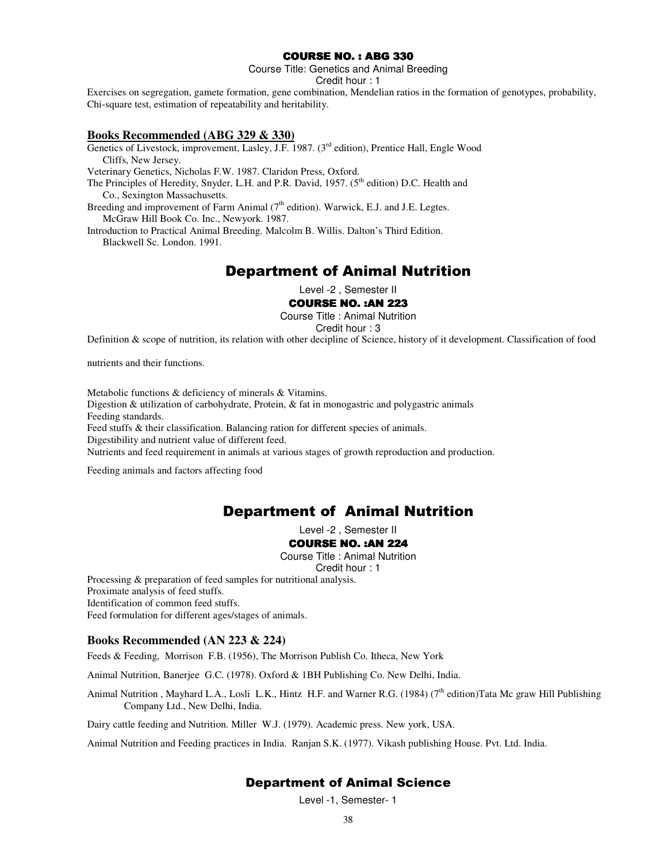# COURSE NO. : ABG 330

Course Title: Genetics and Animal Breeding

Credit hour : 1

Exercises on segregation, gamete formation, gene combination, Mendelian ratios in the formation of genotypes, probability, Chi-square test, estimation of repeatability and heritability.

#### **Books Recommended (ABG 329 & 330)**

Genetics of Livestock, improvement, Lasley, J.F. 1987. (3<sup>rd</sup> edition), Prentice Hall, Engle Wood Cliffs, New Jersey. Veterinary Genetics, Nicholas F.W. 1987. Claridon Press, Oxford. The Principles of Heredity, Snyder, L.H. and P.R. David, 1957.  $(5<sup>th</sup>$  edition) D.C. Health and Co., Sexington Massachusetts. Breeding and improvement of Farm Animal  $(7<sup>th</sup>$  edition). Warwick, E.J. and J.E. Legtes. McGraw Hill Book Co. Inc., Newyork. 1987. Introduction to Practical Animal Breeding. Malcolm B. Willis. Dalton's Third Edition.

Blackwell Sc. London. 1991.

# Department of Animal Nutrition

Level -2 , Semester II

#### COURSE NO. :AN 223

Course Title : Animal Nutrition

Credit hour : 3

Definition & scope of nutrition, its relation with other decipline of Science, history of it development. Classification of food

nutrients and their functions.

Metabolic functions & deficiency of minerals & Vitamins. Digestion  $\&$  utilization of carbohydrate, Protein,  $\&$  fat in monogastric and polygastric animals Feeding standards. Feed stuffs & their classification. Balancing ration for different species of animals. Digestibility and nutrient value of different feed. Nutrients and feed requirement in animals at various stages of growth reproduction and production.

Feeding animals and factors affecting food

# Department of Animal Nutrition

Level -2 , Semester II

#### COURSE NO. :AN 224

Course Title : Animal Nutrition Credit hour : 1

Processing & preparation of feed samples for nutritional analysis.

Proximate analysis of feed stuffs.

Identification of common feed stuffs.

Feed formulation for different ages/stages of animals.

#### **Books Recommended (AN 223 & 224)**

Feeds & Feeding, Morrison F.B. (1956), The Morrison Publish Co. Itheca, New York

Animal Nutrition, Banerjee G.C. (1978). Oxford & 1BH Publishing Co. New Delhi, India.

Animal Nutrition , Mayhard L.A., Losli L.K., Hintz H.F. and Warner R.G. (1984) (7<sup>th</sup> edition)Tata Mc graw Hill Publishing Company Ltd., New Delhi, India.

Dairy cattle feeding and Nutrition. Miller W.J. (1979). Academic press. New york, USA.

Animal Nutrition and Feeding practices in India. Ranjan S.K. (1977). Vikash publishing House. Pvt. Ltd. India.

# Department of Animal Science

Level -1, Semester- 1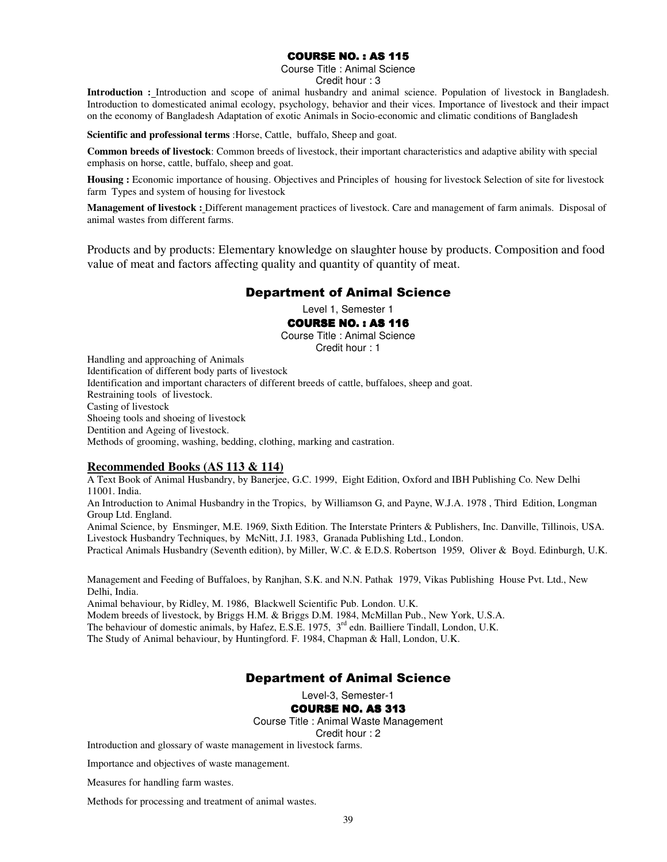# **COURSE NO. : AS 115**

Course Title : Animal Science Credit hour : 3

**Introduction :** Introduction and scope of animal husbandry and animal science. Population of livestock in Bangladesh. Introduction to domesticated animal ecology, psychology, behavior and their vices. Importance of livestock and their impact on the economy of Bangladesh Adaptation of exotic Animals in Socio-economic and climatic conditions of Bangladesh

**Scientific and professional terms** :Horse, Cattle, buffalo, Sheep and goat.

**Common breeds of livestock**: Common breeds of livestock, their important characteristics and adaptive ability with special emphasis on horse, cattle, buffalo, sheep and goat.

**Housing :** Economic importance of housing. Objectives and Principles of housing for livestock Selection of site for livestock farm Types and system of housing for livestock

**Management of livestock :** Different management practices of livestock. Care and management of farm animals. Disposal of animal wastes from different farms.

Products and by products: Elementary knowledge on slaughter house by products. Composition and food value of meat and factors affecting quality and quantity of quantity of meat.

# Department of Animal Science

Level 1, Semester 1

# **COURSE NO.: AS 116**

Course Title : Animal Science

Credit hour : 1 Handling and approaching of Animals Identification of different body parts of livestock Identification and important characters of different breeds of cattle, buffaloes, sheep and goat. Restraining tools of livestock. Casting of livestock Shoeing tools and shoeing of livestock

Dentition and Ageing of livestock.

Methods of grooming, washing, bedding, clothing, marking and castration.

# **Recommended Books (AS 113 & 114)**

A Text Book of Animal Husbandry, by Banerjee, G.C. 1999, Eight Edition, Oxford and IBH Publishing Co. New Delhi 11001. India.

An Introduction to Animal Husbandry in the Tropics, by Williamson G, and Payne, W.J.A. 1978 , Third Edition, Longman Group Ltd. England.

Animal Science, by Ensminger, M.E. 1969, Sixth Edition. The Interstate Printers & Publishers, Inc. Danville, Tillinois, USA. Livestock Husbandry Techniques, by McNitt, J.I. 1983, Granada Publishing Ltd., London.

Practical Animals Husbandry (Seventh edition), by Miller, W.C. & E.D.S. Robertson 1959, Oliver & Boyd. Edinburgh, U.K.

Management and Feeding of Buffaloes, by Ranjhan, S.K. and N.N. Pathak 1979, Vikas Publishing House Pvt. Ltd., New Delhi, India.

Animal behaviour, by Ridley, M. 1986, Blackwell Scientific Pub. London. U.K. Modem breeds of livestock, by Briggs H.M. & Briggs D.M. 1984, McMillan Pub., New York, U.S.A. The behaviour of domestic animals, by Hafez, E.S.E. 1975, 3<sup>rd</sup> edn. Bailliere Tindall, London, U.K. The Study of Animal behaviour, by Huntingford. F. 1984, Chapman & Hall, London, U.K.

# Department of Animal Science

Level-3, Semester-1

**COURSE NO. AS 313** 

Course Title : Animal Waste Management

Credit hour : 2

Introduction and glossary of waste management in livestock farms.

Importance and objectives of waste management.

Measures for handling farm wastes.

Methods for processing and treatment of animal wastes.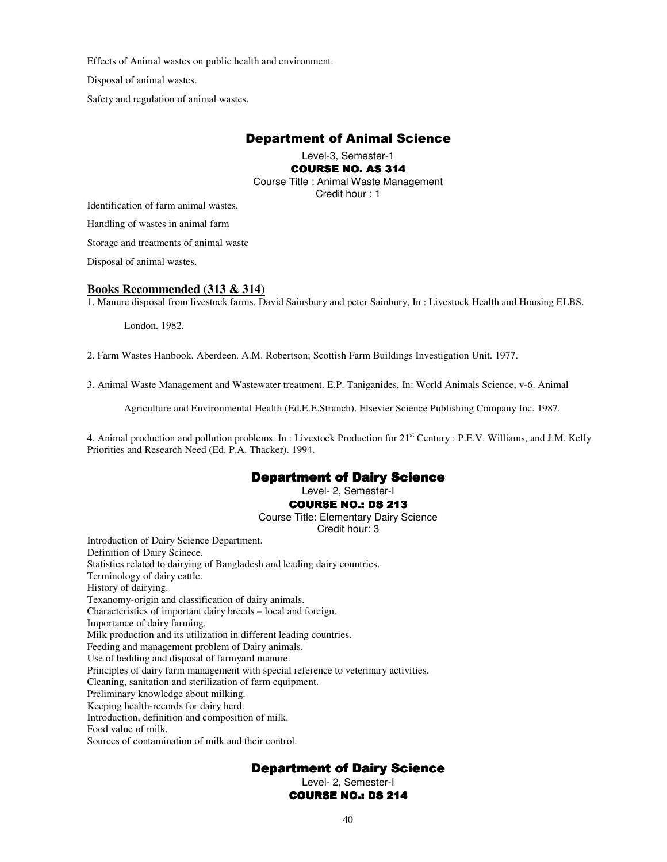Effects of Animal wastes on public health and environment.

Disposal of animal wastes.

Safety and regulation of animal wastes.

# Department of Animal Science

Level-3, Semester-1

**COURSE NO. AS 314** 

Course Title : Animal Waste Management Credit hour : 1

Identification of farm animal wastes.

Handling of wastes in animal farm

Storage and treatments of animal waste

Disposal of animal wastes.

#### **Books Recommended (313 & 314)**

1. Manure disposal from livestock farms. David Sainsbury and peter Sainbury, In : Livestock Health and Housing ELBS.

London. 1982.

2. Farm Wastes Hanbook. Aberdeen. A.M. Robertson; Scottish Farm Buildings Investigation Unit. 1977.

3. Animal Waste Management and Wastewater treatment. E.P. Taniganides, In: World Animals Science, v-6. Animal

Agriculture and Environmental Health (Ed.E.E.Stranch). Elsevier Science Publishing Company Inc. 1987.

4. Animal production and pollution problems. In : Livestock Production for  $21<sup>st</sup>$  Century : P.E.V. Williams, and J.M. Kelly Priorities and Research Need (Ed. P.A. Thacker). 1994.

# Department of Dairy Science

Level- 2, Semester-I

#### **COURSE NO.: DS 213**

Course Title: Elementary Dairy Science

#### Credit hour: 3

Introduction of Dairy Science Department. Definition of Dairy Scinece. Statistics related to dairying of Bangladesh and leading dairy countries. Terminology of dairy cattle. History of dairying. Texanomy-origin and classification of dairy animals. Characteristics of important dairy breeds – local and foreign. Importance of dairy farming. Milk production and its utilization in different leading countries. Feeding and management problem of Dairy animals. Use of bedding and disposal of farmyard manure. Principles of dairy farm management with special reference to veterinary activities. Cleaning, sanitation and sterilization of farm equipment. Preliminary knowledge about milking. Keeping health-records for dairy herd. Introduction, definition and composition of milk. Food value of milk. Sources of contamination of milk and their control.

# Department of Dairy Science

Level- 2, Semester-I

**COURSE NO.: DS 214**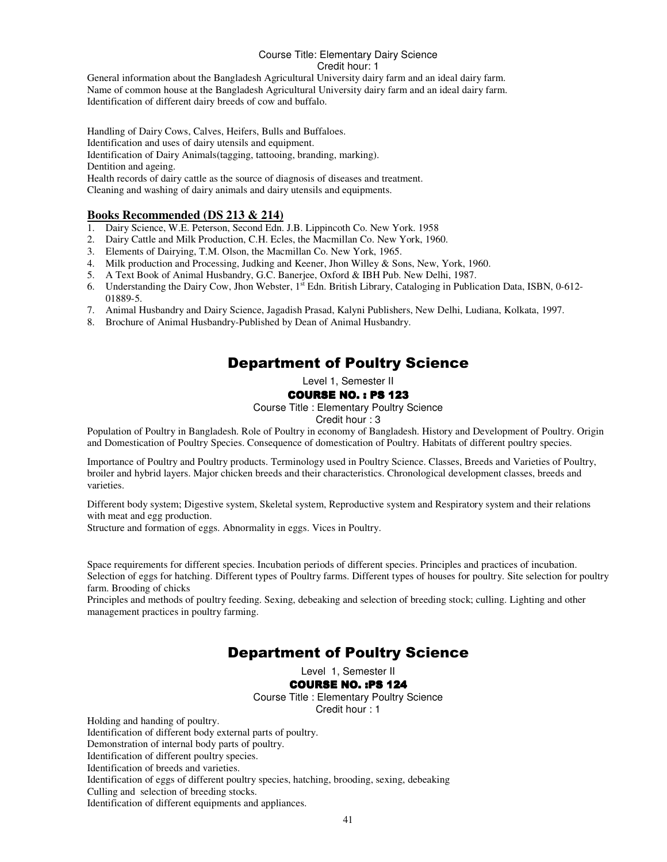# Course Title: Elementary Dairy Science Credit hour: 1

General information about the Bangladesh Agricultural University dairy farm and an ideal dairy farm. Name of common house at the Bangladesh Agricultural University dairy farm and an ideal dairy farm. Identification of different dairy breeds of cow and buffalo.

Handling of Dairy Cows, Calves, Heifers, Bulls and Buffaloes. Identification and uses of dairy utensils and equipment. Identification of Dairy Animals(tagging, tattooing, branding, marking). Dentition and ageing. Health records of dairy cattle as the source of diagnosis of diseases and treatment. Cleaning and washing of dairy animals and dairy utensils and equipments.

# **Books Recommended (DS 213 & 214)**

- 1. Dairy Science, W.E. Peterson, Second Edn. J.B. Lippincoth Co. New York. 1958
- 2. Dairy Cattle and Milk Production, C.H. Ecles, the Macmillan Co. New York, 1960.
- 3. Elements of Dairying, T.M. Olson, the Macmillan Co. New York, 1965.
- 4. Milk production and Processing, Judking and Keener, Jhon Willey & Sons, New, York, 1960.
- 5. A Text Book of Animal Husbandry, G.C. Banerjee, Oxford & IBH Pub. New Delhi, 1987.
- 6. Understanding the Dairy Cow, Jhon Webster, 1<sup>st</sup> Edn. British Library, Cataloging in Publication Data, ISBN, 0-612-01889-5.
- 7. Animal Husbandry and Dairy Science, Jagadish Prasad, Kalyni Publishers, New Delhi, Ludiana, Kolkata, 1997.
- 8. Brochure of Animal Husbandry-Published by Dean of Animal Husbandry.

# Department of Poultry Science

Level 1, Semester II

# **COURSE NO. : PS 123**

Course Title : Elementary Poultry Science

Credit hour : 3

Population of Poultry in Bangladesh. Role of Poultry in economy of Bangladesh. History and Development of Poultry. Origin and Domestication of Poultry Species. Consequence of domestication of Poultry. Habitats of different poultry species.

Importance of Poultry and Poultry products. Terminology used in Poultry Science. Classes, Breeds and Varieties of Poultry, broiler and hybrid layers. Major chicken breeds and their characteristics. Chronological development classes, breeds and varieties.

Different body system; Digestive system, Skeletal system, Reproductive system and Respiratory system and their relations with meat and egg production.

Structure and formation of eggs. Abnormality in eggs. Vices in Poultry.

Space requirements for different species. Incubation periods of different species. Principles and practices of incubation. Selection of eggs for hatching. Different types of Poultry farms. Different types of houses for poultry. Site selection for poultry farm. Brooding of chicks

Principles and methods of poultry feeding. Sexing, debeaking and selection of breeding stock; culling. Lighting and other management practices in poultry farming.

# Department of Poultry Science

Level 1, Semester II

# **COURSE NO. : PS 124**

Course Title : Elementary Poultry Science Credit hour : 1

Holding and handing of poultry. Identification of different body external parts of poultry. Demonstration of internal body parts of poultry. Identification of different poultry species. Identification of breeds and varieties. Identification of eggs of different poultry species, hatching, brooding, sexing, debeaking Culling and selection of breeding stocks.

Identification of different equipments and appliances.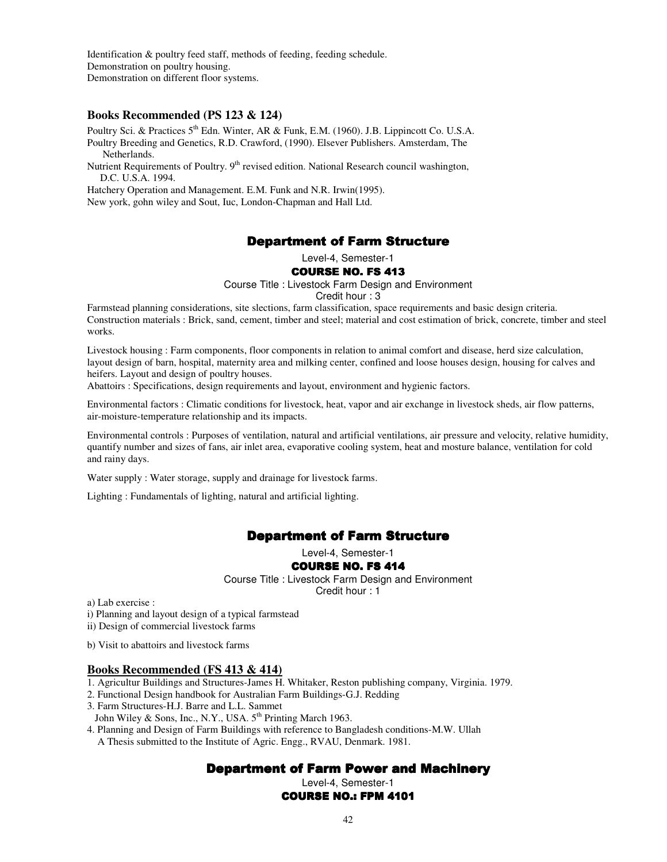Identification & poultry feed staff, methods of feeding, feeding schedule. Demonstration on poultry housing. Demonstration on different floor systems.

#### **Books Recommended (PS 123 & 124)**

Poultry Sci. & Practices 5<sup>th</sup> Edn. Winter, AR & Funk, E.M. (1960). J.B. Lippincott Co. U.S.A. Poultry Breeding and Genetics, R.D. Crawford, (1990). Elsever Publishers. Amsterdam, The Netherlands.

Nutrient Requirements of Poultry. 9<sup>th</sup> revised edition. National Research council washington, D.C. U.S.A. 1994.

Hatchery Operation and Management. E.M. Funk and N.R. Irwin(1995). New york, gohn wiley and Sout, Iuc, London-Chapman and Hall Ltd.

# Department of Farm Structure

Level-4, Semester-1

#### **COURSE NO. FS 413**

Course Title : Livestock Farm Design and Environment

Credit hour : 3

Farmstead planning considerations, site slections, farm classification, space requirements and basic design criteria. Construction materials : Brick, sand, cement, timber and steel; material and cost estimation of brick, concrete, timber and steel works.

Livestock housing : Farm components, floor components in relation to animal comfort and disease, herd size calculation, layout design of barn, hospital, maternity area and milking center, confined and loose houses design, housing for calves and heifers. Layout and design of poultry houses.

Abattoirs : Specifications, design requirements and layout, environment and hygienic factors.

Environmental factors : Climatic conditions for livestock, heat, vapor and air exchange in livestock sheds, air flow patterns, air-moisture-temperature relationship and its impacts.

Environmental controls : Purposes of ventilation, natural and artificial ventilations, air pressure and velocity, relative humidity, quantify number and sizes of fans, air inlet area, evaporative cooling system, heat and mosture balance, ventilation for cold and rainy days.

Water supply : Water storage, supply and drainage for livestock farms.

Lighting : Fundamentals of lighting, natural and artificial lighting.

# **Department of Farm Structure**

Level-4, Semester-1

#### **COURSE NO. FS 414**

Course Title : Livestock Farm Design and Environment Credit hour : 1

a) Lab exercise :

i) Planning and layout design of a typical farmstead

ii) Design of commercial livestock farms

b) Visit to abattoirs and livestock farms

#### **Books Recommended (FS 413 & 414)**

1. Agricultur Buildings and Structures-James H. Whitaker, Reston publishing company, Virginia. 1979.

2. Functional Design handbook for Australian Farm Buildings-G.J. Redding

3. Farm Structures-H.J. Barre and L.L. Sammet

John Wiley & Sons, Inc., N.Y., USA.  $5^{th}$  Printing March 1963.

4. Planning and Design of Farm Buildings with reference to Bangladesh conditions-M.W. Ullah

A Thesis submitted to the Institute of Agric. Engg., RVAU, Denmark. 1981.

# Department of Farm Power and Machinery

Level-4, Semester-1

COURSE NO.: FPM 4101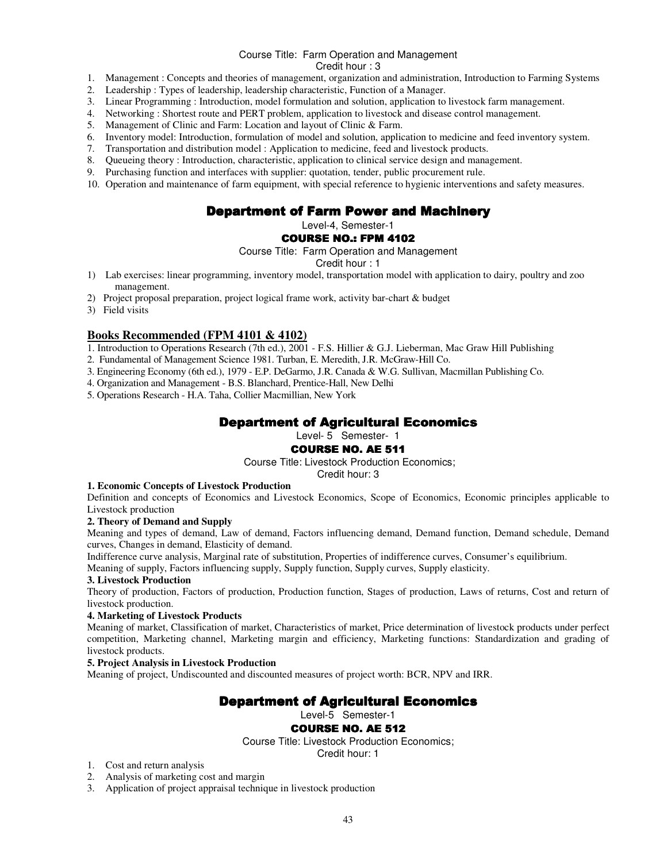#### Course Title: Farm Operation and Management

Credit hour : 3

- 1. Management : Concepts and theories of management, organization and administration, Introduction to Farming Systems
- 2. Leadership : Types of leadership, leadership characteristic, Function of a Manager.
- 3. Linear Programming : Introduction, model formulation and solution, application to livestock farm management.
- 4. Networking : Shortest route and PERT problem, application to livestock and disease control management.<br>5. Management of Clinic and Farm: Location and layout of Clinic & Farm.
- 5. Management of Clinic and Farm: Location and layout of Clinic & Farm.<br>6. Inventory model: Introduction, formulation of model and solution, applicity
- Inventory model: Introduction, formulation of model and solution, application to medicine and feed inventory system.
- 
- 7. Transportation and distribution model : Application to medicine, feed and livestock products.<br>8. Queueing theory : Introduction, characteristic, application to clinical service design and mana<br>9. Purchasing function and Queueing theory : Introduction, characteristic, application to clinical service design and management.
- 9. Purchasing function and interfaces with supplier: quotation, tender, public procurement rule.
- 10. Operation and maintenance of farm equipment, with special reference to hygienic interventions and safety measures.

# Department of Farm Power and Machinery

Level-4, Semester-1

#### COURSE NO.: FPM 4102

Course Title: Farm Operation and Management

Credit hour : 1

- 1) Lab exercises: linear programming, inventory model, transportation model with application to dairy, poultry and zoo management.
- 2) Project proposal preparation, project logical frame work, activity bar-chart & budget
- 3) Field visits

# **Books Recommended (FPM 4101 & 4102)**

- 1. Introduction to Operations Research (7th ed.), 2001 F.S. Hillier & G.J. Lieberman, Mac Graw Hill Publishing
- 2. Fundamental of Management Science 1981. Turban, E. Meredith, J.R. McGraw-Hill Co.
- 3. Engineering Economy (6th ed.), 1979 E.P. DeGarmo, J.R. Canada & W.G. Sullivan, Macmillan Publishing Co.
- 4. Organization and Management B.S. Blanchard, Prentice-Hall, New Delhi
- 5. Operations Research H.A. Taha, Collier Macmillian, New York

# **Department of Agricultural Economics**

Level- 5 Semester- 1

# **COURSE NO. AE 511**

Course Title: Livestock Production Economics;

Credit hour: 3

#### **1. Economic Concepts of Livestock Production**

Definition and concepts of Economics and Livestock Economics, Scope of Economics, Economic principles applicable to Livestock production

#### **2. Theory of Demand and Supply**

Meaning and types of demand, Law of demand, Factors influencing demand, Demand function, Demand schedule, Demand curves, Changes in demand, Elasticity of demand.

Indifference curve analysis, Marginal rate of substitution, Properties of indifference curves, Consumer's equilibrium.

Meaning of supply, Factors influencing supply, Supply function, Supply curves, Supply elasticity.

#### **3. Livestock Production**

Theory of production, Factors of production, Production function, Stages of production, Laws of returns, Cost and return of livestock production.

#### **4. Marketing of Livestock Products**

Meaning of market, Classification of market, Characteristics of market, Price determination of livestock products under perfect competition, Marketing channel, Marketing margin and efficiency, Marketing functions: Standardization and grading of livestock products.

#### **5. Project Analysis in Livestock Production**

Meaning of project, Undiscounted and discounted measures of project worth: BCR, NPV and IRR.

# **Department of Agricultural Economics**

#### Level-5 Semester-1

#### **COURSE NO. AE 512**

Course Title: Livestock Production Economics;

Credit hour: 1

- 1. Cost and return analysis
- 2. Analysis of marketing cost and margin
- 3. Application of project appraisal technique in livestock production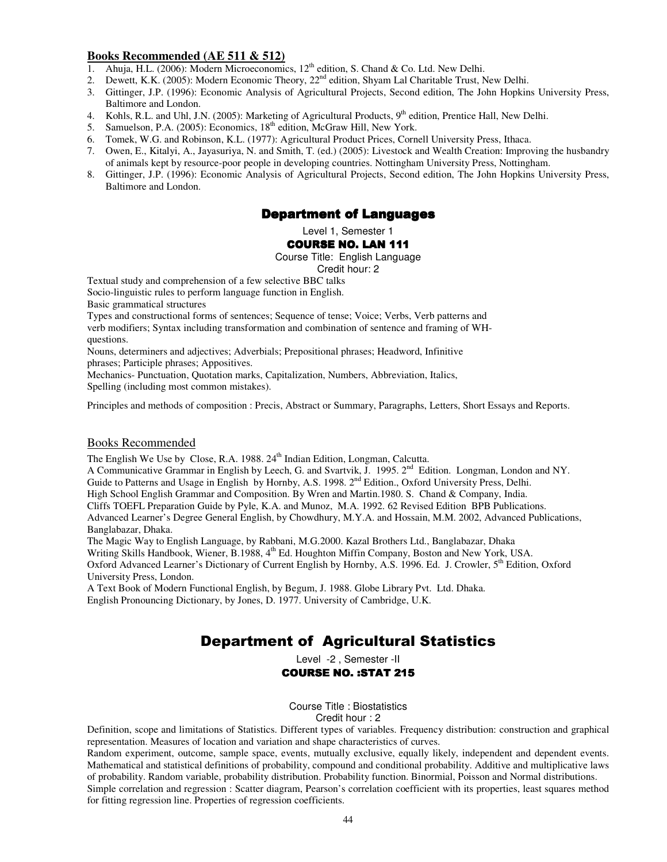# **Books Recommended (AE 511 & 512)**

- 1. Ahuja, H.L. (2006): Modern Microeconomics,  $12<sup>th</sup>$  edition, S. Chand & Co. Ltd. New Delhi.
- 2. Dewett, K.K. (2005): Modern Economic Theory, 22<sup>nd</sup> edition, Shyam Lal Charitable Trust, New Delhi.
- 3. Gittinger, J.P. (1996): Economic Analysis of Agricultural Projects, Second edition, The John Hopkins University Press, Baltimore and London.
- 4. Kohls, R.L. and Uhl, J.N. (2005): Marketing of Agricultural Products,  $9<sup>th</sup>$  edition, Prentice Hall, New Delhi.<br>5. Samuelson. P.A. (2005): Economics,  $18<sup>th</sup>$  edition, McGraw Hill, New York.
- Samuelson, P.A. (2005): Economics, 18<sup>th</sup> edition, McGraw Hill, New York.
- 6. Tomek, W.G. and Robinson, K.L. (1977): Agricultural Product Prices, Cornell University Press, Ithaca.
- 7. Owen, E., Kitalyi, A., Jayasuriya, N. and Smith, T. (ed.) (2005): Livestock and Wealth Creation: Improving the husbandry of animals kept by resource-poor people in developing countries. Nottingham University Press, Nottingham.
- 8. Gittinger, J.P. (1996): Economic Analysis of Agricultural Projects, Second edition, The John Hopkins University Press, Baltimore and London.

# **Department of Languages**

Level 1, Semester 1

# **COURSE NO. LAN 111**

Course Title: English Language

Credit hour: 2

Textual study and comprehension of a few selective BBC talks

Socio-linguistic rules to perform language function in English.

Basic grammatical structures

Types and constructional forms of sentences; Sequence of tense; Voice; Verbs, Verb patterns and verb modifiers; Syntax including transformation and combination of sentence and framing of WHquestions.

Nouns, determiners and adjectives; Adverbials; Prepositional phrases; Headword, Infinitive phrases; Participle phrases; Appositives.

Mechanics- Punctuation, Quotation marks, Capitalization, Numbers, Abbreviation, Italics, Spelling (including most common mistakes).

Principles and methods of composition : Precis, Abstract or Summary, Paragraphs, Letters, Short Essays and Reports.

# Books Recommended

The English We Use by Close, R.A. 1988. 24<sup>th</sup> Indian Edition, Longman, Calcutta.

A Communicative Grammar in English by Leech, G. and Svartvik, J. 1995. 2<sup>nd</sup> Edition. Longman, London and NY. Guide to Patterns and Usage in English by Hornby, A.S. 1998. 2<sup>nd</sup> Edition., Oxford University Press, Delhi.

High School English Grammar and Composition. By Wren and Martin.1980. S. Chand & Company, India.

Cliffs TOEFL Preparation Guide by Pyle, K.A. and Munoz, M.A. 1992. 62 Revised Edition BPB Publications.

Advanced Learner's Degree General English, by Chowdhury, M.Y.A. and Hossain, M.M. 2002, Advanced Publications, Banglabazar, Dhaka.

The Magic Way to English Language, by Rabbani, M.G.2000. Kazal Brothers Ltd., Banglabazar, Dhaka Writing Skills Handbook, Wiener, B.1988, 4<sup>th</sup> Ed. Houghton Miffin Company, Boston and New York, USA. Oxford Advanced Learner's Dictionary of Current English by Hornby, A.S. 1996. Ed. J. Crowler, 5<sup>th</sup> Edition, Oxford University Press, London.

A Text Book of Modern Functional English, by Begum, J. 1988. Globe Library Pvt. Ltd. Dhaka. English Pronouncing Dictionary, by Jones, D. 1977. University of Cambridge, U.K.

# Department of Agricultural Statistics

Level -2 , Semester -II COURSE NO. :STAT 215

Course Title : Biostatistics Credit hour : 2

Definition, scope and limitations of Statistics. Different types of variables. Frequency distribution: construction and graphical representation. Measures of location and variation and shape characteristics of curves.

Random experiment, outcome, sample space, events, mutually exclusive, equally likely, independent and dependent events. Mathematical and statistical definitions of probability, compound and conditional probability. Additive and multiplicative laws of probability. Random variable, probability distribution. Probability function. Binormial, Poisson and Normal distributions. Simple correlation and regression : Scatter diagram, Pearson's correlation coefficient with its properties, least squares method for fitting regression line. Properties of regression coefficients.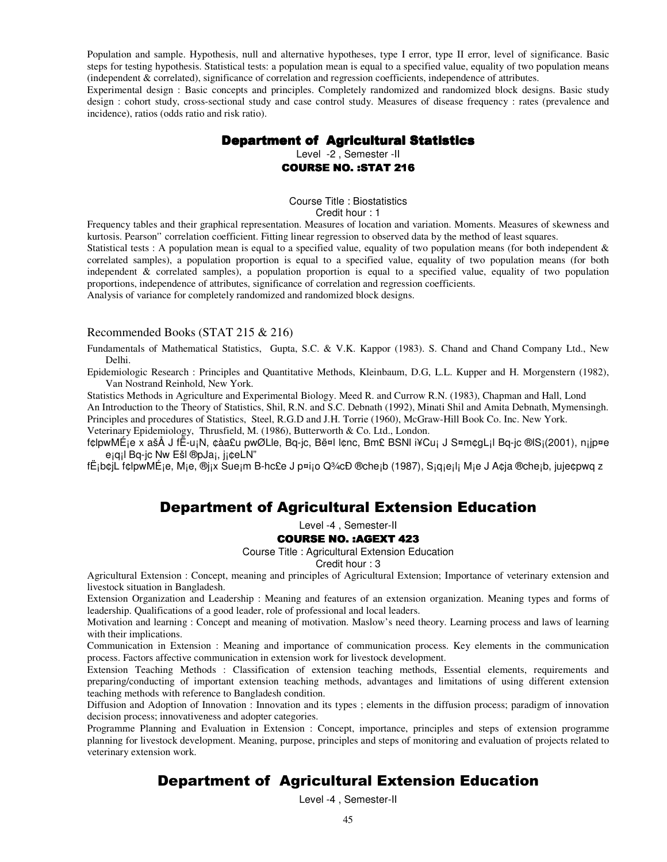Population and sample. Hypothesis, null and alternative hypotheses, type I error, type II error, level of significance. Basic steps for testing hypothesis. Statistical tests: a population mean is equal to a specified value, equality of two population means (independent & correlated), significance of correlation and regression coefficients, independence of attributes.

Experimental design : Basic concepts and principles. Completely randomized and randomized block designs. Basic study design : cohort study, cross-sectional study and case control study. Measures of disease frequency : rates (prevalence and incidence), ratios (odds ratio and risk ratio).

# Department of Agricultural Statistics

Level -2 , Semester -II COURSE NO. :STAT 216

Course Title : Biostatistics Credit hour : 1

Frequency tables and their graphical representation. Measures of location and variation. Moments. Measures of skewness and kurtosis. Pearson'' correlation coefficient. Fitting linear regression to observed data by the method of least squares.

Statistical tests : A population mean is equal to a specified value, equality of two population means (for both independent  $\&$ correlated samples), a population proportion is equal to a specified value, equality of two population means (for both independent & correlated samples), a population proportion is equal to a specified value, equality of two population proportions, independence of attributes, significance of correlation and regression coefficients.

Analysis of variance for completely randomized and randomized block designs.

#### Recommended Books (STAT 215 & 216)

Fundamentals of Mathematical Statistics, Gupta, S.C. & V.K. Kappor (1983). S. Chand and Chand Company Ltd., New Delhi.

Epidemiologic Research : Principles and Quantitative Methods, Kleinbaum, D.G, L.L. Kupper and H. Morgenstern (1982), Van Nostrand Reinhold, New York.

Statistics Methods in Agriculture and Experimental Biology. Meed R. and Currow R.N. (1983), Chapman and Hall, Lond An Introduction to the Theory of Statistics, Shil, R.N. and S.C. Debnath (1992), Minati Shil and Amita Debnath, Mymensingh.

Principles and procedures of Statistics, Steel, R.G.D and J.H. Torrie (1960), McGraw-Hill Book Co. Inc. New York. Veterinary Epidemiology, Thrusfield, M. (1986), Butterworth & Co. Ltd., London.

f¢lpwMÉ¡e x ašÅ J fË-u¡N, ¢àa£u pwØLle, Bq-jc, Bë¤l l¢nc, Bm£ BSNl i¥Cu¡ J S¤m¢gL¡l Bq-jc ®lS¡(2001), n¡jp¤e e¡q¡l Bq-jc Nw Ešl ®pJa¡, j¡¢eLN"

fË¡b¢jL f¢lpwMÉ¡e, M¡e, ®j¡x Sue¡m B-hc£e J p¤i¡o Q¾cÐ ®che¡b (1987), S¡q¡e¡l¡ M¡e J A¢ja ®che¡b, juje¢pwq z

# Department of Agricultural Extension Education

Level -4 , Semester-II

# **COURSE NO. : AGEXT 423**

Course Title : Agricultural Extension Education

Credit hour : 3

Agricultural Extension : Concept, meaning and principles of Agricultural Extension; Importance of veterinary extension and livestock situation in Bangladesh.

Extension Organization and Leadership : Meaning and features of an extension organization. Meaning types and forms of leadership. Qualifications of a good leader, role of professional and local leaders.

Motivation and learning : Concept and meaning of motivation. Maslow's need theory. Learning process and laws of learning with their implications.

Communication in Extension : Meaning and importance of communication process. Key elements in the communication process. Factors affective communication in extension work for livestock development.

Extension Teaching Methods : Classification of extension teaching methods, Essential elements, requirements and preparing/conducting of important extension teaching methods, advantages and limitations of using different extension teaching methods with reference to Bangladesh condition.

Diffusion and Adoption of Innovation : Innovation and its types ; elements in the diffusion process; paradigm of innovation decision process; innovativeness and adopter categories.

Programme Planning and Evaluation in Extension : Concept, importance, principles and steps of extension programme planning for livestock development. Meaning, purpose, principles and steps of monitoring and evaluation of projects related to veterinary extension work.

# Department of Agricultural Extension Education

Level -4 , Semester-II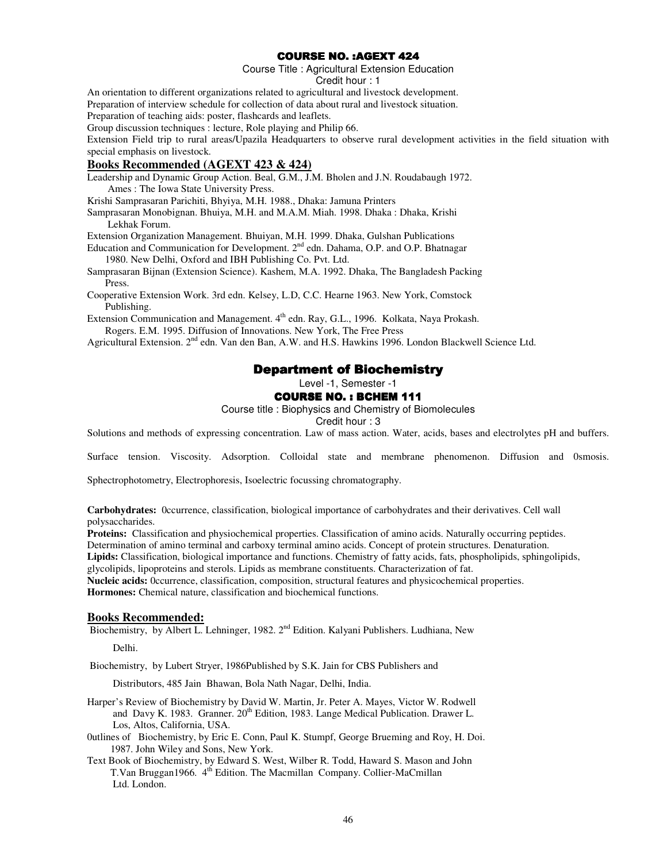# **COURSE NO. : AGEXT 424**

Course Title : Agricultural Extension Education

Credit hour : 1

An orientation to different organizations related to agricultural and livestock development.

Preparation of interview schedule for collection of data about rural and livestock situation.

Preparation of teaching aids: poster, flashcards and leaflets.

Group discussion techniques : lecture, Role playing and Philip 66.

Extension Field trip to rural areas/Upazila Headquarters to observe rural development activities in the field situation with special emphasis on livestock.

#### **Books Recommended (AGEXT 423 & 424)**

Leadership and Dynamic Group Action. Beal, G.M., J.M. Bholen and J.N. Roudabaugh 1972. Ames : The Iowa State University Press.

Krishi Samprasaran Parichiti, Bhyiya, M.H. 1988., Dhaka: Jamuna Printers

Samprasaran Monobignan. Bhuiya, M.H. and M.A.M. Miah. 1998. Dhaka : Dhaka, Krishi Lekhak Forum.

Extension Organization Management. Bhuiyan, M.H. 1999. Dhaka, Gulshan Publications

Education and Communication for Development. 2<sup>nd</sup> edn. Dahama, O.P. and O.P. Bhatnagar 1980. New Delhi, Oxford and IBH Publishing Co. Pvt. Ltd.

Samprasaran Bijnan (Extension Science). Kashem, M.A. 1992. Dhaka, The Bangladesh Packing Press.

Cooperative Extension Work. 3rd edn. Kelsey, L.D, C.C. Hearne 1963. New York, Comstock Publishing.

Extension Communication and Management. 4<sup>th</sup> edn. Ray, G.L., 1996. Kolkata, Naya Prokash. Rogers. E.M. 1995. Diffusion of Innovations. New York, The Free Press

Agricultural Extension. 2<sup>nd</sup> edn. Van den Ban, A.W. and H.S. Hawkins 1996. London Blackwell Science Ltd.

# **Department of Biochemistry**

Level -1, Semester -1

#### COURSE NO. : BCHEM 111

Course title : Biophysics and Chemistry of Biomolecules

Credit hour : 3

Solutions and methods of expressing concentration. Law of mass action. Water, acids, bases and electrolytes pH and buffers.

Surface tension. Viscosity. Adsorption. Colloidal state and membrane phenomenon. Diffusion and 0smosis.

Sphectrophotometry, Electrophoresis, Isoelectric focussing chromatography.

**Carbohydrates:** 0ccurrence, classification, biological importance of carbohydrates and their derivatives. Cell wall polysaccharides.

**Proteins:** Classification and physiochemical properties. Classification of amino acids. Naturally occurring peptides.

Determination of amino terminal and carboxy terminal amino acids. Concept of protein structures. Denaturation.

**Lipids:** Classification, biological importance and functions. Chemistry of fatty acids, fats, phospholipids, sphingolipids,

glycolipids, lipoproteins and sterols. Lipids as membrane constituents. Characterization of fat.

**Nucleic acids:** 0ccurrence, classification, composition, structural features and physicochemical properties.

**Hormones:** Chemical nature, classification and biochemical functions.

#### **Books Recommended:**

Biochemistry, by Albert L. Lehninger, 1982. 2<sup>nd</sup> Edition. Kalyani Publishers. Ludhiana, New

Delhi.

Biochemistry, by Lubert Stryer, 1986Published by S.K. Jain for CBS Publishers and

Distributors, 485 Jain Bhawan, Bola Nath Nagar, Delhi, India.

- Harper's Review of Biochemistry by David W. Martin, Jr. Peter A. Mayes, Victor W. Rodwell and Davy K. 1983. Granner.  $20^{th}$  Edition, 1983. Lange Medical Publication. Drawer L. Los, Altos, California, USA.
- 0utlines of Biochemistry, by Eric E. Conn, Paul K. Stumpf, George Brueming and Roy, H. Doi. 1987. John Wiley and Sons, New York.
- Text Book of Biochemistry, by Edward S. West, Wilber R. Todd, Haward S. Mason and John T.Van Bruggan1966. 4<sup>th</sup> Edition. The Macmillan Company. Collier-MaCmillan Ltd. London.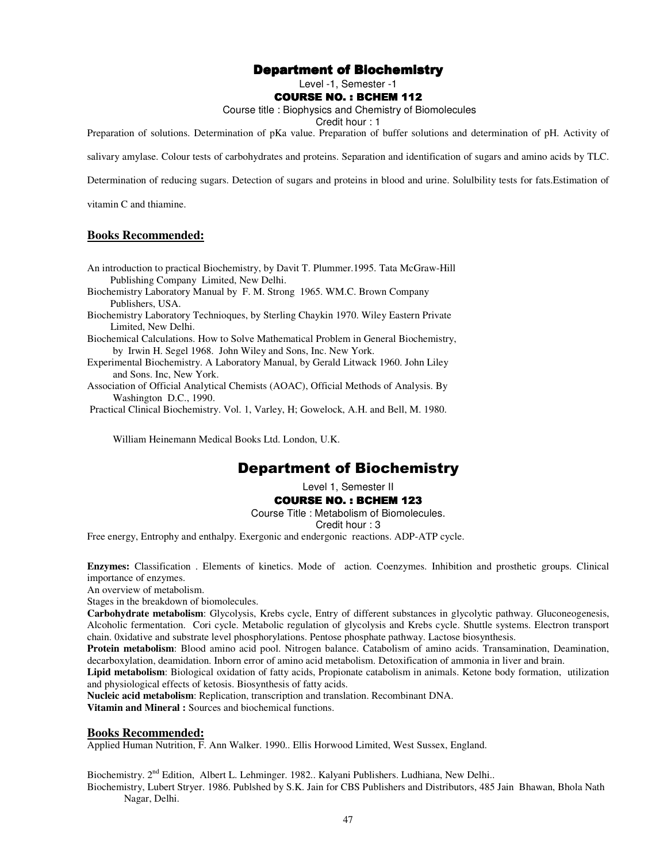# Department of Biochemistry

Level -1, Semester -1

#### **COURSE NO. : BCHEM 112**

Course title : Biophysics and Chemistry of Biomolecules

Credit hour : 1

Preparation of solutions. Determination of pKa value. Preparation of buffer solutions and determination of pH. Activity of

salivary amylase. Colour tests of carbohydrates and proteins. Separation and identification of sugars and amino acids by TLC.

Determination of reducing sugars. Detection of sugars and proteins in blood and urine. Solulbility tests for fats.Estimation of

vitamin C and thiamine.

#### **Books Recommended:**

- An introduction to practical Biochemistry, by Davit T. Plummer.1995. Tata McGraw-Hill Publishing Company Limited, New Delhi.
- Biochemistry Laboratory Manual by F. M. Strong 1965. WM.C. Brown Company Publishers, USA.
- Biochemistry Laboratory Technioques, by Sterling Chaykin 1970. Wiley Eastern Private Limited, New Delhi.

Biochemical Calculations. How to Solve Mathematical Problem in General Biochemistry, by Irwin H. Segel 1968. John Wiley and Sons, Inc. New York.

Experimental Biochemistry. A Laboratory Manual, by Gerald Litwack 1960. John Liley and Sons. Inc, New York.

Association of Official Analytical Chemists (AOAC), Official Methods of Analysis. By Washington D.C., 1990.

Practical Clinical Biochemistry. Vol. 1, Varley, H; Gowelock, A.H. and Bell, M. 1980.

William Heinemann Medical Books Ltd. London, U.K.

# Department of Biochemistry

Level 1, Semester II

#### COURSE NO. : BCHEM 123

Course Title : Metabolism of Biomolecules.

Credit hour : 3

Free energy, Entrophy and enthalpy. Exergonic and endergonic reactions. ADP-ATP cycle.

**Enzymes:** Classification . Elements of kinetics. Mode of action. Coenzymes. Inhibition and prosthetic groups. Clinical importance of enzymes.

An overview of metabolism.

Stages in the breakdown of biomolecules.

**Carbohydrate metabolism**: Glycolysis, Krebs cycle, Entry of different substances in glycolytic pathway. Gluconeogenesis, Alcoholic fermentation. Cori cycle. Metabolic regulation of glycolysis and Krebs cycle. Shuttle systems. Electron transport chain. 0xidative and substrate level phosphorylations. Pentose phosphate pathway. Lactose biosynthesis.

**Protein metabolism**: Blood amino acid pool. Nitrogen balance. Catabolism of amino acids. Transamination, Deamination, decarboxylation, deamidation. Inborn error of amino acid metabolism. Detoxification of ammonia in liver and brain.

**Lipid metabolism**: Biological oxidation of fatty acids, Propionate catabolism in animals. Ketone body formation, utilization and physiological effects of ketosis. Biosynthesis of fatty acids.

**Nucleic acid metabolism**: Replication, transcription and translation. Recombinant DNA.

**Vitamin and Mineral :** Sources and biochemical functions.

#### **Books Recommended:**

Applied Human Nutrition, F. Ann Walker. 1990.. Ellis Horwood Limited, West Sussex, England.

Biochemistry. 2<sup>nd</sup> Edition, Albert L. Lehminger. 1982.. Kalyani Publishers. Ludhiana, New Delhi..

Biochemistry, Lubert Stryer. 1986. Publshed by S.K. Jain for CBS Publishers and Distributors, 485 Jain Bhawan, Bhola Nath Nagar, Delhi.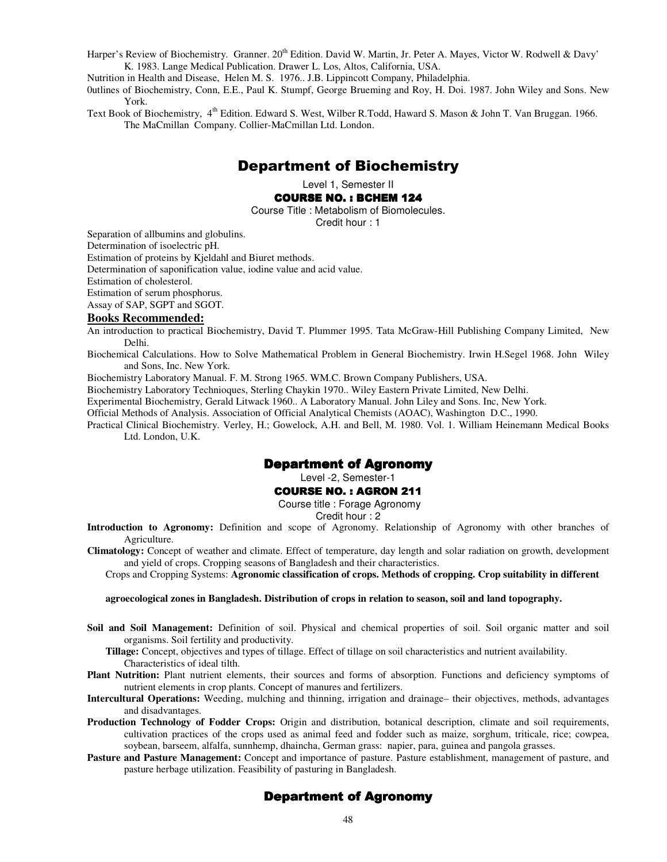Harper's Review of Biochemistry. Granner. 20<sup>th</sup> Edition. David W. Martin, Jr. Peter A. Mayes, Victor W. Rodwell & Davy' K. 1983. Lange Medical Publication. Drawer L. Los, Altos, California, USA.

Nutrition in Health and Disease, Helen M. S. 1976.. J.B. Lippincott Company, Philadelphia.

0utlines of Biochemistry, Conn, E.E., Paul K. Stumpf, George Brueming and Roy, H. Doi. 1987. John Wiley and Sons. New York.

Text Book of Biochemistry, 4<sup>th</sup> Edition. Edward S. West, Wilber R.Todd, Haward S. Mason & John T. Van Bruggan. 1966. The MaCmillan Company. Collier-MaCmillan Ltd. London.

# Department of Biochemistry

Level 1, Semester II

#### COURSE NO. : BCHEM 124

Course Title : Metabolism of Biomolecules.

Credit hour : 1

Separation of allbumins and globulins.

Determination of isoelectric pH.

Estimation of proteins by Kjeldahl and Biuret methods.

Determination of saponification value, iodine value and acid value.

Estimation of cholesterol.

Estimation of serum phosphorus.

Assay of SAP, SGPT and SGOT.

#### **Books Recommended:**

An introduction to practical Biochemistry, David T. Plummer 1995. Tata McGraw-Hill Publishing Company Limited, New Delhi.

Biochemical Calculations. How to Solve Mathematical Problem in General Biochemistry. Irwin H.Segel 1968. John Wiley and Sons, Inc. New York.

Biochemistry Laboratory Manual. F. M. Strong 1965. WM.C. Brown Company Publishers, USA.

Biochemistry Laboratory Technioques, Sterling Chaykin 1970.. Wiley Eastern Private Limited, New Delhi.

Experimental Biochemistry, Gerald Litwack 1960.. A Laboratory Manual. John Liley and Sons. Inc, New York.

Official Methods of Analysis. Association of Official Analytical Chemists (AOAC), Washington D.C., 1990.

Practical Clinical Biochemistry. Verley, H.; Gowelock, A.H. and Bell, M. 1980. Vol. 1. William Heinemann Medical Books Ltd. London, U.K.

#### **Department of Agronomy**

Level -2, Semester-1

#### COURSE NO. : AGRON 211

Course title : Forage Agronomy

Credit hour : 2

**Introduction to Agronomy:** Definition and scope of Agronomy. Relationship of Agronomy with other branches of Agriculture.

**Climatology:** Concept of weather and climate. Effect of temperature, day length and solar radiation on growth, development and yield of crops. Cropping seasons of Bangladesh and their characteristics.

Crops and Cropping Systems: **Agronomic classification of crops. Methods of cropping. Crop suitability in different** 

#### **agroecological zones in Bangladesh. Distribution of crops in relation to season, soil and land topography.**

**Soil and Soil Management:** Definition of soil. Physical and chemical properties of soil. Soil organic matter and soil organisms. Soil fertility and productivity.

**Tillage:** Concept, objectives and types of tillage. Effect of tillage on soil characteristics and nutrient availability. Characteristics of ideal tilth.

- **Plant Nutrition:** Plant nutrient elements, their sources and forms of absorption. Functions and deficiency symptoms of nutrient elements in crop plants. Concept of manures and fertilizers.
- **Intercultural Operations:** Weeding, mulching and thinning, irrigation and drainage– their objectives, methods, advantages and disadvantages.
- **Production Technology of Fodder Crops:** Origin and distribution, botanical description, climate and soil requirements, cultivation practices of the crops used as animal feed and fodder such as maize, sorghum, triticale, rice; cowpea, soybean, barseem, alfalfa, sunnhemp, dhaincha, German grass: napier, para, guinea and pangola grasses.
- **Pasture and Pasture Management:** Concept and importance of pasture. Pasture establishment, management of pasture, and pasture herbage utilization. Feasibility of pasturing in Bangladesh.

# Department of Agronomy